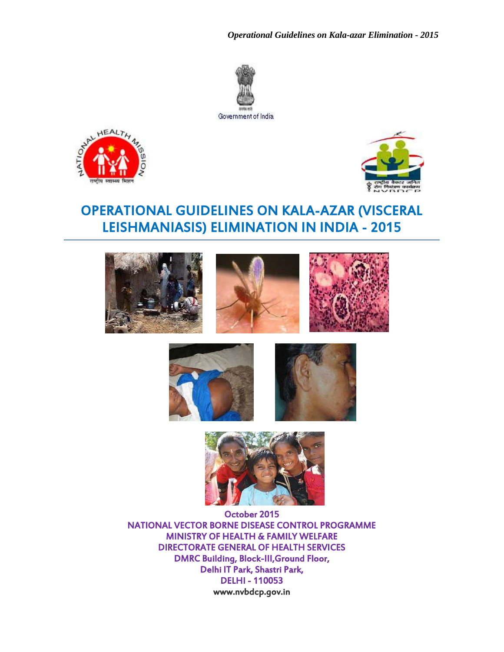*Operational Guidelines on Kala-azar Elimination - 2015*



Government of India.





# OPERATIONAL GUIDELINES ON KALA-AZAR (VISCERAL LEISHMANIASIS) ELIMINATION IN INDIA - 2015











October 2015 NATIONAL VECTOR BORNE DISEASE CONTROL PROGRAMME MINISTRY OF HEALTH & FAMILY WELFARE DIRECTORATE GENERAL OF HEALTH SERVICES DMRC Building, Block-III,Ground Floor, Delhi IT Park, Shastri Park, DELHI - 110053 [www.nvbdcp.gov.in](http://www.nvbdcp.gov.in/)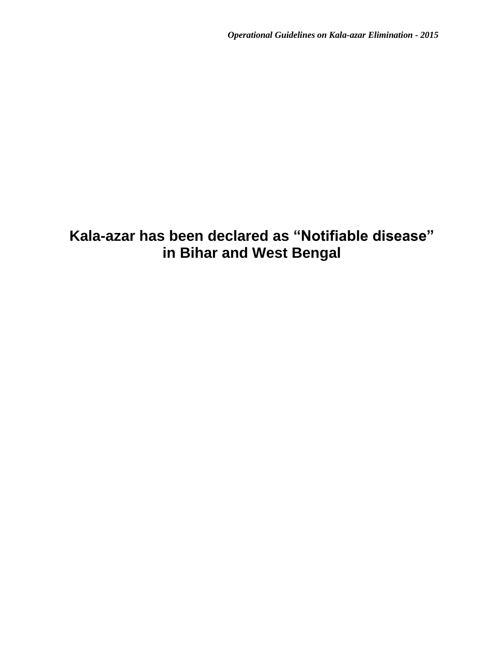# **Kala-azar has been declared as "Notifiable disease" in Bihar and West Bengal**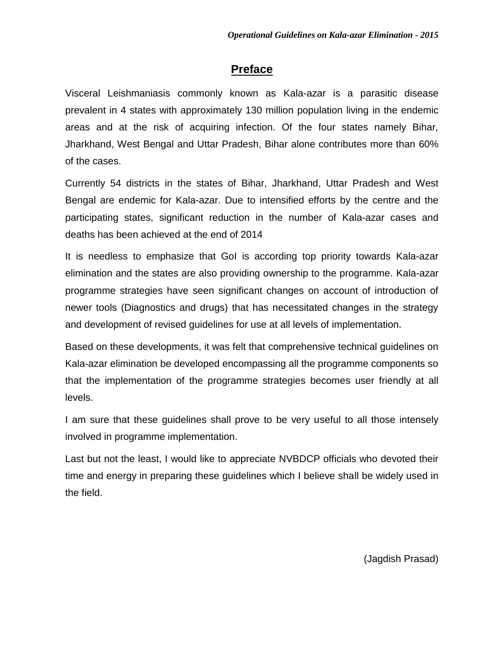### **Preface**

Visceral Leishmaniasis commonly known as Kala-azar is a parasitic disease prevalent in 4 states with approximately 130 million population living in the endemic areas and at the risk of acquiring infection. Of the four states namely Bihar, Jharkhand, West Bengal and Uttar Pradesh, Bihar alone contributes more than 60% of the cases.

Currently 54 districts in the states of Bihar, Jharkhand, Uttar Pradesh and West Bengal are endemic for Kala-azar. Due to intensified efforts by the centre and the participating states, significant reduction in the number of Kala-azar cases and deaths has been achieved at the end of 2014

It is needless to emphasize that GoI is according top priority towards Kala-azar elimination and the states are also providing ownership to the programme. Kala-azar programme strategies have seen significant changes on account of introduction of newer tools (Diagnostics and drugs) that has necessitated changes in the strategy and development of revised guidelines for use at all levels of implementation.

Based on these developments, it was felt that comprehensive technical guidelines on Kala-azar elimination be developed encompassing all the programme components so that the implementation of the programme strategies becomes user friendly at all levels.

I am sure that these guidelines shall prove to be very useful to all those intensely involved in programme implementation.

Last but not the least, I would like to appreciate NVBDCP officials who devoted their time and energy in preparing these guidelines which I believe shall be widely used in the field.

(Jagdish Prasad)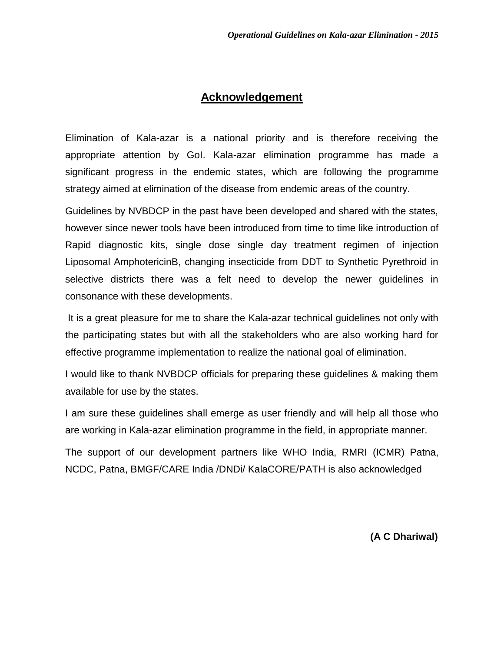### **Acknowledgement**

Elimination of Kala-azar is a national priority and is therefore receiving the appropriate attention by GoI. Kala-azar elimination programme has made a significant progress in the endemic states, which are following the programme strategy aimed at elimination of the disease from endemic areas of the country.

Guidelines by NVBDCP in the past have been developed and shared with the states, however since newer tools have been introduced from time to time like introduction of Rapid diagnostic kits, single dose single day treatment regimen of injection Liposomal AmphotericinB, changing insecticide from DDT to Synthetic Pyrethroid in selective districts there was a felt need to develop the newer guidelines in consonance with these developments.

It is a great pleasure for me to share the Kala-azar technical guidelines not only with the participating states but with all the stakeholders who are also working hard for effective programme implementation to realize the national goal of elimination.

I would like to thank NVBDCP officials for preparing these guidelines & making them available for use by the states.

I am sure these guidelines shall emerge as user friendly and will help all those who are working in Kala-azar elimination programme in the field, in appropriate manner.

The support of our development partners like WHO India, RMRI (ICMR) Patna, NCDC, Patna, BMGF/CARE India /DNDi/ KalaCORE/PATH is also acknowledged

 **(A C Dhariwal)**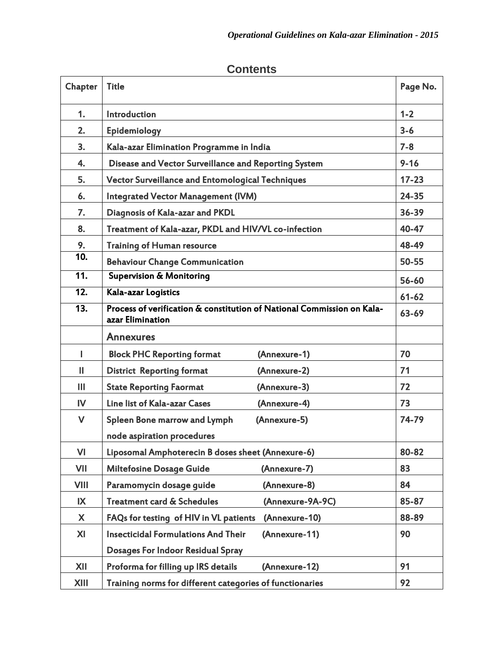| Chapter           | <b>Title</b>                                                                               |           |  |
|-------------------|--------------------------------------------------------------------------------------------|-----------|--|
| 1.                | Introduction                                                                               | $1 - 2$   |  |
| 2.                | Epidemiology                                                                               | $3 - 6$   |  |
| 3.                | Kala-azar Elimination Programme in India                                                   | $7 - 8$   |  |
| 4.                | Disease and Vector Surveillance and Reporting System                                       | $9 - 16$  |  |
| 5.                | <b>Vector Surveillance and Entomological Techniques</b>                                    | $17 - 23$ |  |
| 6.                | <b>Integrated Vector Management (IVM)</b>                                                  | 24-35     |  |
| 7.                | Diagnosis of Kala-azar and PKDL                                                            | 36-39     |  |
| 8.                | Treatment of Kala-azar, PKDL and HIV/VL co-infection                                       | 40-47     |  |
| 9.                | <b>Training of Human resource</b>                                                          | 48-49     |  |
| 10.               | <b>Behaviour Change Communication</b>                                                      | 50-55     |  |
| $\overline{11}$   | <b>Supervision &amp; Monitoring</b>                                                        | 56-60     |  |
| $\overline{12}$ . | Kala-azar Logistics                                                                        | $61 - 62$ |  |
| $\overline{13}$ . | Process of verification & constitution of National Commission on Kala-<br>azar Elimination | 63-69     |  |
|                   | <b>Annexures</b>                                                                           |           |  |
| L                 | <b>Block PHC Reporting format</b><br>(Annexure-1)                                          | 70        |  |
| $\mathbf{H}$      | <b>District Reporting format</b><br>(Annexure-2)                                           | 71        |  |
| Ш                 | (Annexure-3)<br><b>State Reporting Faormat</b>                                             | 72        |  |
| $\mathsf{IV}$     | Line list of Kala-azar Cases<br>(Annexure-4)                                               | 73        |  |
| V                 | <b>Spleen Bone marrow and Lymph</b><br>(Annexure-5)<br>node aspiration procedures          | 74-79     |  |
| VI                | Liposomal Amphoterecin B doses sheet (Annexure-6)                                          | 80-82     |  |
| VII               | <b>Miltefosine Dosage Guide</b><br>(Annexure-7)                                            | 83        |  |
| <b>VIII</b>       | Paramomycin dosage guide<br>(Annexure-8)                                                   | 84        |  |
| IX                | <b>Treatment card &amp; Schedules</b><br>(Annexure-9A-9C)                                  | 85-87     |  |
| X                 | FAQs for testing of HIV in VL patients<br>(Annexure-10)                                    | 88-89     |  |
| XI                | <b>Insecticidal Formulations And Their</b><br>(Annexure-11)                                | 90        |  |
|                   | <b>Dosages For Indoor Residual Spray</b>                                                   |           |  |
| XII               | (Annexure-12)<br>Proforma for filling up IRS details                                       | 91        |  |
| XIII              | Training norms for different categories of functionaries                                   | 92        |  |

### **Contents**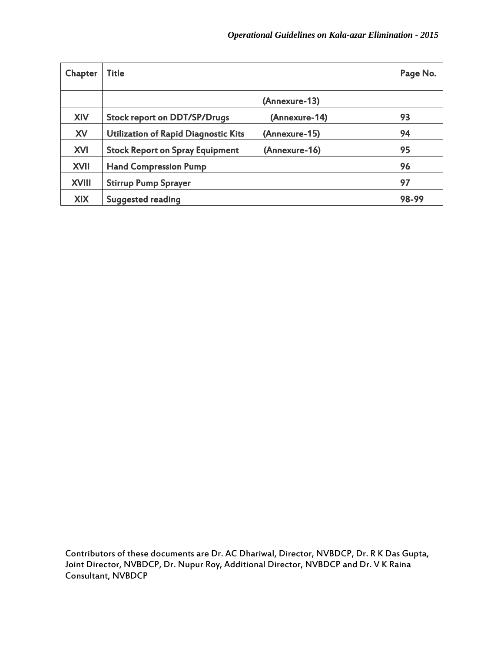| Chapter      | Title                                  |               | Page No. |
|--------------|----------------------------------------|---------------|----------|
|              |                                        | (Annexure-13) |          |
| XIV          | <b>Stock report on DDT/SP/Drugs</b>    | (Annexure-14) | 93       |
| XV           | Utilization of Rapid Diagnostic Kits   | (Annexure-15) | 94       |
| <b>XVI</b>   | <b>Stock Report on Spray Equipment</b> | (Annexure-16) | 95       |
| <b>XVII</b>  | <b>Hand Compression Pump</b>           |               | 96       |
| <b>XVIII</b> | <b>Stirrup Pump Sprayer</b>            |               | 97       |
| <b>XIX</b>   | <b>Suggested reading</b>               |               | 98-99    |

Contributors of these documents are Dr. AC Dhariwal, Director, NVBDCP, Dr. R K Das Gupta, Joint Director, NVBDCP, Dr. Nupur Roy, Additional Director, NVBDCP and Dr. V K Raina Consultant, NVBDCP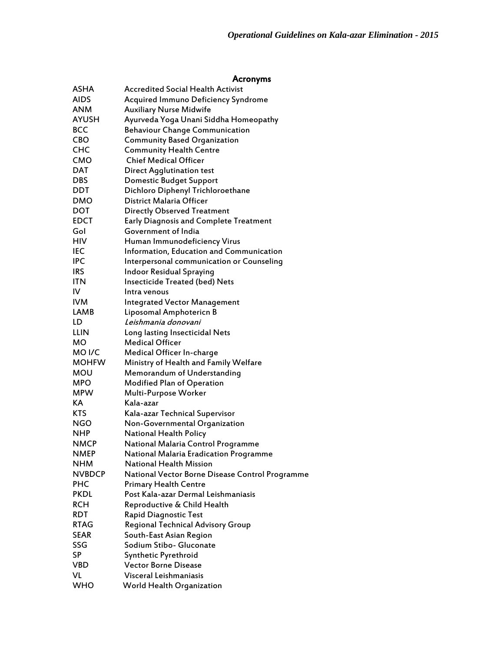#### Acronyms

| ASHA              | <b>Accredited Social Health Activist</b>        |
|-------------------|-------------------------------------------------|
| <b>AIDS</b>       | <b>Acquired Immuno Deficiency Syndrome</b>      |
| <b>ANM</b>        | <b>Auxiliary Nurse Midwife</b>                  |
| <b>AYUSH</b>      | Ayurveda Yoga Unani Siddha Homeopathy           |
| <b>BCC</b>        | <b>Behaviour Change Communication</b>           |
| <b>CBO</b>        | <b>Community Based Organization</b>             |
| <b>CHC</b>        | <b>Community Health Centre</b>                  |
| CMO               | <b>Chief Medical Officer</b>                    |
| <b>DAT</b>        | <b>Direct Agglutination test</b>                |
| <b>DBS</b>        | <b>Domestic Budget Support</b>                  |
| <b>DDT</b>        | Dichloro Diphenyl Trichloroethane               |
| <b>DMO</b>        | District Malaria Officer                        |
| DOT               | <b>Directly Observed Treatment</b>              |
| <b>EDCT</b>       | <b>Early Diagnosis and Complete Treatment</b>   |
| Gol               | Government of India                             |
| HIV               | Human Immunodeficiency Virus                    |
| IEC               | Information, Education and Communication        |
| IPC               | Interpersonal communication or Counseling       |
| <b>IRS</b>        | <b>Indoor Residual Spraying</b>                 |
| <b>ITN</b>        | <b>Insecticide Treated (bed) Nets</b>           |
| IV                | Intra venous                                    |
| <b>IVM</b>        | <b>Integrated Vector Management</b>             |
| LAMB              | Liposomal Amphotericn B                         |
| LD                | Leishmania donovani                             |
| LLIN              | Long lasting Insecticidal Nets                  |
| мo                | <b>Medical Officer</b>                          |
| MO <sub>I/C</sub> | Medical Officer In-charge                       |
| <b>MOHFW</b>      | Ministry of Health and Family Welfare           |
| MOU               | Memorandum of Understanding                     |
| MPO               | <b>Modified Plan of Operation</b>               |
| <b>MPW</b>        | Multi-Purpose Worker                            |
| KA                | Kala-azar                                       |
| <b>KTS</b>        | Kala-azar Technical Supervisor                  |
| NGO               | Non-Governmental Organization                   |
| <b>NHP</b>        | <b>National Health Policy</b>                   |
| <b>NMCP</b>       | National Malaria Control Programme              |
| <b>NMEP</b>       | National Malaria Eradication Programme          |
| <b>NHM</b>        | National Health Mission                         |
| <b>NVBDCP</b>     | National Vector Borne Disease Control Programme |
| <b>PHC</b>        | <b>Primary Health Centre</b>                    |
| <b>PKDL</b>       | Post Kala-azar Dermal Leishmaniasis             |
| <b>RCH</b>        | Reproductive & Child Health                     |
| <b>RDT</b>        | Rapid Diagnostic Test                           |
| <b>RTAG</b>       | Regional Technical Advisory Group               |
| <b>SEAR</b>       | South-East Asian Region                         |
| SSG               | Sodium Stibo- Gluconate                         |
| SP                | Synthetic Pyrethroid                            |
| <b>VBD</b>        | <b>Vector Borne Disease</b>                     |
| VL                | Visceral Leishmaniasis                          |
| <b>WHO</b>        | World Health Organization                       |
|                   |                                                 |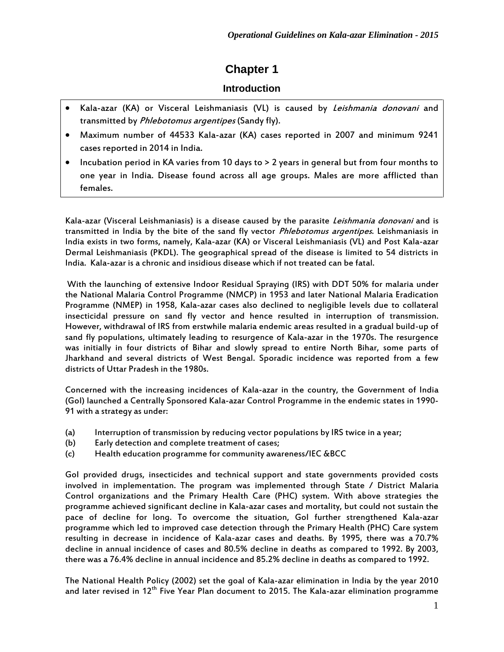## **Chapter 1**

### **Introduction**

- Kala-azar (KA) or Visceral Leishmaniasis (VL) is caused by Leishmania donovani and transmitted by Phlebotomus argentipes (Sandy fly).
- Maximum number of 44533 Kala-azar (KA) cases reported in 2007 and minimum 9241 cases reported in 2014 in India.
- Incubation period in KA varies from 10 days to > 2 years in general but from four months to one year in India. Disease found across all age groups. Males are more afflicted than females.

Kala-azar (Visceral Leishmaniasis) is a disease caused by the parasite Leishmania donovani and is transmitted in India by the bite of the sand fly vector *Phlebotomus argentipes*. Leishmaniasis in India exists in two forms, namely, Kala-azar (KA) or Visceral Leishmaniasis (VL) and Post Kala-azar Dermal Leishmaniasis (PKDL). The geographical spread of the disease is limited to 54 districts in India. Kala-azar is a chronic and insidious disease which if not treated can be fatal.

With the launching of extensive Indoor Residual Spraying (IRS) with DDT 50% for malaria under the National Malaria Control Programme (NMCP) in 1953 and later National Malaria Eradication Programme (NMEP) in 1958, Kala-azar cases also declined to negligible levels due to collateral insecticidal pressure on sand fly vector and hence resulted in interruption of transmission. However, withdrawal of IRS from erstwhile malaria endemic areas resulted in a gradual build-up of sand fly populations, ultimately leading to resurgence of Kala-azar in the 1970s. The resurgence was initially in four districts of Bihar and slowly spread to entire North Bihar, some parts of Jharkhand and several districts of West Bengal. Sporadic incidence was reported from a few districts of Uttar Pradesh in the 1980s.

Concerned with the increasing incidences of Kala-azar in the country, the Government of India (GoI) launched a Centrally Sponsored Kala-azar Control Programme in the endemic states in 1990- 91 with a strategy as under:

- (a) Interruption of transmission by reducing vector populations by IRS twice in a year;
- (b) Early detection and complete treatment of cases;
- (c) Health education programme for community awareness/IEC &BCC

GoI provided drugs, insecticides and technical support and state governments provided costs involved in implementation. The program was implemented through State / District Malaria Control organizations and the Primary Health Care (PHC) system. With above strategies the programme achieved significant decline in Kala-azar cases and mortality, but could not sustain the pace of decline for long. To overcome the situation, GoI further strengthened Kala-azar programme which led to improved case detection through the Primary Health (PHC) Care system resulting in decrease in incidence of Kala-azar cases and deaths. By 1995, there was a 70.7% decline in annual incidence of cases and 80.5% decline in deaths as compared to 1992. By 2003, there was a 76.4% decline in annual incidence and 85.2% decline in deaths as compared to 1992.

The National Health Policy (2002) set the goal of Kala-azar elimination in India by the year 2010 and later revised in 12<sup>th</sup> Five Year Plan document to 2015. The Kala-azar elimination programme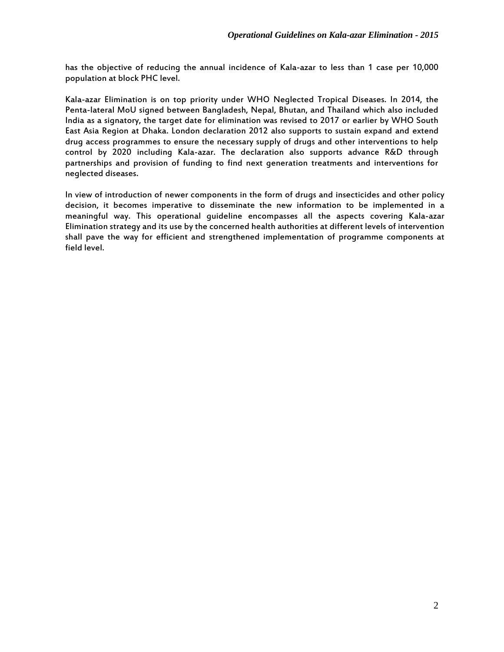has the objective of reducing the annual incidence of Kala-azar to less than 1 case per 10,000 population at block PHC level.

Kala-azar Elimination is on top priority under WHO Neglected Tropical Diseases. In 2014, the Penta-lateral MoU signed between Bangladesh, Nepal, Bhutan, and Thailand which also included India as a signatory, the target date for elimination was revised to 2017 or earlier by WHO South East Asia Region at Dhaka. London declaration 2012 also supports to sustain expand and extend drug access programmes to ensure the necessary supply of drugs and other interventions to help control by 2020 including Kala-azar. The declaration also supports advance R&D through partnerships and provision of funding to find next generation treatments and interventions for neglected diseases.

In view of introduction of newer components in the form of drugs and insecticides and other policy decision, it becomes imperative to disseminate the new information to be implemented in a meaningful way. This operational guideline encompasses all the aspects covering Kala-azar Elimination strategy and its use by the concerned health authorities at different levels of intervention shall pave the way for efficient and strengthened implementation of programme components at field level.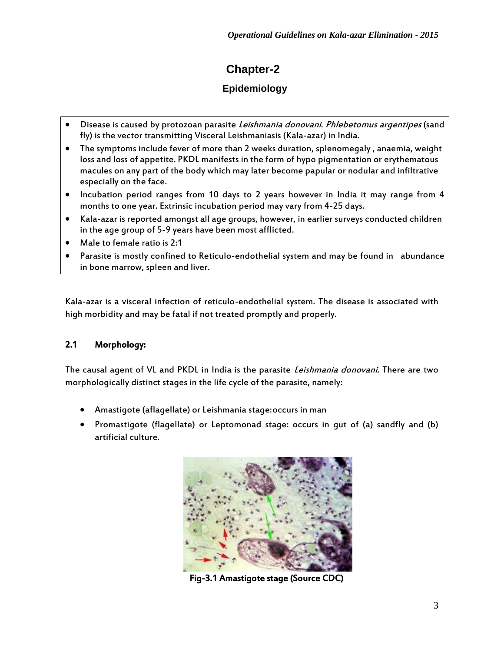# **Chapter-2**

### **Epidemiology**

- Disease is caused by protozoan parasite Leishmania donovani. Phlebetomus argentipes (sand fly) is the vector transmitting Visceral Leishmaniasis (Kala-azar) in India.
- The symptoms include fever of more than 2 weeks duration, splenomegaly , anaemia, weight loss and loss of appetite. PKDL manifests in the form of hypo pigmentation or erythematous macules on any part of the body which may later become papular or nodular and infiltrative especially on the face.
- Incubation period ranges from 10 days to 2 years however in India it may range from 4 months to one year. Extrinsic incubation period may vary from 4-25 days.
- Kala-azar is reported amongst all age groups, however, in earlier surveys conducted children in the age group of 5-9 years have been most afflicted.
- Male to female ratio is 2:1
- Parasite is mostly confined to Reticulo-endothelial system and may be found in abundance in bone marrow, spleen and liver.

Kala-azar is a visceral infection of reticulo-endothelial system. The disease is associated with high morbidity and may be fatal if not treated promptly and properly.

### 2.1 Morphology:

The causal agent of VL and PKDL in India is the parasite Leishmania donovani. There are two morphologically distinct stages in the life cycle of the parasite, namely:

- Amastigote (aflagellate) or Leishmania stage:occurs in man
- Promastigote (flagellate) or Leptomonad stage: occurs in gut of (a) sandfly and (b) artificial culture.



Fig-3.1 Amastigote stage (Source CDC)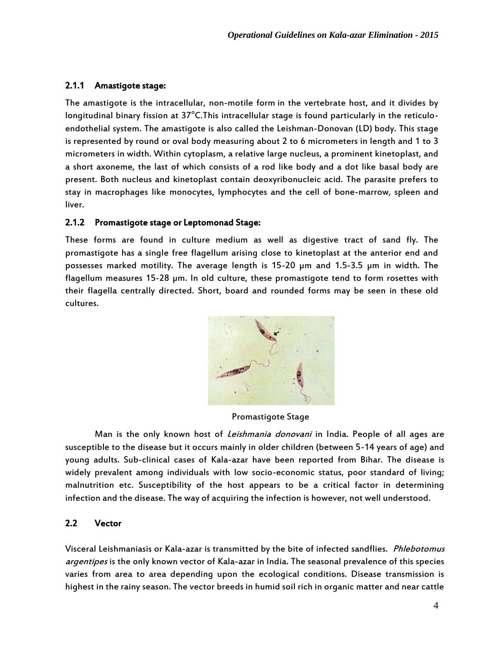### 2.1.1 Amastigote stage:

The amastigote is the intracellular, non-motile form in the vertebrate host, and it divides by longitudinal binary fission at 37°C.This intracellular stage is found particularly in the reticuloendothelial system. The amastigote is also called the Leishman-Donovan (LD) body. This stage is represented by round or oval body measuring about 2 to 6 micrometers in length and 1 to 3 micrometers in width. Within cytoplasm, a relative large nucleus, a prominent kinetoplast, and a short axoneme, the last of which consists of a rod like body and a dot like basal body are present. Both nucleus and kinetoplast contain deoxyribonucleic acid. The parasite prefers to stay in macrophages like monocytes, lymphocytes and the cell of bone-marrow, spleen and liver.

### 2.1.2 Promastigote stage or Leptomonad Stage:

These forms are found in culture medium as well as digestive tract of sand fly. The promastigote has a single free flagellum arising close to kinetoplast at the anterior end and possesses marked motility. The average length is 15-20 µm and 1.5-3.5 µm in width. The flagellum measures 15-28 µm. In old culture, these promastigote tend to form rosettes with their flagella centrally directed. Short, board and rounded forms may be seen in these old cultures.



Promastigote Stage

Man is the only known host of *Leishmania donovani* in India. People of all ages are susceptible to the disease but it occurs mainly in older children (between 5-14 years of age) and young adults. Sub-clinical cases of Kala-azar have been reported from Bihar. The disease is widely prevalent among individuals with low socio-economic status, poor standard of living; malnutrition etc. Susceptibility of the host appears to be a critical factor in determining infection and the disease. The way of acquiring the infection is however, not well understood.

### 2.2 Vector

Visceral Leishmaniasis or Kala-azar is transmitted by the bite of infected sandflies. Phlebotomus argentipes is the only known vector of Kala-azar in India. The seasonal prevalence of this species varies from area to area depending upon the ecological conditions. Disease transmission is highest in the rainy season. The vector breeds in humid soil rich in organic matter and near cattle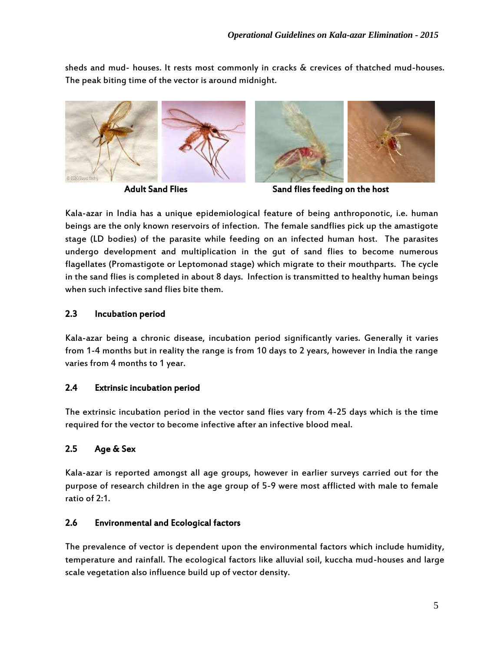sheds and mud- houses. It rests most commonly in cracks & crevices of thatched mud-houses. The peak biting time of the vector is around midnight.



**Adult Sand Flies** 



Sand flies feeding on the host

Kala-azar in India has a unique epidemiological feature of being anthroponotic, i.e. human beings are the only known reservoirs of infection. The female sandflies pick up the amastigote stage (LD bodies) of the parasite while feeding on an infected human host. The parasites undergo development and multiplication in the gut of sand flies to become numerous flagellates (Promastigote or Leptomonad stage) which migrate to their mouthparts. The cycle in the sand flies is completed in about 8 days. Infection is transmitted to healthy human beings when such infective sand flies bite them.

### 2.3 Incubation period

Kala-azar being a chronic disease, incubation period significantly varies. Generally it varies from 1-4 months but in reality the range is from 10 days to 2 years, however in India the range varies from 4 months to 1 year.

### 2.4 Extrinsic incubation period

The extrinsic incubation period in the vector sand flies vary from 4-25 days which is the time required for the vector to become infective after an infective blood meal.

### 2.5 Age & Sex

Kala-azar is reported amongst all age groups, however in earlier surveys carried out for the purpose of research children in the age group of 5-9 were most afflicted with male to female ratio of 2:1.

### 2.6 Environmental and Ecological factors

The prevalence of vector is dependent upon the environmental factors which include humidity, temperature and rainfall. The ecological factors like alluvial soil, kuccha mud-houses and large scale vegetation also influence build up of vector density.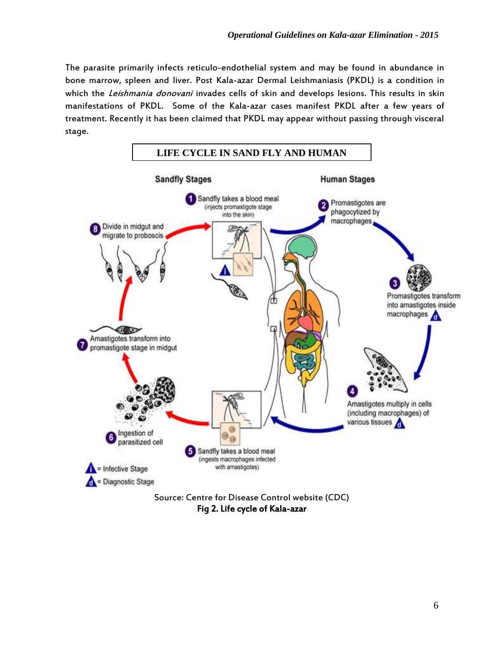The parasite primarily infects reticulo-endothelial system and may be found in abundance in bone marrow, spleen and liver. Post Kala-azar Dermal Leishmaniasis (PKDL) is a condition in which the *Leishmania donovani* invades cells of skin and develops lesions. This results in skin manifestations of PKDL. Some of the Kala-azar cases manifest PKDL after a few years of treatment. Recently it has been claimed that PKDL may appear without passing through visceral stage.



Fig 2. Life cycle of Kala-azar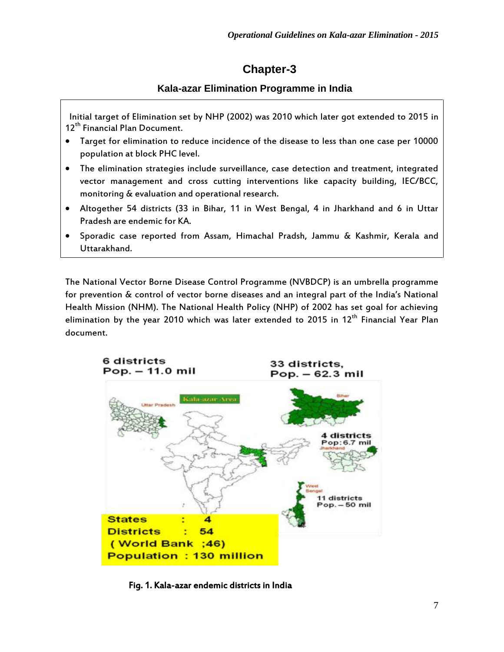## **Chapter-3**

### **Kala-azar Elimination Programme in India**

 Initial target of Elimination set by NHP (2002) was 2010 which later got extended to 2015 in 12<sup>th</sup> Financial Plan Document.

- Target for elimination to reduce incidence of the disease to less than one case per 10000 population at block PHC level.
- The elimination strategies include surveillance, case detection and treatment, integrated vector management and cross cutting interventions like capacity building, IEC/BCC, monitoring & evaluation and operational research.
- Altogether 54 districts (33 in Bihar, 11 in West Bengal, 4 in Jharkhand and 6 in Uttar Pradesh are endemic for KA.
- Sporadic case reported from Assam, Himachal Pradsh, Jammu & Kashmir, Kerala and Uttarakhand.

The National Vector Borne Disease Control Programme (NVBDCP) is an umbrella programme for prevention & control of vector borne diseases and an integral part of the India's National Health Mission (NHM). The National Health Policy (NHP) of 2002 has set goal for achieving elimination by the year 2010 which was later extended to 2015 in  $12<sup>th</sup>$  Financial Year Plan document.



Fig. 1. Kala-azar endemic districts in India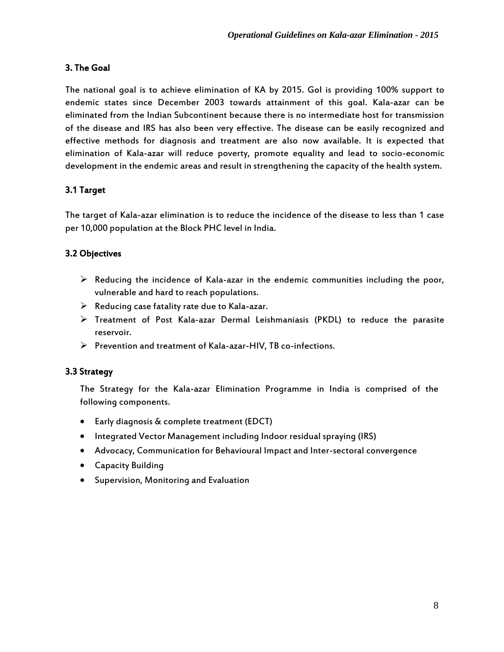### 3. The Goal

The national goal is to achieve elimination of KA by 2015. Gol is providing 100% support to endemic states since December 2003 towards attainment of this goal. Kala-azar can be eliminated from the Indian Subcontinent because there is no intermediate host for transmission of the disease and IRS has also been very effective. The disease can be easily recognized and effective methods for diagnosis and treatment are also now available. It is expected that elimination of Kala-azar will reduce poverty, promote equality and lead to socio-economic development in the endemic areas and result in strengthening the capacity of the health system.

### 3.1 Target

The target of Kala-azar elimination is to reduce the incidence of the disease to less than 1 case per 10,000 population at the Block PHC level in India.

### 3.2 Objectives

- $\triangleright$  Reducing the incidence of Kala-azar in the endemic communities including the poor, vulnerable and hard to reach populations.
- $\triangleright$  Reducing case fatality rate due to Kala-azar.
- $\triangleright$  Treatment of Post Kala-azar Dermal Leishmaniasis (PKDL) to reduce the parasite reservoir.
- $\triangleright$  Prevention and treatment of Kala-azar-HIV, TB co-infections.

### 3.3 Strategy

The Strategy for the Kala-azar Elimination Programme in India is comprised of the following components.

- Early diagnosis & complete treatment (EDCT)
- Integrated Vector Management including Indoor residual spraying (IRS)
- Advocacy, Communication for Behavioural Impact and Inter-sectoral convergence
- Capacity Building
- Supervision, Monitoring and Evaluation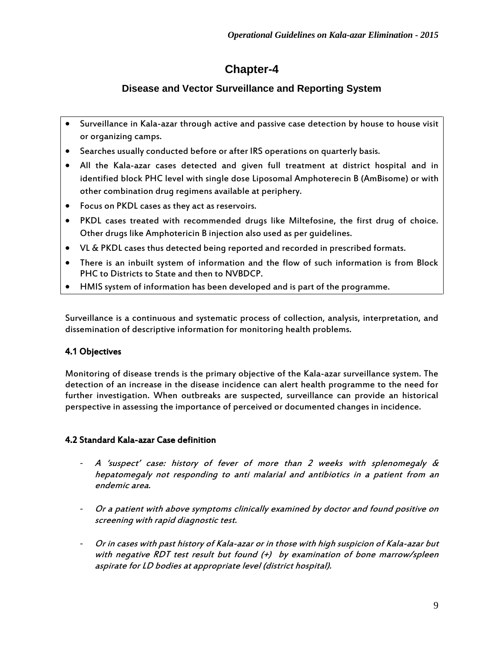# **Chapter-4**

### **Disease and Vector Surveillance and Reporting System**

- Surveillance in Kala-azar through active and passive case detection by house to house visit or organizing camps.
- Searches usually conducted before or after IRS operations on quarterly basis.
- All the Kala-azar cases detected and given full treatment at district hospital and in identified block PHC level with single dose Liposomal Amphoterecin B (AmBisome) or with other combination drug regimens available at periphery.
- Focus on PKDL cases as they act as reservoirs.
- PKDL cases treated with recommended drugs like Miltefosine, the first drug of choice. Other drugs like Amphotericin B injection also used as per guidelines.
- VL & PKDL cases thus detected being reported and recorded in prescribed formats.
- There is an inbuilt system of information and the flow of such information is from Block PHC to Districts to State and then to NVBDCP.
- HMIS system of information has been developed and is part of the programme.

Surveillance is a continuous and systematic process of collection, analysis, interpretation, and dissemination of descriptive information for monitoring health problems.

### 4.1 Objectives

Monitoring of disease trends is the primary objective of the Kala-azar surveillance system. The detection of an increase in the disease incidence can alert health programme to the need for further investigation. When outbreaks are suspected, surveillance can provide an historical perspective in assessing the importance of perceived or documented changes in incidence.

### 4.2 Standard Kala-azar Case definition

- A 'suspect' case: history of fever of more than 2 weeks with splenomegaly  $\&$ hepatomegaly not responding to anti malarial and antibiotics in a patient from an endemic area.
- Or a patient with above symptoms clinically examined by doctor and found positive on screening with rapid diagnostic test.
- Or in cases with past history of Kala-azar or in those with high suspicion of Kala-azar but with negative RDT test result but found  $(+)$  by examination of bone marrow/spleen aspirate for LD bodies at appropriate level (district hospital).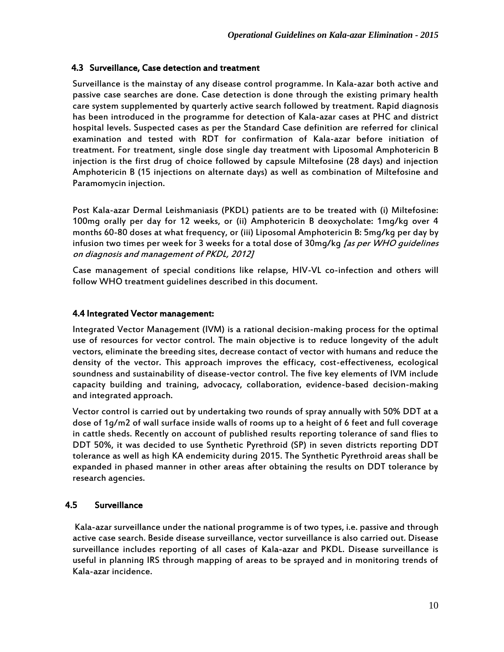### 4.3 Surveillance, Case detection and treatment

Surveillance is the mainstay of any disease control programme. In Kala-azar both active and passive case searches are done. Case detection is done through the existing primary health care system supplemented by quarterly active search followed by treatment. Rapid diagnosis has been introduced in the programme for detection of Kala-azar cases at PHC and district hospital levels. Suspected cases as per the Standard Case definition are referred for clinical examination and tested with RDT for confirmation of Kala-azar before initiation of treatment. For treatment, single dose single day treatment with Liposomal Amphotericin B injection is the first drug of choice followed by capsule Miltefosine (28 days) and injection Amphotericin B (15 injections on alternate days) as well as combination of Miltefosine and Paramomycin injection.

Post Kala-azar Dermal Leishmaniasis (PKDL) patients are to be treated with (i) Miltefosine: 100mg orally per day for 12 weeks, or (ii) Amphotericin B deoxycholate: 1mg/kg over 4 months 60-80 doses at what frequency, or (iii) Liposomal Amphotericin B: 5mg/kg per day by infusion two times per week for 3 weeks for a total dose of 30mg/kg [as per WHO quidelines on diagnosis and management of PKDL, 2012]

Case management of special conditions like relapse, HIV-VL co-infection and others will follow WHO treatment guidelines described in this document.

### 4.4 Integrated Vector management:

Integrated Vector Management (IVM) is a rational decision-making process for the optimal use of resources for vector control. The main objective is to reduce longevity of the adult vectors, eliminate the breeding sites, decrease contact of vector with humans and reduce the density of the vector. This approach improves the efficacy, cost-effectiveness, ecological soundness and sustainability of disease-vector control. The five key elements of IVM include capacity building and training, advocacy, collaboration, evidence-based decision-making and integrated approach.

Vector control is carried out by undertaking two rounds of spray annually with 50% DDT at a dose of 1g/m2 of wall surface inside walls of rooms up to a height of 6 feet and full coverage in cattle sheds. Recently on account of published results reporting tolerance of sand flies to DDT 50%, it was decided to use Synthetic Pyrethroid (SP) in seven districts reporting DDT tolerance as well as high KA endemicity during 2015. The Synthetic Pyrethroid areas shall be expanded in phased manner in other areas after obtaining the results on DDT tolerance by research agencies.

### 4.5 Surveillance

Kala-azar surveillance under the national programme is of two types, i.e. passive and through active case search. Beside disease surveillance, vector surveillance is also carried out. Disease surveillance includes reporting of all cases of Kala-azar and PKDL. Disease surveillance is useful in planning IRS through mapping of areas to be sprayed and in monitoring trends of Kala-azar incidence.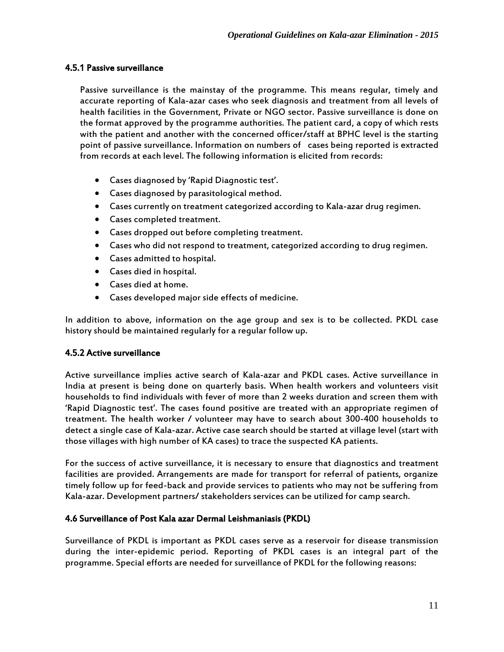### 4.5.1 Passive surveillance

Passive surveillance is the mainstay of the programme. This means regular, timely and accurate reporting of Kala-azar cases who seek diagnosis and treatment from all levels of health facilities in the Government, Private or NGO sector. Passive surveillance is done on the format approved by the programme authorities. The patient card, a copy of which rests with the patient and another with the concerned officer/staff at BPHC level is the starting point of passive surveillance. Information on numbers of cases being reported is extracted from records at each level. The following information is elicited from records:

- Cases diagnosed by 'Rapid Diagnostic test'.
- Cases diagnosed by parasitological method.
- Cases currently on treatment categorized according to Kala-azar drug regimen.
- Cases completed treatment.
- Cases dropped out before completing treatment.
- Cases who did not respond to treatment, categorized according to drug regimen.
- Cases admitted to hospital.
- Cases died in hospital.
- Cases died at home.
- Cases developed major side effects of medicine.

In addition to above, information on the age group and sex is to be collected. PKDL case history should be maintained regularly for a regular follow up.

#### 4.5.2 Active surveillance

Active surveillance implies active search of Kala-azar and PKDL cases. Active surveillance in India at present is being done on quarterly basis. When health workers and volunteers visit households to find individuals with fever of more than 2 weeks duration and screen them with 'Rapid Diagnostic test'. The cases found positive are treated with an appropriate regimen of treatment. The health worker / volunteer may have to search about 300-400 households to detect a single case of Kala-azar. Active case search should be started at village level (start with those villages with high number of KA cases) to trace the suspected KA patients.

For the success of active surveillance, it is necessary to ensure that diagnostics and treatment facilities are provided. Arrangements are made for transport for referral of patients, organize timely follow up for feed-back and provide services to patients who may not be suffering from Kala-azar. Development partners/ stakeholders services can be utilized for camp search.

#### 4.6 Surveillance of Post Kala azar Dermal Leishmaniasis (PKDL)

Surveillance of PKDL is important as PKDL cases serve as a reservoir for disease transmission during the inter-epidemic period. Reporting of PKDL cases is an integral part of the programme. Special efforts are needed for surveillance of PKDL for the following reasons: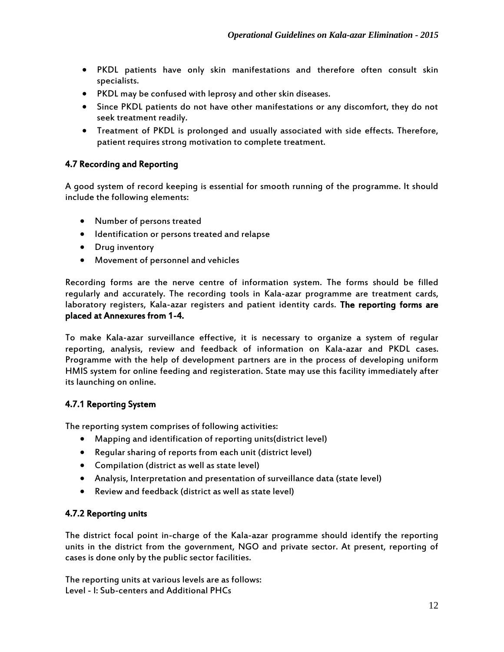- PKDL patients have only skin manifestations and therefore often consult skin specialists.
- PKDL may be confused with leprosy and other skin diseases.
- Since PKDL patients do not have other manifestations or any discomfort, they do not seek treatment readily.
- Treatment of PKDL is prolonged and usually associated with side effects. Therefore, patient requires strong motivation to complete treatment.

### 4.7 Recording and Reporting

A good system of record keeping is essential for smooth running of the programme. It should include the following elements:

- Number of persons treated
- $\bullet$  Identification or persons treated and relapse
- Drug inventory
- Movement of personnel and vehicles

Recording forms are the nerve centre of information system. The forms should be filled regularly and accurately. The recording tools in Kala-azar programme are treatment cards, laboratory registers, Kala-azar registers and patient identity cards. The reporting forms are placed at Annexures from 1-4.

To make Kala-azar surveillance effective, it is necessary to organize a system of regular reporting, analysis, review and feedback of information on Kala-azar and PKDL cases. Programme with the help of development partners are in the process of developing uniform HMIS system for online feeding and registeration. State may use this facility immediately after its launching on online.

### 4.7.1 Reporting System

The reporting system comprises of following activities:

- Mapping and identification of reporting units(district level)
- Regular sharing of reports from each unit (district level)
- Compilation (district as well as state level)
- Analysis, Interpretation and presentation of surveillance data (state level)
- Review and feedback (district as well as state level)

### 4.7.2 Reporting units

The district focal point in-charge of the Kala-azar programme should identify the reporting units in the district from the government, NGO and private sector. At present, reporting of cases is done only by the public sector facilities.

The reporting units at various levels are as follows: Level - I: Sub-centers and Additional PHCs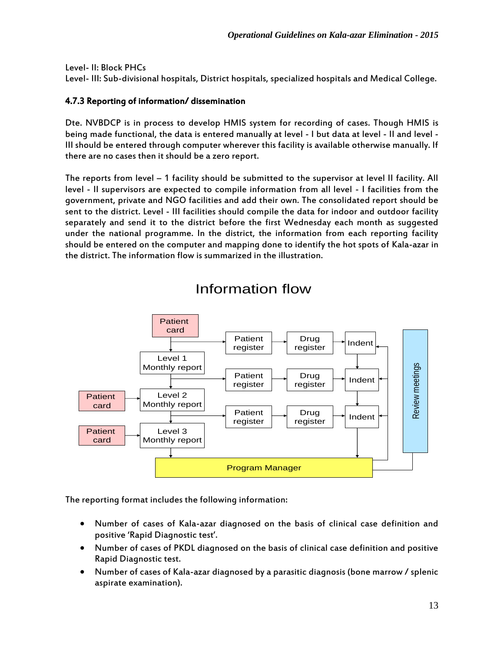Level- II: Block PHCs

Level- III: Sub-divisional hospitals, District hospitals, specialized hospitals and Medical College.

### 4.7.3 Reporting of information/ dissemination

Dte. NVBDCP is in process to develop HMIS system for recording of cases. Though HMIS is being made functional, the data is entered manually at level - I but data at level - II and level - III should be entered through computer wherever this facility is available otherwise manually. If there are no cases then it should be a zero report.

The reports from level – 1 facility should be submitted to the supervisor at level II facility. All level - II supervisors are expected to compile information from all level - I facilities from the government, private and NGO facilities and add their own. The consolidated report should be sent to the district. Level - III facilities should compile the data for indoor and outdoor facility separately and send it to the district before the first Wednesday each month as suggested under the national programme. In the district, the information from each reporting facility should be entered on the computer and mapping done to identify the hot spots of Kala-azar in the district. The information flow is summarized in the illustration.



# Information flow

The reporting format includes the following information:

- Number of cases of Kala-azar diagnosed on the basis of clinical case definition and positive 'Rapid Diagnostic test'.
- Number of cases of PKDL diagnosed on the basis of clinical case definition and positive Rapid Diagnostic test.
- Number of cases of Kala-azar diagnosed by a parasitic diagnosis (bone marrow / splenic aspirate examination).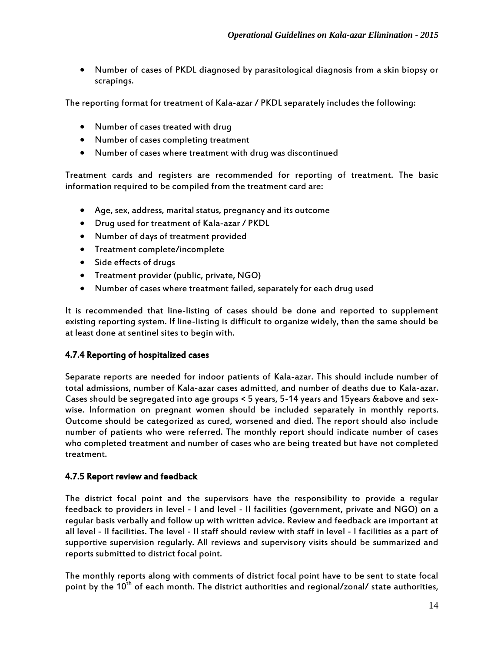Number of cases of PKDL diagnosed by parasitological diagnosis from a skin biopsy or scrapings.

The reporting format for treatment of Kala-azar / PKDL separately includes the following:

- Number of cases treated with drug
- Number of cases completing treatment
- Number of cases where treatment with drug was discontinued

Treatment cards and registers are recommended for reporting of treatment. The basic information required to be compiled from the treatment card are:

- Age, sex, address, marital status, pregnancy and its outcome
- Drug used for treatment of Kala-azar / PKDL
- Number of days of treatment provided
- Treatment complete/incomplete
- Side effects of drugs
- Treatment provider (public, private, NGO)
- Number of cases where treatment failed, separately for each drug used

It is recommended that line-listing of cases should be done and reported to supplement existing reporting system. If line-listing is difficult to organize widely, then the same should be at least done at sentinel sites to begin with.

### 4.7.4 Reporting of hospitalized cases

Separate reports are needed for indoor patients of Kala-azar. This should include number of total admissions, number of Kala-azar cases admitted, and number of deaths due to Kala-azar. Cases should be segregated into age groups < 5 years, 5-14 years and 15years &above and sexwise. Information on pregnant women should be included separately in monthly reports. Outcome should be categorized as cured, worsened and died. The report should also include number of patients who were referred. The monthly report should indicate number of cases who completed treatment and number of cases who are being treated but have not completed treatment.

### 4.7.5 Report review and feedback

The district focal point and the supervisors have the responsibility to provide a regular feedback to providers in level - I and level - II facilities (government, private and NGO) on a regular basis verbally and follow up with written advice. Review and feedback are important at all level - II facilities. The level - II staff should review with staff in level - I facilities as a part of supportive supervision regularly. All reviews and supervisory visits should be summarized and reports submitted to district focal point.

The monthly reports along with comments of district focal point have to be sent to state focal point by the 10<sup>th</sup> of each month. The district authorities and regional/zonal/ state authorities,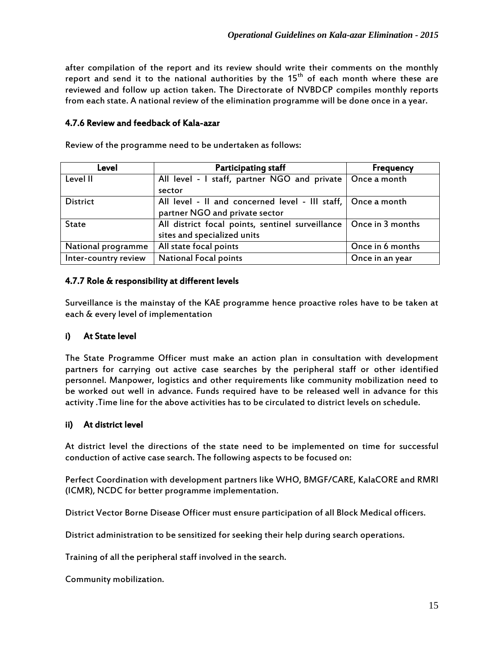after compilation of the report and its review should write their comments on the monthly report and send it to the national authorities by the 15<sup>th</sup> of each month where these are reviewed and follow up action taken. The Directorate of NVBDCP compiles monthly reports from each state. A national review of the elimination programme will be done once in a year.

### 4.7.6 Review and feedback of Kala-azar

| Level                | <b>Participating staff</b>                                          | <b>Frequency</b> |
|----------------------|---------------------------------------------------------------------|------------------|
| Level II             | All level - I staff, partner NGO and private   Once a month         |                  |
|                      | sector                                                              |                  |
| <b>District</b>      | All level - Il and concerned level - III staff,   Once a month      |                  |
|                      | partner NGO and private sector                                      |                  |
| <b>State</b>         | All district focal points, sentinel surveillance   Once in 3 months |                  |
|                      | sites and specialized units                                         |                  |
| National programme   | All state focal points                                              | Once in 6 months |
| Inter-country review | <b>National Focal points</b>                                        | Once in an year  |

Review of the programme need to be undertaken as follows:

### 4.7.7 Role & responsibility at different levels

Surveillance is the mainstay of the KAE programme hence proactive roles have to be taken at each & every level of implementation

### i) At State level

The State Programme Officer must make an action plan in consultation with development partners for carrying out active case searches by the peripheral staff or other identified personnel. Manpower, logistics and other requirements like community mobilization need to be worked out well in advance. Funds required have to be released well in advance for this activity .Time line for the above activities has to be circulated to district levels on schedule.

### ii) At district level

At district level the directions of the state need to be implemented on time for successful conduction of active case search. The following aspects to be focused on:

Perfect Coordination with development partners like WHO, BMGF/CARE, KalaCORE and RMRI (ICMR), NCDC for better programme implementation.

District Vector Borne Disease Officer must ensure participation of all Block Medical officers.

District administration to be sensitized for seeking their help during search operations.

Training of all the peripheral staff involved in the search.

Community mobilization.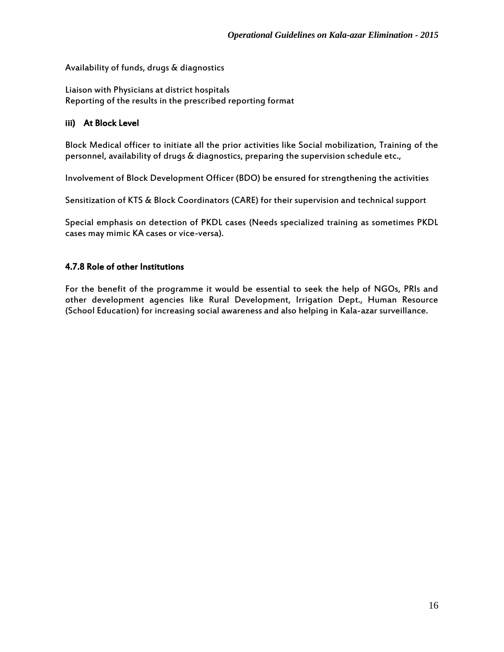Availability of funds, drugs & diagnostics

Liaison with Physicians at district hospitals Reporting of the results in the prescribed reporting format

### iii) At Block Level

Block Medical officer to initiate all the prior activities like Social mobilization, Training of the personnel, availability of drugs & diagnostics, preparing the supervision schedule etc.,

Involvement of Block Development Officer (BDO) be ensured for strengthening the activities

Sensitization of KTS & Block Coordinators (CARE) for their supervision and technical support

Special emphasis on detection of PKDL cases (Needs specialized training as sometimes PKDL cases may mimic KA cases or vice-versa).

### 4.7.8 Role of other Institutions

For the benefit of the programme it would be essential to seek the help of NGOs, PRIs and other development agencies like Rural Development, Irrigation Dept., Human Resource (School Education) for increasing social awareness and also helping in Kala-azar surveillance.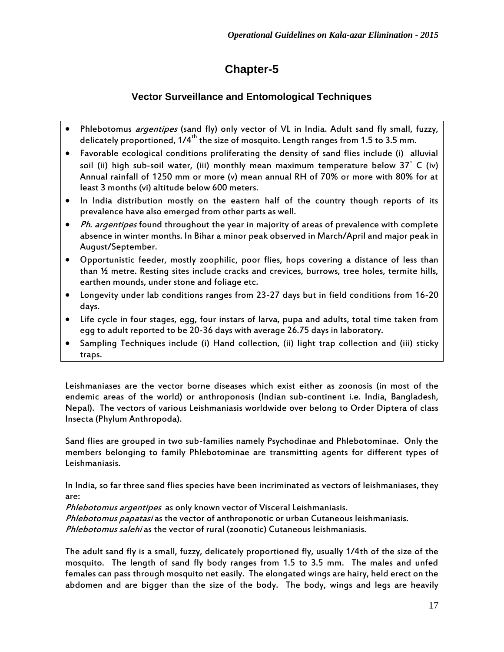# **Chapter-5**

### **Vector Surveillance and Entomological Techniques**

- Phlebotomus *argentipes* (sand fly) only vector of VL in India. Adult sand fly small, fuzzy, delicately proportioned,  $1/4^{th}$  the size of mosquito. Length ranges from 1.5 to 3.5 mm.
- Favorable ecological conditions proliferating the density of sand flies include (i) alluvial soil (ii) high sub-soil water, (iii) monthly mean maximum temperature below 37◦ C (iv) Annual rainfall of 1250 mm or more (v) mean annual RH of 70% or more with 80% for at least 3 months (vi) altitude below 600 meters.
- In India distribution mostly on the eastern half of the country though reports of its prevalence have also emerged from other parts as well.
- Ph. argentipes found throughout the year in majority of areas of prevalence with complete absence in winter months. In Bihar a minor peak observed in March/April and major peak in August/September.
- Opportunistic feeder, mostly zoophilic, poor flies, hops covering a distance of less than than ½ metre. Resting sites include cracks and crevices, burrows, tree holes, termite hills, earthen mounds, under stone and foliage etc.
- Longevity under lab conditions ranges from 23-27 days but in field conditions from 16-20 days.
- Life cycle in four stages, egg, four instars of larva, pupa and adults, total time taken from egg to adult reported to be 20-36 days with average 26.75 days in laboratory.
- Sampling Techniques include (i) Hand collection, (ii) light trap collection and (iii) sticky traps.

Leishmaniases are the vector borne diseases which exist either as zoonosis (in most of the endemic areas of the world) or anthroponosis (Indian sub-continent i.e. India, Bangladesh, Nepal). The vectors of various Leishmaniasis worldwide over belong to Order Diptera of class Insecta (Phylum Anthropoda).

Sand flies are grouped in two sub-families namely Psychodinae and Phlebotominae. Only the members belonging to family Phlebotominae are transmitting agents for different types of Leishmaniasis.

In India, so far three sand flies species have been incriminated as vectors of leishmaniases, they are:

Phlebotomus argentipes as only known vector of Visceral Leishmaniasis.

Phlebotomus papatasi as the vector of anthroponotic or urban Cutaneous leishmaniasis.

Phlebotomus salehi as the vector of rural (zoonotic) Cutaneous leishmaniasis.

The adult sand fly is a small, fuzzy, delicately proportioned fly, usually 1/4th of the size of the mosquito. The length of sand fly body ranges from 1.5 to 3.5 mm. The males and unfed females can pass through mosquito net easily. The elongated wings are hairy, held erect on the abdomen and are bigger than the size of the body. The body, wings and legs are heavily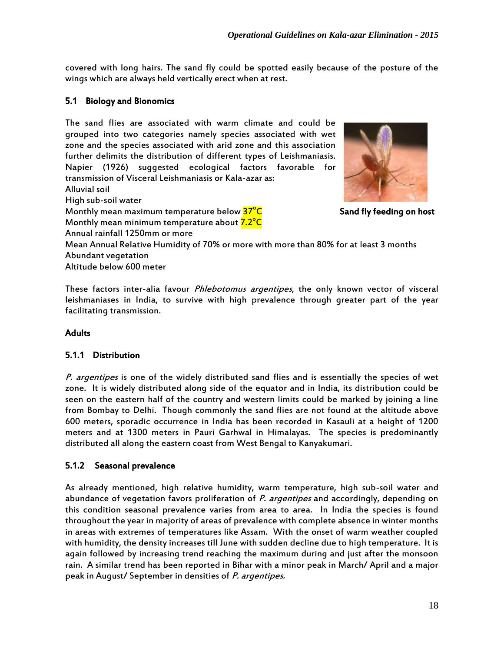covered with long hairs. The sand fly could be spotted easily because of the posture of the wings which are always held vertically erect when at rest.

### 5.1 Biology and Bionomics

The sand flies are associated with warm climate and could be grouped into two categories namely species associated with wet zone and the species associated with arid zone and this association further delimits the distribution of different types of Leishmaniasis. Napier (1926) suggested ecological factors favorable for transmission of Visceral Leishmaniasis or Kala-azar as: Alluvial soil High sub-soil water Monthly mean maximum temperature below 37<sup>o</sup>C Monthly mean minimum temperature about <mark>7.2°C</mark> Annual rainfall 1250mm or more Mean Annual Relative Humidity of 70% or more with more than 80% for at least 3 months Abundant vegetation Altitude below 600 meter

These factors inter-alia favour *Phlebotomus argentipes*, the only known vector of visceral leishmaniases in India, to survive with high prevalence through greater part of the year facilitating transmission.

#### **Adults**

#### 5.1.1 Distribution

P. argentipes is one of the widely distributed sand flies and is essentially the species of wet zone. It is widely distributed along side of the equator and in India, its distribution could be seen on the eastern half of the country and western limits could be marked by joining a line from Bombay to Delhi. Though commonly the sand flies are not found at the altitude above 600 meters, sporadic occurrence in India has been recorded in Kasauli at a height of 1200 meters and at 1300 meters in Pauri Garhwal in Himalayas. The species is predominantly distributed all along the eastern coast from West Bengal to Kanyakumari.

#### 5.1.2 Seasonal prevalence

As already mentioned, high relative humidity, warm temperature, high sub-soil water and abundance of vegetation favors proliferation of P. argentipes and accordingly, depending on this condition seasonal prevalence varies from area to area. In India the species is found throughout the year in majority of areas of prevalence with complete absence in winter months in areas with extremes of temperatures like Assam. With the onset of warm weather coupled with humidity, the density increases till June with sudden decline due to high temperature. It is again followed by increasing trend reaching the maximum during and just after the monsoon rain. A similar trend has been reported in Bihar with a minor peak in March/ April and a major peak in August/ September in densities of P. argentipes.



Sand fly feeding on host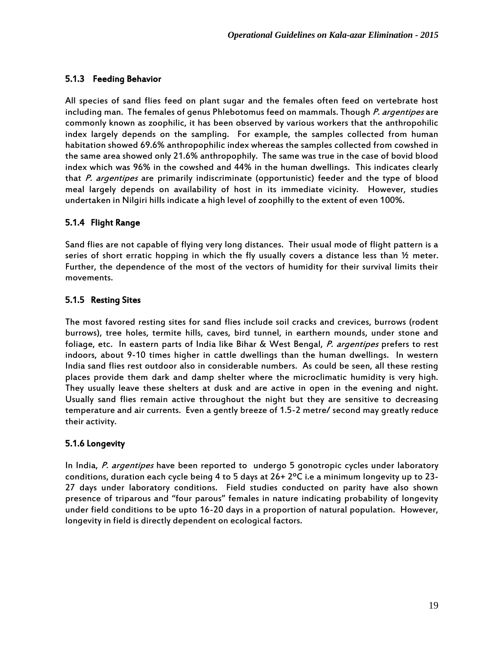### 5.1.3 Feeding Behavior

All species of sand flies feed on plant sugar and the females often feed on vertebrate host including man. The females of genus Phlebotomus feed on mammals. Though P. argentipes are commonly known as zoophilic, it has been observed by various workers that the anthropohilic index largely depends on the sampling. For example, the samples collected from human habitation showed 69.6% anthropophilic index whereas the samples collected from cowshed in the same area showed only 21.6% anthropophily. The same was true in the case of bovid blood index which was 96% in the cowshed and 44% in the human dwellings. This indicates clearly that P. argentipes are primarily indiscriminate (opportunistic) feeder and the type of blood meal largely depends on availability of host in its immediate vicinity. However, studies undertaken in Nilgiri hills indicate a high level of zoophilly to the extent of even 100%.

### 5.1.4 Flight Range

Sand flies are not capable of flying very long distances. Their usual mode of flight pattern is a series of short erratic hopping in which the fly usually covers a distance less than  $\mathcal V$  meter. Further, the dependence of the most of the vectors of humidity for their survival limits their movements.

### 5.1.5 Resting Sites

The most favored resting sites for sand flies include soil cracks and crevices, burrows (rodent burrows), tree holes, termite hills, caves, bird tunnel, in earthern mounds, under stone and foliage, etc. In eastern parts of India like Bihar & West Bengal, P. argentipes prefers to rest indoors, about 9-10 times higher in cattle dwellings than the human dwellings. In western India sand flies rest outdoor also in considerable numbers. As could be seen, all these resting places provide them dark and damp shelter where the microclimatic humidity is very high. They usually leave these shelters at dusk and are active in open in the evening and night. Usually sand flies remain active throughout the night but they are sensitive to decreasing temperature and air currents. Even a gently breeze of 1.5-2 metre/ second may greatly reduce their activity.

### 5.1.6 Longevity

In India, P. argentipes have been reported to undergo 5 gonotropic cycles under laboratory conditions, duration each cycle being 4 to 5 days at 26+ 2ºC i.e a minimum longevity up to 23- 27 days under laboratory conditions. Field studies conducted on parity have also shown presence of triparous and "four parous" females in nature indicating probability of longevity under field conditions to be upto 16-20 days in a proportion of natural population. However, longevity in field is directly dependent on ecological factors.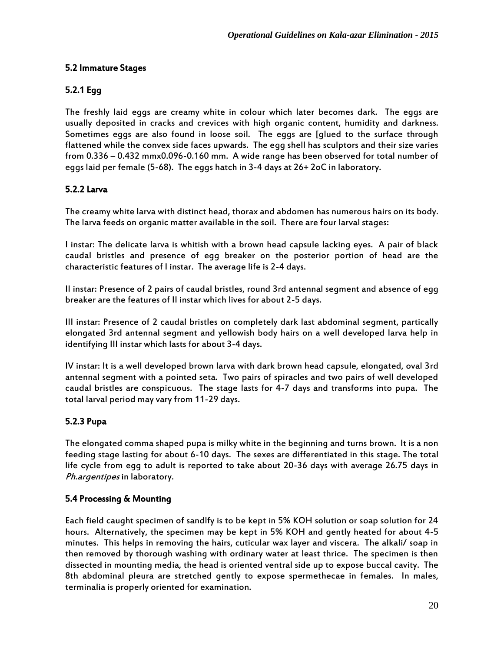### 5.2 Immature Stages

### 5.2.1 Egg

The freshly laid eggs are creamy white in colour which later becomes dark. The eggs are usually deposited in cracks and crevices with high organic content, humidity and darkness. Sometimes eggs are also found in loose soil. The eggs are [glued to the surface through flattened while the convex side faces upwards. The egg shell has sculptors and their size varies from 0.336 – 0.432 mmx0.096-0.160 mm. A wide range has been observed for total number of eggs laid per female (5-68). The eggs hatch in 3-4 days at 26+ 2oC in laboratory.

### 5.2.2 Larva

The creamy white larva with distinct head, thorax and abdomen has numerous hairs on its body. The larva feeds on organic matter available in the soil. There are four larval stages:

I instar: The delicate larva is whitish with a brown head capsule lacking eyes. A pair of black caudal bristles and presence of egg breaker on the posterior portion of head are the characteristic features of I instar. The average life is 2-4 days.

II instar: Presence of 2 pairs of caudal bristles, round 3rd antennal segment and absence of egg breaker are the features of II instar which lives for about 2-5 days.

III instar: Presence of 2 caudal bristles on completely dark last abdominal segment, partically elongated 3rd antennal segment and yellowish body hairs on a well developed larva help in identifying III instar which lasts for about 3-4 days.

IV instar: It is a well developed brown larva with dark brown head capsule, elongated, oval 3rd antennal segment with a pointed seta. Two pairs of spiracles and two pairs of well developed caudal bristles are conspicuous. The stage lasts for 4-7 days and transforms into pupa. The total larval period may vary from 11-29 days.

### 5.2.3 Pupa

The elongated comma shaped pupa is milky white in the beginning and turns brown. It is a non feeding stage lasting for about 6-10 days. The sexes are differentiated in this stage. The total life cycle from egg to adult is reported to take about 20-36 days with average 26.75 days in Ph.argentipes in laboratory.

### 5.4 Processing & Mounting

Each field caught specimen of sandlfy is to be kept in 5% KOH solution or soap solution for 24 hours. Alternatively, the specimen may be kept in 5% KOH and gently heated for about 4-5 minutes. This helps in removing the hairs, cuticular wax layer and viscera. The alkali/ soap in then removed by thorough washing with ordinary water at least thrice. The specimen is then dissected in mounting media, the head is oriented ventral side up to expose buccal cavity. The 8th abdominal pleura are stretched gently to expose spermethecae in females. In males, terminalia is properly oriented for examination.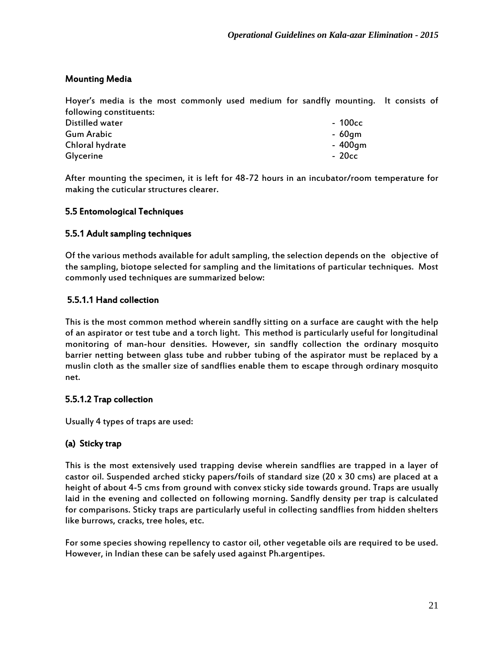### Mounting Media

Hoyer's media is the most commonly used medium for sandfly mounting. It consists of following constituents:

| Distilled water | - 100cc |
|-----------------|---------|
| Gum Arabic      | - 60am  |
| Chloral hydrate | - 400gm |
| Glycerine       | - 20cc  |

After mounting the specimen, it is left for 48-72 hours in an incubator/room temperature for making the cuticular structures clearer.

### 5.5 Entomological Techniques

### 5.5.1 Adult sampling techniques

Of the various methods available for adult sampling, the selection depends on the objective of the sampling, biotope selected for sampling and the limitations of particular techniques. Most commonly used techniques are summarized below:

### 5.5.1.1 Hand collection

This is the most common method wherein sandfly sitting on a surface are caught with the help of an aspirator or test tube and a torch light. This method is particularly useful for longitudinal monitoring of man-hour densities. However, sin sandfly collection the ordinary mosquito barrier netting between glass tube and rubber tubing of the aspirator must be replaced by a muslin cloth as the smaller size of sandflies enable them to escape through ordinary mosquito net.

### 5.5.1.2 Trap collection

Usually 4 types of traps are used:

### (a) Sticky trap

This is the most extensively used trapping devise wherein sandflies are trapped in a layer of castor oil. Suspended arched sticky papers/foils of standard size (20 x 30 cms) are placed at a height of about 4-5 cms from ground with convex sticky side towards ground. Traps are usually laid in the evening and collected on following morning. Sandfly density per trap is calculated for comparisons. Sticky traps are particularly useful in collecting sandflies from hidden shelters like burrows, cracks, tree holes, etc.

For some species showing repellency to castor oil, other vegetable oils are required to be used. However, in Indian these can be safely used against Ph.argentipes.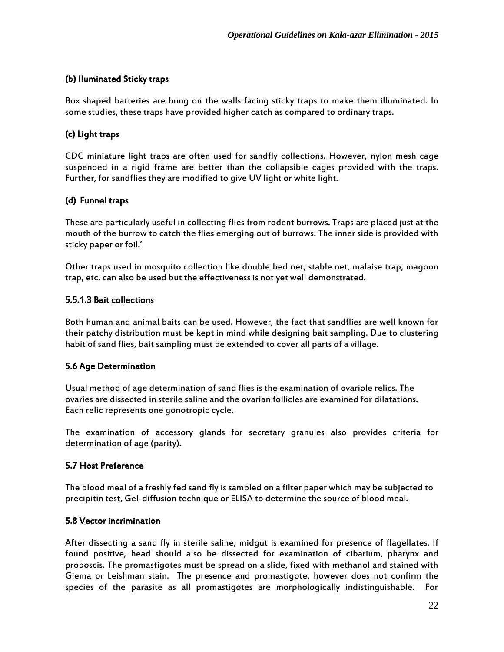### (b) IIuminated Sticky traps

Box shaped batteries are hung on the walls facing sticky traps to make them illuminated. In some studies, these traps have provided higher catch as compared to ordinary traps.

### (c) Light traps

CDC miniature light traps are often used for sandfly collections. However, nylon mesh cage suspended in a rigid frame are better than the collapsible cages provided with the traps. Further, for sandflies they are modified to give UV light or white light.

### (d) Funnel traps

These are particularly useful in collecting flies from rodent burrows. Traps are placed just at the mouth of the burrow to catch the flies emerging out of burrows. The inner side is provided with sticky paper or foil.'

Other traps used in mosquito collection like double bed net, stable net, malaise trap, magoon trap, etc. can also be used but the effectiveness is not yet well demonstrated.

### 5.5.1.3 Bait collections

Both human and animal baits can be used. However, the fact that sandflies are well known for their patchy distribution must be kept in mind while designing bait sampling. Due to clustering habit of sand flies, bait sampling must be extended to cover all parts of a village.

### 5.6 Age Determination

Usual method of age determination of sand flies is the examination of ovariole relics. The ovaries are dissected in sterile saline and the ovarian follicles are examined for dilatations. Each relic represents one gonotropic cycle.

The examination of accessory glands for secretary granules also provides criteria for determination of age (parity).

### 5.7 Host Preference

The blood meal of a freshly fed sand fly is sampled on a filter paper which may be subjected to precipitin test, Gel-diffusion technique or ELISA to determine the source of blood meal.

#### 5.8 Vector incrimination

After dissecting a sand fly in sterile saline, midgut is examined for presence of flagellates. If found positive, head should also be dissected for examination of cibarium, pharynx and proboscis. The promastigotes must be spread on a slide, fixed with methanol and stained with Giema or Leishman stain. The presence and promastigote, however does not confirm the species of the parasite as all promastigotes are morphologically indistinguishable. For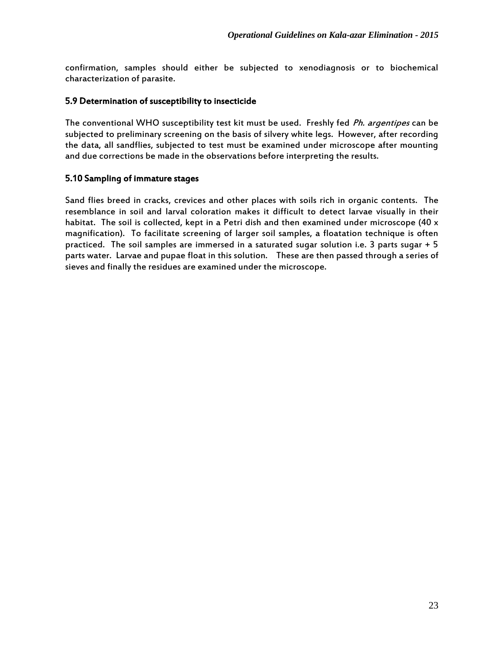confirmation, samples should either be subjected to xenodiagnosis or to biochemical characterization of parasite.

### 5.9 Determination of susceptibility to insecticide

The conventional WHO susceptibility test kit must be used. Freshly fed *Ph. argentipes* can be subjected to preliminary screening on the basis of silvery white legs. However, after recording the data, all sandflies, subjected to test must be examined under microscope after mounting and due corrections be made in the observations before interpreting the results.

### 5.10 Sampling of immature stages

Sand flies breed in cracks, crevices and other places with soils rich in organic contents. The resemblance in soil and larval coloration makes it difficult to detect larvae visually in their habitat. The soil is collected, kept in a Petri dish and then examined under microscope (40  $\times$ magnification). To facilitate screening of larger soil samples, a floatation technique is often practiced. The soil samples are immersed in a saturated sugar solution i.e. 3 parts sugar + 5 parts water. Larvae and pupae float in this solution. These are then passed through a series of sieves and finally the residues are examined under the microscope.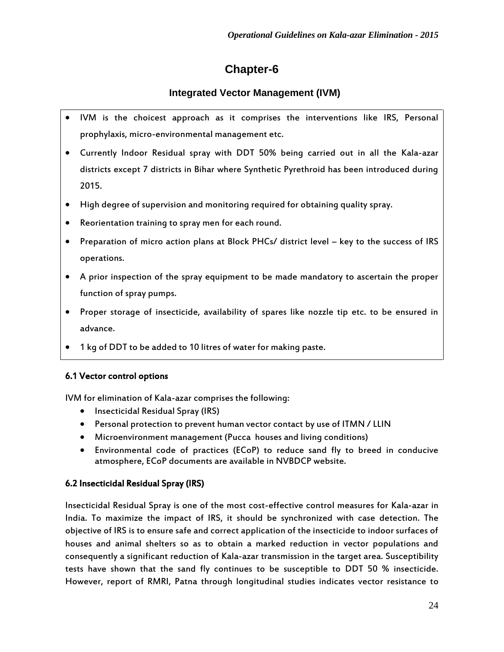# **Chapter-6**

### **Integrated Vector Management (IVM)**

- IVM is the choicest approach as it comprises the interventions like IRS, Personal prophylaxis, micro-environmental management etc.
- Currently Indoor Residual spray with DDT 50% being carried out in all the Kala-azar districts except 7 districts in Bihar where Synthetic Pyrethroid has been introduced during 2015.
- High degree of supervision and monitoring required for obtaining quality spray.
- Reorientation training to spray men for each round.
- Preparation of micro action plans at Block PHCs/ district level key to the success of IRS operations.
- A prior inspection of the spray equipment to be made mandatory to ascertain the proper function of spray pumps.
- Proper storage of insecticide, availability of spares like nozzle tip etc. to be ensured in advance.
- 1 kg of DDT to be added to 10 litres of water for making paste.

### 6.1 Vector control options

IVM for elimination of Kala-azar comprises the following:

- Insecticidal Residual Spray (IRS)
- Personal protection to prevent human vector contact by use of ITMN / LLIN
- Microenvironment management (Pucca houses and living conditions)
- Environmental code of practices (ECoP) to reduce sand fly to breed in conducive atmosphere, ECoP documents are available in NVBDCP website.

### 6.2 Insecticidal Residual Spray (IRS)

Insecticidal Residual Spray is one of the most cost-effective control measures for Kala-azar in India. To maximize the impact of IRS, it should be synchronized with case detection. The objective of IRS is to ensure safe and correct application of the insecticide to indoor surfaces of houses and animal shelters so as to obtain a marked reduction in vector populations and consequently a significant reduction of Kala-azar transmission in the target area. Susceptibility tests have shown that the sand fly continues to be susceptible to DDT 50 % insecticide. However, report of RMRI, Patna through longitudinal studies indicates vector resistance to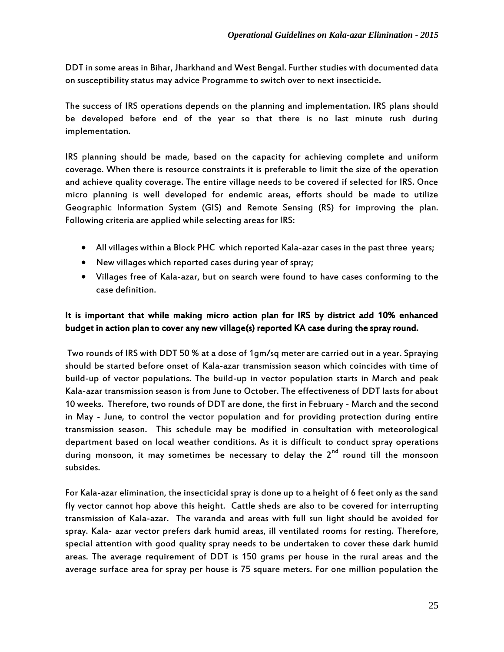DDT in some areas in Bihar, Jharkhand and West Bengal. Further studies with documented data on susceptibility status may advice Programme to switch over to next insecticide.

The success of IRS operations depends on the planning and implementation. IRS plans should be developed before end of the year so that there is no last minute rush during implementation.

IRS planning should be made, based on the capacity for achieving complete and uniform coverage. When there is resource constraints it is preferable to limit the size of the operation and achieve quality coverage. The entire village needs to be covered if selected for IRS. Once micro planning is well developed for endemic areas, efforts should be made to utilize Geographic Information System (GIS) and Remote Sensing (RS) for improving the plan. Following criteria are applied while selecting areas for IRS:

- All villages within a Block PHC which reported Kala-azar cases in the past three years;
- New villages which reported cases during year of spray;
- Villages free of Kala-azar, but on search were found to have cases conforming to the case definition.

### It is important that while making micro action plan for IRS by district add 10% enhanced budget in action plan to cover any new village(s) reported KA case during the spray round.

Two rounds of IRS with DDT 50 % at a dose of 1gm/sq meter are carried out in a year. Spraying should be started before onset of Kala-azar transmission season which coincides with time of build-up of vector populations. The build-up in vector population starts in March and peak Kala-azar transmission season is from June to October. The effectiveness of DDT lasts for about 10 weeks. Therefore, two rounds of DDT are done, the first in February - March and the second in May - June, to control the vector population and for providing protection during entire transmission season. This schedule may be modified in consultation with meteorological department based on local weather conditions. As it is difficult to conduct spray operations during monsoon, it may sometimes be necessary to delay the  $2<sup>nd</sup>$  round till the monsoon subsides.

For Kala-azar elimination, the insecticidal spray is done up to a height of 6 feet only as the sand fly vector cannot hop above this height. Cattle sheds are also to be covered for interrupting transmission of Kala-azar. The varanda and areas with full sun light should be avoided for spray. Kala- azar vector prefers dark humid areas, ill ventilated rooms for resting. Therefore, special attention with good quality spray needs to be undertaken to cover these dark humid areas. The average requirement of DDT is 150 grams per house in the rural areas and the average surface area for spray per house is 75 square meters. For one million population the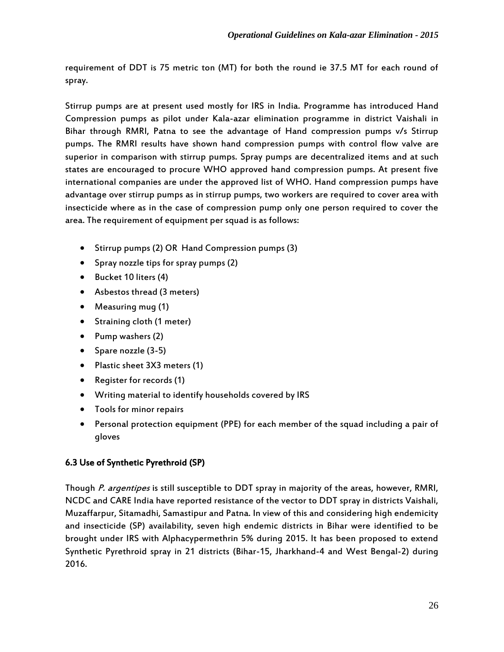requirement of DDT is 75 metric ton (MT) for both the round ie 37.5 MT for each round of spray.

Stirrup pumps are at present used mostly for IRS in India. Programme has introduced Hand Compression pumps as pilot under Kala-azar elimination programme in district Vaishali in Bihar through RMRI, Patna to see the advantage of Hand compression pumps v/s Stirrup pumps. The RMRI results have shown hand compression pumps with control flow valve are superior in comparison with stirrup pumps. Spray pumps are decentralized items and at such states are encouraged to procure WHO approved hand compression pumps. At present five international companies are under the approved list of WHO. Hand compression pumps have advantage over stirrup pumps as in stirrup pumps, two workers are required to cover area with insecticide where as in the case of compression pump only one person required to cover the area. The requirement of equipment per squad is as follows:

- Stirrup pumps (2) OR Hand Compression pumps (3)
- Spray nozzle tips for spray pumps (2)
- Bucket 10 liters (4)
- Asbestos thread (3 meters)
- Measuring mug (1)
- Straining cloth (1 meter)
- $\bullet$  Pump washers (2)
- Spare nozzle  $(3-5)$
- Plastic sheet 3X3 meters (1)
- Register for records (1)
- Writing material to identify households covered by IRS
- Tools for minor repairs
- Personal protection equipment (PPE) for each member of the squad including a pair of gloves

### 6.3 Use of Synthetic Pyrethroid (SP)

Though P. argentipes is still susceptible to DDT spray in majority of the areas, however, RMRI, NCDC and CARE India have reported resistance of the vector to DDT spray in districts Vaishali, Muzaffarpur, Sitamadhi, Samastipur and Patna. In view of this and considering high endemicity and insecticide (SP) availability, seven high endemic districts in Bihar were identified to be brought under IRS with Alphacypermethrin 5% during 2015. It has been proposed to extend Synthetic Pyrethroid spray in 21 districts (Bihar-15, Jharkhand-4 and West Bengal-2) during 2016.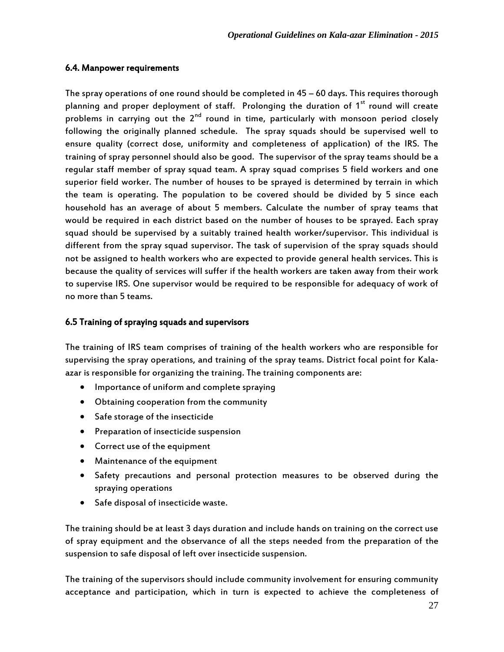### 6.4. Manpower requirements

The spray operations of one round should be completed in 45 – 60 days. This requires thorough planning and proper deployment of staff. Prolonging the duration of  $1<sup>st</sup>$  round will create problems in carrying out the  $2^{nd}$  round in time, particularly with monsoon period closely following the originally planned schedule. The spray squads should be supervised well to ensure quality (correct dose, uniformity and completeness of application) of the IRS. The training of spray personnel should also be good. The supervisor of the spray teams should be a regular staff member of spray squad team. A spray squad comprises 5 field workers and one superior field worker. The number of houses to be sprayed is determined by terrain in which the team is operating. The population to be covered should be divided by 5 since each household has an average of about 5 members. Calculate the number of spray teams that would be required in each district based on the number of houses to be sprayed. Each spray squad should be supervised by a suitably trained health worker/supervisor. This individual is different from the spray squad supervisor. The task of supervision of the spray squads should not be assigned to health workers who are expected to provide general health services. This is because the quality of services will suffer if the health workers are taken away from their work to supervise IRS. One supervisor would be required to be responsible for adequacy of work of no more than 5 teams.

### 6.5 Training of spraying squads and supervisors

The training of IRS team comprises of training of the health workers who are responsible for supervising the spray operations, and training of the spray teams. District focal point for Kalaazar is responsible for organizing the training. The training components are:

- Importance of uniform and complete spraying
- Obtaining cooperation from the community
- Safe storage of the insecticide
- Preparation of insecticide suspension
- Correct use of the equipment
- Maintenance of the equipment
- Safety precautions and personal protection measures to be observed during the spraying operations
- Safe disposal of insecticide waste.

The training should be at least 3 days duration and include hands on training on the correct use of spray equipment and the observance of all the steps needed from the preparation of the suspension to safe disposal of left over insecticide suspension.

The training of the supervisors should include community involvement for ensuring community acceptance and participation, which in turn is expected to achieve the completeness of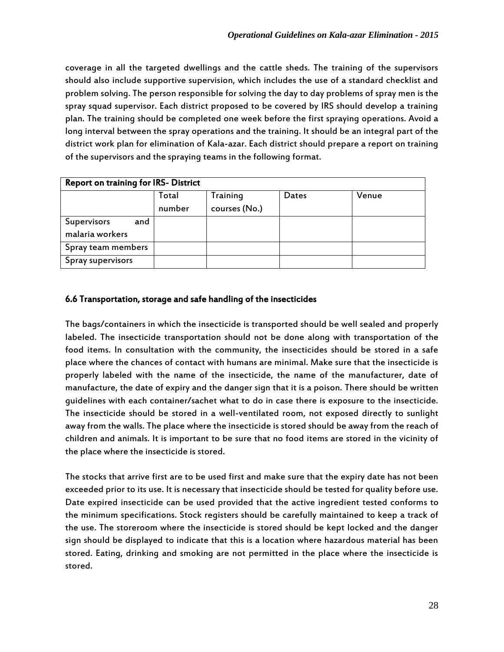coverage in all the targeted dwellings and the cattle sheds. The training of the supervisors should also include supportive supervision, which includes the use of a standard checklist and problem solving. The person responsible for solving the day to day problems of spray men is the spray squad supervisor. Each district proposed to be covered by IRS should develop a training plan. The training should be completed one week before the first spraying operations. Avoid a long interval between the spray operations and the training. It should be an integral part of the district work plan for elimination of Kala-azar. Each district should prepare a report on training of the supervisors and the spraying teams in the following format.

| <b>Report on training for IRS- District</b> |                 |                           |       |       |
|---------------------------------------------|-----------------|---------------------------|-------|-------|
|                                             | Total<br>number | Training<br>courses (No.) | Dates | Venue |
|                                             |                 |                           |       |       |
| Supervisors<br>and                          |                 |                           |       |       |
| malaria workers                             |                 |                           |       |       |
| Spray team members                          |                 |                           |       |       |
| Spray supervisors                           |                 |                           |       |       |

### 6.6 Transportation, storage and safe handling of the insecticides

The bags/containers in which the insecticide is transported should be well sealed and properly labeled. The insecticide transportation should not be done along with transportation of the food items. In consultation with the community, the insecticides should be stored in a safe place where the chances of contact with humans are minimal. Make sure that the insecticide is properly labeled with the name of the insecticide, the name of the manufacturer, date of manufacture, the date of expiry and the danger sign that it is a poison. There should be written guidelines with each container/sachet what to do in case there is exposure to the insecticide. The insecticide should be stored in a well-ventilated room, not exposed directly to sunlight away from the walls. The place where the insecticide is stored should be away from the reach of children and animals. It is important to be sure that no food items are stored in the vicinity of the place where the insecticide is stored.

The stocks that arrive first are to be used first and make sure that the expiry date has not been exceeded prior to its use. It is necessary that insecticide should be tested for quality before use. Date expired insecticide can be used provided that the active ingredient tested conforms to the minimum specifications. Stock registers should be carefully maintained to keep a track of the use. The storeroom where the insecticide is stored should be kept locked and the danger sign should be displayed to indicate that this is a location where hazardous material has been stored. Eating, drinking and smoking are not permitted in the place where the insecticide is stored.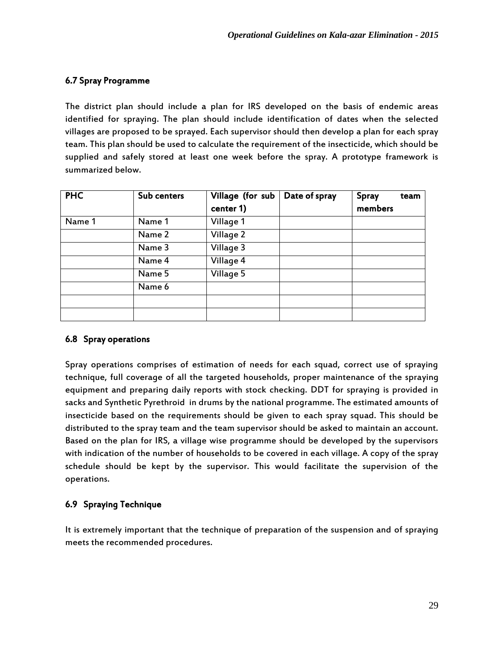### 6.7 Spray Programme

The district plan should include a plan for IRS developed on the basis of endemic areas identified for spraying. The plan should include identification of dates when the selected villages are proposed to be sprayed. Each supervisor should then develop a plan for each spray team. This plan should be used to calculate the requirement of the insecticide, which should be supplied and safely stored at least one week before the spray. A prototype framework is summarized below.

| <b>PHC</b> | Sub centers | Village (for sub | Date of spray | Spray<br>team |
|------------|-------------|------------------|---------------|---------------|
|            |             | center 1)        |               | members       |
| Name 1     | Name 1      | Village 1        |               |               |
|            | Name 2      | Village 2        |               |               |
|            | Name 3      | Village 3        |               |               |
|            | Name 4      | Village 4        |               |               |
|            | Name 5      | Village 5        |               |               |
|            | Name 6      |                  |               |               |
|            |             |                  |               |               |
|            |             |                  |               |               |

### 6.8 Spray operations

Spray operations comprises of estimation of needs for each squad, correct use of spraying technique, full coverage of all the targeted households, proper maintenance of the spraying equipment and preparing daily reports with stock checking. DDT for spraying is provided in sacks and Synthetic Pyrethroid in drums by the national programme. The estimated amounts of insecticide based on the requirements should be given to each spray squad. This should be distributed to the spray team and the team supervisor should be asked to maintain an account. Based on the plan for IRS, a village wise programme should be developed by the supervisors with indication of the number of households to be covered in each village. A copy of the spray schedule should be kept by the supervisor. This would facilitate the supervision of the operations.

### 6.9 Spraying Technique

It is extremely important that the technique of preparation of the suspension and of spraying meets the recommended procedures.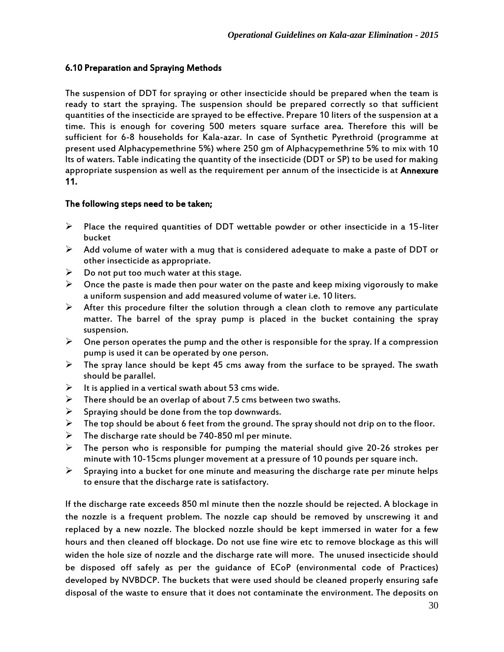## 6.10 Preparation and Spraying Methods

The suspension of DDT for spraying or other insecticide should be prepared when the team is ready to start the spraying. The suspension should be prepared correctly so that sufficient quantities of the insecticide are sprayed to be effective. Prepare 10 liters of the suspension at a time. This is enough for covering 500 meters square surface area. Therefore this will be sufficient for 6-8 households for Kala-azar. In case of Synthetic Pyrethroid (programme at present used Alphacypemethrine 5%) where 250 gm of Alphacypemethrine 5% to mix with 10 lts of waters. Table indicating the quantity of the insecticide (DDT or SP) to be used for making appropriate suspension as well as the requirement per annum of the insecticide is at Annexure 11.

#### The following steps need to be taken;

- $\triangleright$  Place the required quantities of DDT wettable powder or other insecticide in a 15-liter bucket
- $\triangleright$  Add volume of water with a mug that is considered adequate to make a paste of DDT or other insecticide as appropriate.
- $\triangleright$  Do not put too much water at this stage.
- $\triangleright$  Once the paste is made then pour water on the paste and keep mixing vigorously to make a uniform suspension and add measured volume of water i.e. 10 liters.
- $\triangleright$  After this procedure filter the solution through a clean cloth to remove any particulate matter. The barrel of the spray pump is placed in the bucket containing the spray suspension.
- $\triangleright$  One person operates the pump and the other is responsible for the spray. If a compression pump is used it can be operated by one person.
- $\triangleright$  The spray lance should be kept 45 cms away from the surface to be sprayed. The swath should be parallel.
- $\triangleright$  It is applied in a vertical swath about 53 cms wide.
- $\triangleright$  There should be an overlap of about 7.5 cms between two swaths.
- $\triangleright$  Spraying should be done from the top downwards.
- $\triangleright$  The top should be about 6 feet from the ground. The spray should not drip on to the floor.
- $\triangleright$  The discharge rate should be 740-850 ml per minute.
- $\triangleright$  The person who is responsible for pumping the material should give 20-26 strokes per minute with 10-15cms plunger movement at a pressure of 10 pounds per square inch.
- $\triangleright$  Spraying into a bucket for one minute and measuring the discharge rate per minute helps to ensure that the discharge rate is satisfactory.

If the discharge rate exceeds 850 ml minute then the nozzle should be rejected. A blockage in the nozzle is a frequent problem. The nozzle cap should be removed by unscrewing it and replaced by a new nozzle. The blocked nozzle should be kept immersed in water for a few hours and then cleaned off blockage. Do not use fine wire etc to remove blockage as this will widen the hole size of nozzle and the discharge rate will more. The unused insecticide should be disposed off safely as per the guidance of ECoP (environmental code of Practices) developed by NVBDCP. The buckets that were used should be cleaned properly ensuring safe disposal of the waste to ensure that it does not contaminate the environment. The deposits on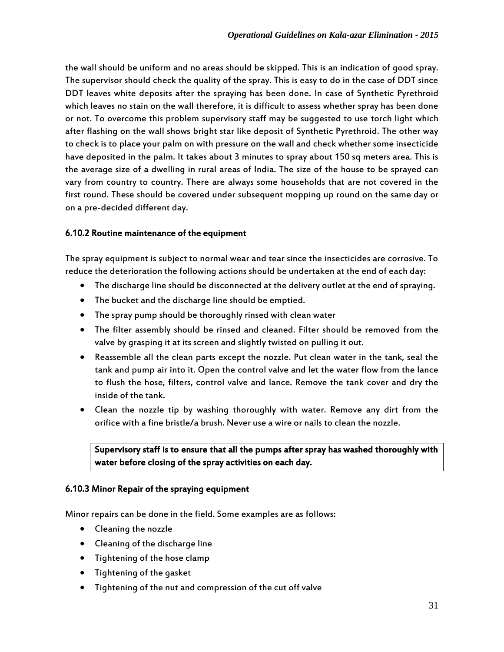the wall should be uniform and no areas should be skipped. This is an indication of good spray. The supervisor should check the quality of the spray. This is easy to do in the case of DDT since DDT leaves white deposits after the spraying has been done. In case of Synthetic Pyrethroid which leaves no stain on the wall therefore, it is difficult to assess whether spray has been done or not. To overcome this problem supervisory staff may be suggested to use torch light which after flashing on the wall shows bright star like deposit of Synthetic Pyrethroid. The other way to check is to place your palm on with pressure on the wall and check whether some insecticide have deposited in the palm. It takes about 3 minutes to spray about 150 sq meters area. This is the average size of a dwelling in rural areas of India. The size of the house to be sprayed can vary from country to country. There are always some households that are not covered in the first round. These should be covered under subsequent mopping up round on the same day or on a pre-decided different day.

#### 6.10.2 Routine maintenance of the equipment

The spray equipment is subject to normal wear and tear since the insecticides are corrosive. To reduce the deterioration the following actions should be undertaken at the end of each day:

- The discharge line should be disconnected at the delivery outlet at the end of spraying.
- The bucket and the discharge line should be emptied.
- The spray pump should be thoroughly rinsed with clean water
- The filter assembly should be rinsed and cleaned. Filter should be removed from the valve by grasping it at its screen and slightly twisted on pulling it out.
- Reassemble all the clean parts except the nozzle. Put clean water in the tank, seal the tank and pump air into it. Open the control valve and let the water flow from the lance to flush the hose, filters, control valve and lance. Remove the tank cover and dry the inside of the tank.
- Clean the nozzle tip by washing thoroughly with water. Remove any dirt from the orifice with a fine bristle/a brush. Never use a wire or nails to clean the nozzle.

## Supervisory staff is to ensure that all the pumps after spray has washed thoroughly with water before closing of the spray activities on each day.

#### 6.10.3 Minor Repair of the spraying equipment

Minor repairs can be done in the field. Some examples are as follows:

- Cleaning the nozzle
- Cleaning of the discharge line
- Tightening of the hose clamp
- Tightening of the gasket
- Tightening of the nut and compression of the cut off valve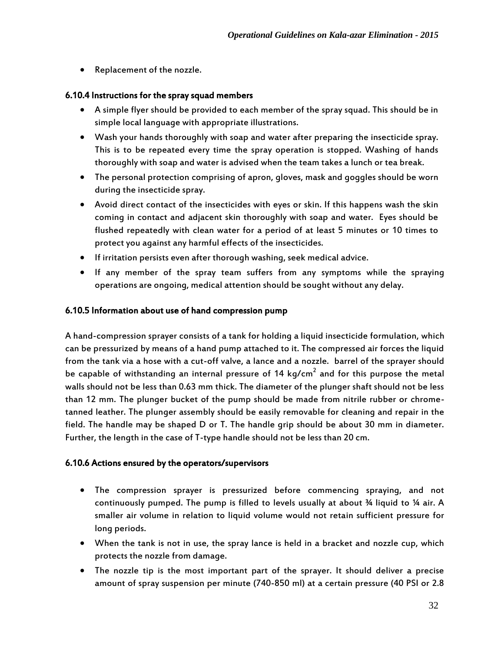Replacement of the nozzle.

#### 6.10.4 Instructions for the spray squad members

- A simple flyer should be provided to each member of the spray squad. This should be in simple local language with appropriate illustrations.
- Wash your hands thoroughly with soap and water after preparing the insecticide spray. This is to be repeated every time the spray operation is stopped. Washing of hands thoroughly with soap and water is advised when the team takes a lunch or tea break.
- The personal protection comprising of apron, gloves, mask and goggles should be worn during the insecticide spray.
- Avoid direct contact of the insecticides with eyes or skin. If this happens wash the skin coming in contact and adjacent skin thoroughly with soap and water. Eyes should be flushed repeatedly with clean water for a period of at least 5 minutes or 10 times to protect you against any harmful effects of the insecticides.
- If irritation persists even after thorough washing, seek medical advice.
- If any member of the spray team suffers from any symptoms while the spraying operations are ongoing, medical attention should be sought without any delay.

#### 6.10.5 Information about use of hand compression pump

A hand-compression sprayer consists of a tank for holding a liquid insecticide formulation, which can be pressurized by means of a hand pump attached to it. The compressed air forces the liquid from the tank via a hose with a cut-off valve, a lance and a nozzle. barrel of the sprayer should be capable of withstanding an internal pressure of 14 kg/cm $^2$  and for this purpose the metal walls should not be less than 0.63 mm thick. The diameter of the plunger shaft should not be less than 12 mm. The plunger bucket of the pump should be made from nitrile rubber or chrometanned leather. The plunger assembly should be easily removable for cleaning and repair in the field. The handle may be shaped D or T. The handle grip should be about 30 mm in diameter. Further, the length in the case of T-type handle should not be less than 20 cm.

#### 6.10.6 Actions ensured by the operators/supervisors

- The compression sprayer is pressurized before commencing spraying, and not continuously pumped. The pump is filled to levels usually at about ¾ liquid to ¼ air. A smaller air volume in relation to liquid volume would not retain sufficient pressure for long periods.
- When the tank is not in use, the spray lance is held in a bracket and nozzle cup, which protects the nozzle from damage.
- The nozzle tip is the most important part of the sprayer. It should deliver a precise amount of spray suspension per minute (740-850 ml) at a certain pressure (40 PSI or 2.8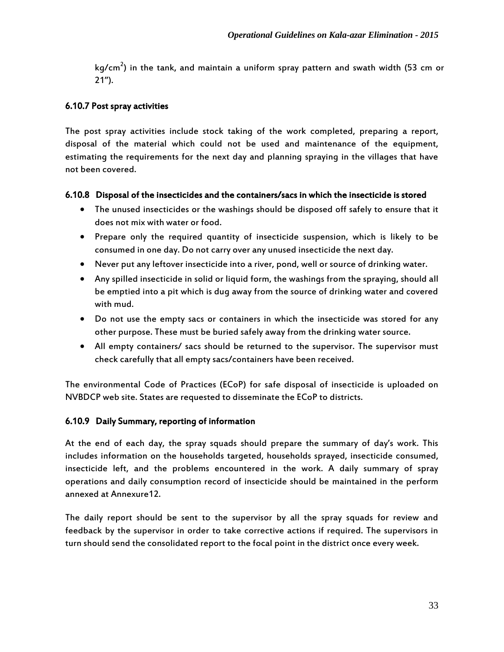kg/cm $^2$ ) in the tank, and maintain a uniform spray pattern and swath width (53 cm or 21").

#### 6.10.7 Post spray activities

The post spray activities include stock taking of the work completed, preparing a report, disposal of the material which could not be used and maintenance of the equipment, estimating the requirements for the next day and planning spraying in the villages that have not been covered.

#### 6.10.8 Disposal of the insecticides and the containers/sacs in which the insecticide is stored

- The unused insecticides or the washings should be disposed off safely to ensure that it does not mix with water or food.
- Prepare only the required quantity of insecticide suspension, which is likely to be consumed in one day. Do not carry over any unused insecticide the next day.
- Never put any leftover insecticide into a river, pond, well or source of drinking water.
- Any spilled insecticide in solid or liquid form, the washings from the spraying, should all be emptied into a pit which is dug away from the source of drinking water and covered with mud.
- Do not use the empty sacs or containers in which the insecticide was stored for any other purpose. These must be buried safely away from the drinking water source.
- All empty containers/ sacs should be returned to the supervisor. The supervisor must check carefully that all empty sacs/containers have been received.

The environmental Code of Practices (ECoP) for safe disposal of insecticide is uploaded on NVBDCP web site. States are requested to disseminate the ECoP to districts.

#### 6.10.9 Daily Summary, reporting of information

At the end of each day, the spray squads should prepare the summary of day's work. This includes information on the households targeted, households sprayed, insecticide consumed, insecticide left, and the problems encountered in the work. A daily summary of spray operations and daily consumption record of insecticide should be maintained in the perform annexed at Annexure12.

The daily report should be sent to the supervisor by all the spray squads for review and feedback by the supervisor in order to take corrective actions if required. The supervisors in turn should send the consolidated report to the focal point in the district once every week.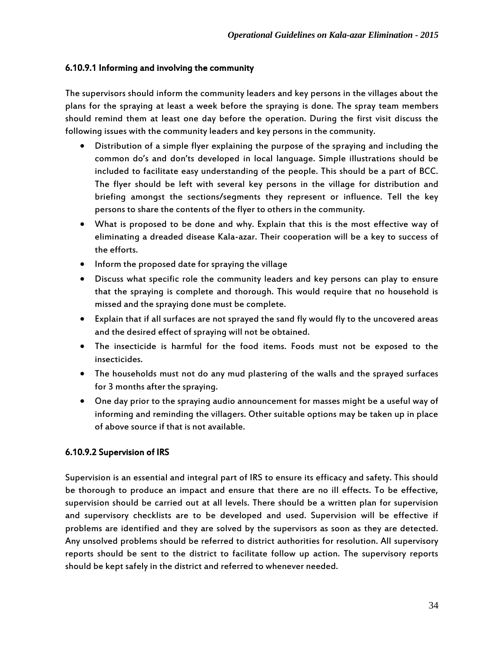### 6.10.9.1 Informing and involving the community

The supervisors should inform the community leaders and key persons in the villages about the plans for the spraying at least a week before the spraying is done. The spray team members should remind them at least one day before the operation. During the first visit discuss the following issues with the community leaders and key persons in the community.

- Distribution of a simple flyer explaining the purpose of the spraying and including the common do's and don'ts developed in local language. Simple illustrations should be included to facilitate easy understanding of the people. This should be a part of BCC. The flyer should be left with several key persons in the village for distribution and briefing amongst the sections/segments they represent or influence. Tell the key persons to share the contents of the flyer to others in the community.
- What is proposed to be done and why. Explain that this is the most effective way of eliminating a dreaded disease Kala-azar. Their cooperation will be a key to success of the efforts.
- Inform the proposed date for spraying the village
- Discuss what specific role the community leaders and key persons can play to ensure that the spraying is complete and thorough. This would require that no household is missed and the spraying done must be complete.
- Explain that if all surfaces are not sprayed the sand fly would fly to the uncovered areas and the desired effect of spraying will not be obtained.
- The insecticide is harmful for the food items. Foods must not be exposed to the insecticides.
- The households must not do any mud plastering of the walls and the sprayed surfaces for 3 months after the spraying.
- One day prior to the spraying audio announcement for masses might be a useful way of informing and reminding the villagers. Other suitable options may be taken up in place of above source if that is not available.

#### 6.10.9.2 Supervision of IRS

Supervision is an essential and integral part of IRS to ensure its efficacy and safety. This should be thorough to produce an impact and ensure that there are no ill effects. To be effective, supervision should be carried out at all levels. There should be a written plan for supervision and supervisory checklists are to be developed and used. Supervision will be effective if problems are identified and they are solved by the supervisors as soon as they are detected. Any unsolved problems should be referred to district authorities for resolution. All supervisory reports should be sent to the district to facilitate follow up action. The supervisory reports should be kept safely in the district and referred to whenever needed.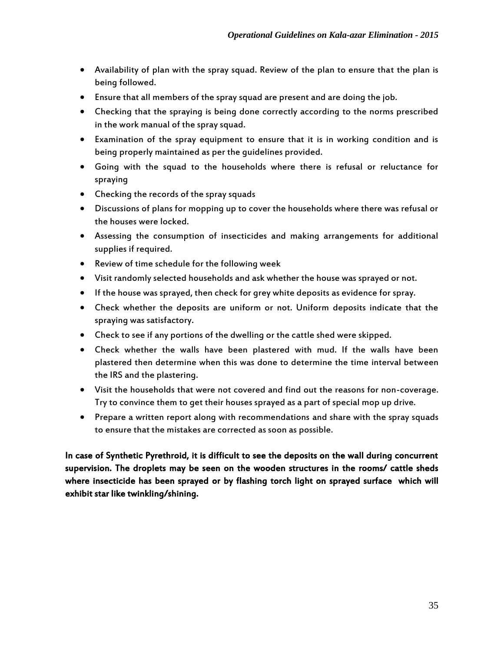- Availability of plan with the spray squad. Review of the plan to ensure that the plan is being followed.
- Ensure that all members of the spray squad are present and are doing the job.
- Checking that the spraying is being done correctly according to the norms prescribed in the work manual of the spray squad.
- Examination of the spray equipment to ensure that it is in working condition and is being properly maintained as per the guidelines provided.
- Going with the squad to the households where there is refusal or reluctance for spraying
- Checking the records of the spray squads
- Discussions of plans for mopping up to cover the households where there was refusal or the houses were locked.
- Assessing the consumption of insecticides and making arrangements for additional supplies if required.
- Review of time schedule for the following week
- Visit randomly selected households and ask whether the house was sprayed or not.
- If the house was sprayed, then check for grey white deposits as evidence for spray.
- Check whether the deposits are uniform or not. Uniform deposits indicate that the spraying was satisfactory.
- Check to see if any portions of the dwelling or the cattle shed were skipped.
- Check whether the walls have been plastered with mud. If the walls have been plastered then determine when this was done to determine the time interval between the IRS and the plastering.
- Visit the households that were not covered and find out the reasons for non-coverage. Try to convince them to get their houses sprayed as a part of special mop up drive.
- Prepare a written report along with recommendations and share with the spray squads to ensure that the mistakes are corrected as soon as possible.

In case of Synthetic Pyrethroid, it is difficult to see the deposits on the wall during concurrent supervision. The droplets may be seen on the wooden structures in the rooms/ cattle sheds where insecticide has been sprayed or by flashing torch light on sprayed surface which will exhibit star like twinkling/shining.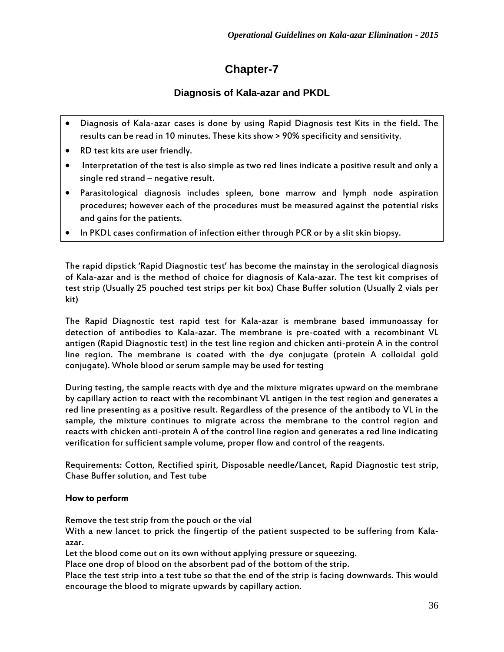# **Chapter-7**

# **Diagnosis of Kala-azar and PKDL**

- Diagnosis of Kala-azar cases is done by using Rapid Diagnosis test Kits in the field. The results can be read in 10 minutes. These kits show > 90% specificity and sensitivity.
- RD test kits are user friendly.
- Interpretation of the test is also simple as two red lines indicate a positive result and only a single red strand – negative result.
- Parasitological diagnosis includes spleen, bone marrow and lymph node aspiration procedures; however each of the procedures must be measured against the potential risks and gains for the patients.
- In PKDL cases confirmation of infection either through PCR or by a slit skin biopsy.

The rapid dipstick 'Rapid Diagnostic test' has become the mainstay in the serological diagnosis of Kala-azar and is the method of choice for diagnosis of Kala-azar. The test kit comprises of test strip (Usually 25 pouched test strips per kit box) Chase Buffer solution (Usually 2 vials per kit)

The Rapid Diagnostic test rapid test for Kala-azar is membrane based immunoassay for detection of antibodies to Kala-azar. The membrane is pre-coated with a recombinant VL antigen (Rapid Diagnostic test) in the test line region and chicken anti-protein A in the control line region. The membrane is coated with the dye conjugate (protein A colloidal gold conjugate). Whole blood or serum sample may be used for testing

During testing, the sample reacts with dye and the mixture migrates upward on the membrane by capillary action to react with the recombinant VL antigen in the test region and generates a red line presenting as a positive result. Regardless of the presence of the antibody to VL in the sample, the mixture continues to migrate across the membrane to the control region and reacts with chicken anti-protein A of the control line region and generates a red line indicating verification for sufficient sample volume, proper flow and control of the reagents.

Requirements: Cotton, Rectified spirit, Disposable needle/Lancet, Rapid Diagnostic test strip, Chase Buffer solution, and Test tube

#### How to perform

Remove the test strip from the pouch or the vial

With a new lancet to prick the fingertip of the patient suspected to be suffering from Kalaazar.

Let the blood come out on its own without applying pressure or squeezing.

Place one drop of blood on the absorbent pad of the bottom of the strip.

Place the test strip into a test tube so that the end of the strip is facing downwards. This would encourage the blood to migrate upwards by capillary action.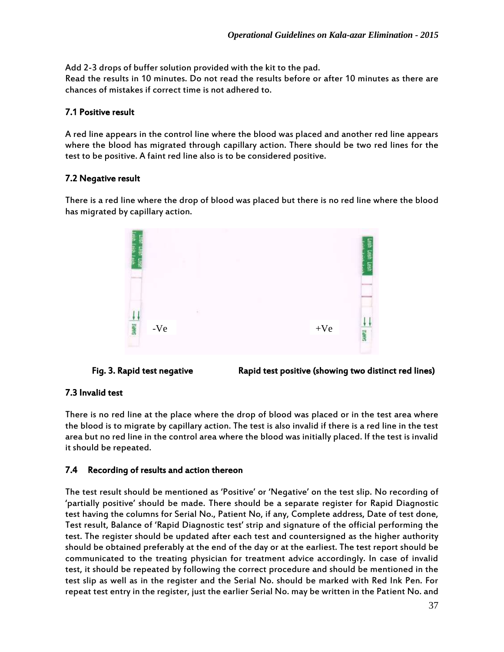Add 2-3 drops of buffer solution provided with the kit to the pad. Read the results in 10 minutes. Do not read the results before or after 10 minutes as there are chances of mistakes if correct time is not adhered to.

## 7.1 Positive result

A red line appears in the control line where the blood was placed and another red line appears where the blood has migrated through capillary action. There should be two red lines for the test to be positive. A faint red line also is to be considered positive.

## 7.2 Negative result

There is a red line where the drop of blood was placed but there is no red line where the blood has migrated by capillary action.





Fig. 3. Rapid test negative Rapid test positive (showing two distinct red lines)

## 7.3 Invalid test

There is no red line at the place where the drop of blood was placed or in the test area where the blood is to migrate by capillary action. The test is also invalid if there is a red line in the test area but no red line in the control area where the blood was initially placed. If the test is invalid it should be repeated.

# 7.4 Recording of results and action thereon

The test result should be mentioned as 'Positive' or 'Negative' on the test slip. No recording of 'partially positive' should be made. There should be a separate register for Rapid Diagnostic test having the columns for Serial No., Patient No, if any, Complete address, Date of test done, Test result, Balance of 'Rapid Diagnostic test' strip and signature of the official performing the test. The register should be updated after each test and countersigned as the higher authority should be obtained preferably at the end of the day or at the earliest. The test report should be communicated to the treating physician for treatment advice accordingly. In case of invalid test, it should be repeated by following the correct procedure and should be mentioned in the test slip as well as in the register and the Serial No. should be marked with Red Ink Pen. For repeat test entry in the register, just the earlier Serial No. may be written in the Patient No. and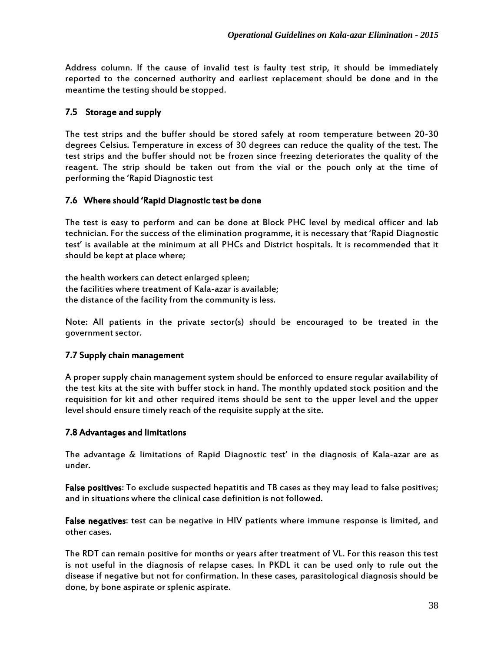Address column. If the cause of invalid test is faulty test strip, it should be immediately reported to the concerned authority and earliest replacement should be done and in the meantime the testing should be stopped.

## 7.5 Storage and supply

The test strips and the buffer should be stored safely at room temperature between 20-30 degrees Celsius. Temperature in excess of 30 degrees can reduce the quality of the test. The test strips and the buffer should not be frozen since freezing deteriorates the quality of the reagent. The strip should be taken out from the vial or the pouch only at the time of performing the 'Rapid Diagnostic test

#### 7.6 Where should 'Rapid Diagnostic test be done

The test is easy to perform and can be done at Block PHC level by medical officer and lab technician. For the success of the elimination programme, it is necessary that 'Rapid Diagnostic test' is available at the minimum at all PHCs and District hospitals. It is recommended that it should be kept at place where;

the health workers can detect enlarged spleen; the facilities where treatment of Kala-azar is available; the distance of the facility from the community is less.

Note: All patients in the private sector(s) should be encouraged to be treated in the government sector.

#### 7.7 Supply chain management

A proper supply chain management system should be enforced to ensure regular availability of the test kits at the site with buffer stock in hand. The monthly updated stock position and the requisition for kit and other required items should be sent to the upper level and the upper level should ensure timely reach of the requisite supply at the site.

#### 7.8 Advantages and limitations

The advantage & limitations of Rapid Diagnostic test' in the diagnosis of Kala-azar are as under.

False positives: To exclude suspected hepatitis and TB cases as they may lead to false positives; and in situations where the clinical case definition is not followed.

False negatives: test can be negative in HIV patients where immune response is limited, and other cases.

The RDT can remain positive for months or years after treatment of VL. For this reason this test is not useful in the diagnosis of relapse cases. In PKDL it can be used only to rule out the disease if negative but not for confirmation. In these cases, parasitological diagnosis should be done, by bone aspirate or splenic aspirate.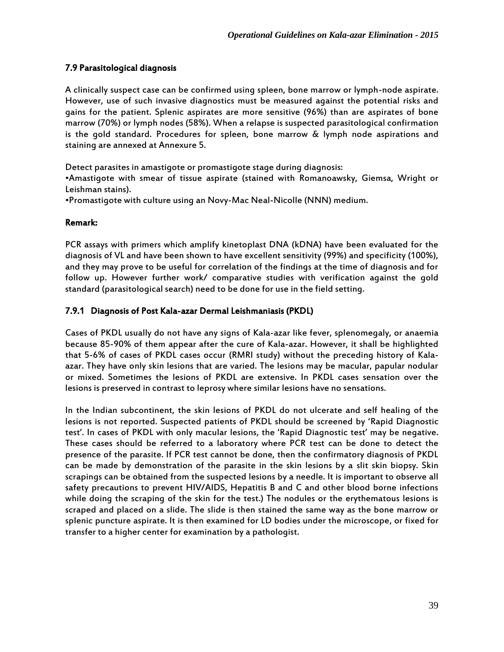## 7.9 Parasitological diagnosis

A clinically suspect case can be confirmed using spleen, bone marrow or lymph-node aspirate. However, use of such invasive diagnostics must be measured against the potential risks and gains for the patient. Splenic aspirates are more sensitive (96%) than are aspirates of bone marrow (70%) or lymph nodes (58%). When a relapse is suspected parasitological confirmation is the gold standard. Procedures for spleen, bone marrow & lymph node aspirations and staining are annexed at Annexure 5.

Detect parasites in amastigote or promastigote stage during diagnosis:

•Amastigote with smear of tissue aspirate (stained with Romanoawsky, Giemsa, Wright or Leishman stains).

•Promastigote with culture using an Novy-Mac Neal-Nicolle (NNN) medium.

#### Remark:

PCR assays with primers which amplify kinetoplast DNA (kDNA) have been evaluated for the diagnosis of VL and have been shown to have excellent sensitivity (99%) and specificity (100%), and they may prove to be useful for correlation of the findings at the time of diagnosis and for follow up. However further work/ comparative studies with verification against the gold standard (parasitological search) need to be done for use in the field setting.

#### 7.9.1 Diagnosis of Post Kala-azar Dermal Leishmaniasis (PKDL)

Cases of PKDL usually do not have any signs of Kala-azar like fever, splenomegaly, or anaemia because 85-90% of them appear after the cure of Kala-azar. However, it shall be highlighted that 5-6% of cases of PKDL cases occur (RMRI study) without the preceding history of Kalaazar. They have only skin lesions that are varied. The lesions may be macular, papular nodular or mixed. Sometimes the lesions of PKDL are extensive. In PKDL cases sensation over the lesions is preserved in contrast to leprosy where similar lesions have no sensations.

In the Indian subcontinent, the skin lesions of PKDL do not ulcerate and self healing of the lesions is not reported. Suspected patients of PKDL should be screened by 'Rapid Diagnostic test'. In cases of PKDL with only macular lesions, the 'Rapid Diagnostic test' may be negative. These cases should be referred to a laboratory where PCR test can be done to detect the presence of the parasite. If PCR test cannot be done, then the confirmatory diagnosis of PKDL can be made by demonstration of the parasite in the skin lesions by a slit skin biopsy. Skin scrapings can be obtained from the suspected lesions by a needle. It is important to observe all safety precautions to prevent HIV/AIDS, Hepatitis B and C and other blood borne infections while doing the scraping of the skin for the test.) The nodules or the erythematous lesions is scraped and placed on a slide. The slide is then stained the same way as the bone marrow or splenic puncture aspirate. It is then examined for LD bodies under the microscope, or fixed for transfer to a higher center for examination by a pathologist.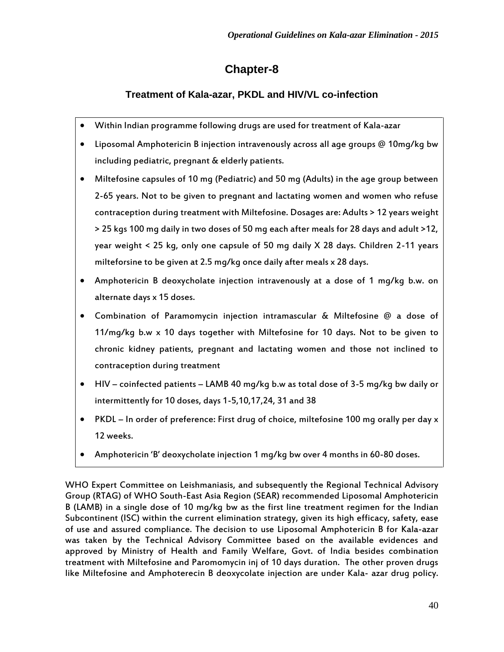# **Chapter-8**

# **Treatment of Kala-azar, PKDL and HIV/VL co-infection**

- Within Indian programme following drugs are used for treatment of Kala-azar
- Liposomal Amphotericin B injection intravenously across all age groups @ 10mg/kg bw including pediatric, pregnant & elderly patients.
- Miltefosine capsules of 10 mg (Pediatric) and 50 mg (Adults) in the age group between 2-65 years. Not to be given to pregnant and lactating women and women who refuse contraception during treatment with Miltefosine. Dosages are: Adults > 12 years weight > 25 kgs 100 mg daily in two doses of 50 mg each after meals for 28 days and adult >12, year weight < 25 kg, only one capsule of 50 mg daily X 28 days. Children 2-11 years milteforsine to be given at 2.5 mg/kg once daily after meals x 28 days.
- Amphotericin B deoxycholate injection intravenously at a dose of 1 mg/kg b.w. on alternate days x 15 doses.
- Combination of Paramomycin injection intramascular & Miltefosine @ a dose of 11/mg/kg b.w x 10 days together with Miltefosine for 10 days. Not to be given to chronic kidney patients, pregnant and lactating women and those not inclined to contraception during treatment
- HIV coinfected patients LAMB 40 mg/kg b.w as total dose of 3-5 mg/kg bw daily or intermittently for 10 doses, days 1-5,10,17,24, 31 and 38
- PKDL In order of preference: First drug of choice, miltefosine 100 mg orally per day x 12 weeks.
- Amphotericin 'B' deoxycholate injection 1 mg/kg bw over 4 months in 60-80 doses.

WHO Expert Committee on Leishmaniasis, and subsequently the Regional Technical Advisory Group (RTAG) of WHO South-East Asia Region (SEAR) recommended Liposomal Amphotericin B (LAMB) in a single dose of 10 mg/kg bw as the first line treatment regimen for the Indian Subcontinent (ISC) within the current elimination strategy, given its high efficacy, safety, ease of use and assured compliance. The decision to use Liposomal Amphotericin B for Kala-azar was taken by the Technical Advisory Committee based on the available evidences and approved by Ministry of Health and Family Welfare, Govt. of India besides combination treatment with Miltefosine and Paromomycin inj of 10 days duration. The other proven drugs like Miltefosine and Amphoterecin B deoxycolate injection are under Kala- azar drug policy.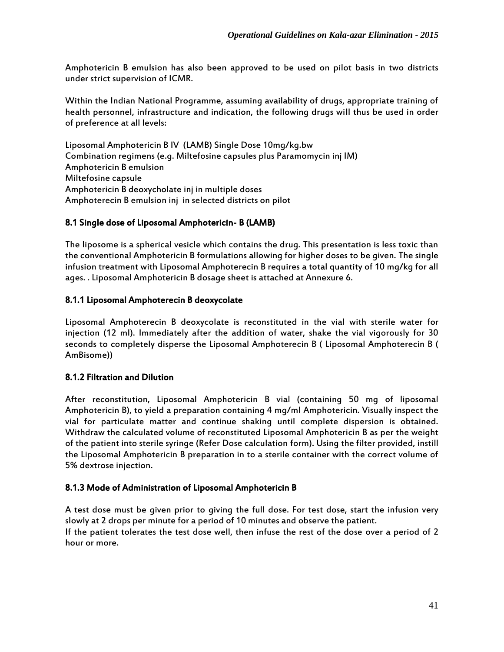Amphotericin B emulsion has also been approved to be used on pilot basis in two districts under strict supervision of ICMR.

Within the Indian National Programme, assuming availability of drugs, appropriate training of health personnel, infrastructure and indication, the following drugs will thus be used in order of preference at all levels:

Liposomal Amphotericin B IV (LAMB) Single Dose 10mg/kg.bw Combination regimens (e.g. Miltefosine capsules plus Paramomycin inj IM) Amphotericin B emulsion Miltefosine capsule Amphotericin B deoxycholate inj in multiple doses Amphoterecin B emulsion inj in selected districts on pilot

#### 8.1 Single dose of Liposomal Amphotericin- B (LAMB)

The liposome is a spherical vesicle which contains the drug. This presentation is less toxic than the conventional Amphotericin B formulations allowing for higher doses to be given. The single infusion treatment with Liposomal Amphoterecin B requires a total quantity of 10 mg/kg for all ages. . Liposomal Amphotericin B dosage sheet is attached at Annexure 6.

#### 8.1.1 Liposomal Amphoterecin B deoxycolate

Liposomal Amphoterecin B deoxycolate is reconstituted in the vial with sterile water for injection (12 ml). Immediately after the addition of water, shake the vial vigorously for 30 seconds to completely disperse the Liposomal Amphoterecin B ( Liposomal Amphoterecin B ( AmBisome))

#### 8.1.2 Filtration and Dilution

After reconstitution, Liposomal Amphotericin B vial (containing 50 mg of liposomal Amphotericin B), to yield a preparation containing 4 mg/ml Amphotericin. Visually inspect the vial for particulate matter and continue shaking until complete dispersion is obtained. Withdraw the calculated volume of reconstituted Liposomal Amphotericin B as per the weight of the patient into sterile syringe (Refer Dose calculation form). Using the filter provided, instill the Liposomal Amphotericin B preparation in to a sterile container with the correct volume of 5% dextrose injection.

#### 8.1.3 Mode of Administration of Liposomal Amphotericin B

A test dose must be given prior to giving the full dose. For test dose, start the infusion very slowly at 2 drops per minute for a period of 10 minutes and observe the patient.

If the patient tolerates the test dose well, then infuse the rest of the dose over a period of 2 hour or more.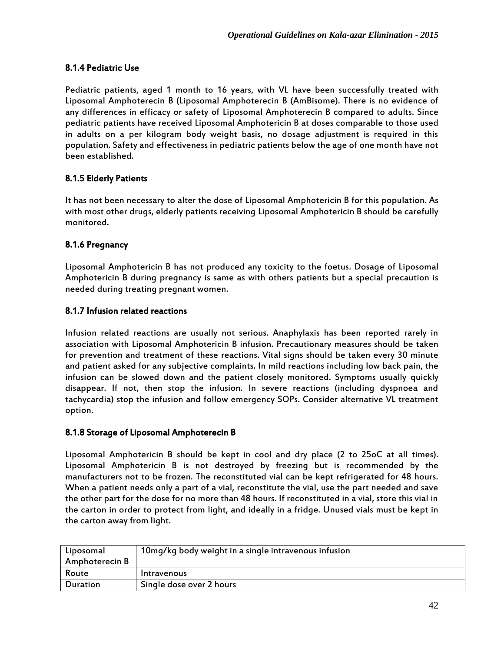## 8.1.4 Pediatric Use

Pediatric patients, aged 1 month to 16 years, with VL have been successfully treated with Liposomal Amphoterecin B (Liposomal Amphoterecin B (AmBisome). There is no evidence of any differences in efficacy or safety of Liposomal Amphoterecin B compared to adults. Since pediatric patients have received Liposomal Amphotericin B at doses comparable to those used in adults on a per kilogram body weight basis, no dosage adjustment is required in this population. Safety and effectiveness in pediatric patients below the age of one month have not been established.

## 8.1.5 Elderly Patients

It has not been necessary to alter the dose of Liposomal Amphotericin B for this population. As with most other drugs, elderly patients receiving Liposomal Amphotericin B should be carefully monitored.

#### 8.1.6 Pregnancy

Liposomal Amphotericin B has not produced any toxicity to the foetus. Dosage of Liposomal Amphotericin B during pregnancy is same as with others patients but a special precaution is needed during treating pregnant women.

#### 8.1.7 Infusion related reactions

Infusion related reactions are usually not serious. Anaphylaxis has been reported rarely in association with Liposomal Amphotericin B infusion. Precautionary measures should be taken for prevention and treatment of these reactions. Vital signs should be taken every 30 minute and patient asked for any subjective complaints. In mild reactions including low back pain, the infusion can be slowed down and the patient closely monitored. Symptoms usually quickly disappear. If not, then stop the infusion. In severe reactions (including dyspnoea and tachycardia) stop the infusion and follow emergency SOPs. Consider alternative VL treatment option.

#### 8.1.8 Storage of Liposomal Amphoterecin B

Liposomal Amphotericin B should be kept in cool and dry place (2 to 25oC at all times). Liposomal Amphotericin B is not destroyed by freezing but is recommended by the manufacturers not to be frozen. The reconstituted vial can be kept refrigerated for 48 hours. When a patient needs only a part of a vial, reconstitute the vial, use the part needed and save the other part for the dose for no more than 48 hours. If reconstituted in a vial, store this vial in the carton in order to protect from light, and ideally in a fridge. Unused vials must be kept in the carton away from light.

| Liposomal      | 10mg/kg body weight in a single intravenous infusion |
|----------------|------------------------------------------------------|
| Amphoterecin B |                                                      |
| Route          | Intravenous                                          |
| Duration       | Single dose over 2 hours                             |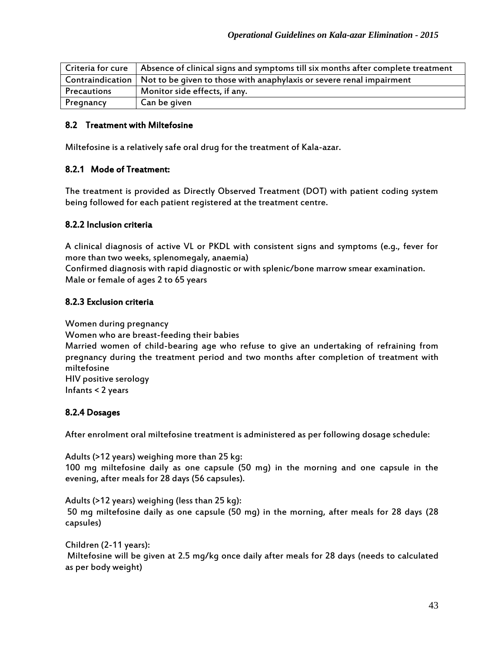| Criteria for cure | Absence of clinical signs and symptoms till six months after complete treatment         |
|-------------------|-----------------------------------------------------------------------------------------|
|                   | Contraindication   Not to be given to those with anaphylaxis or severe renal impairment |
| Precautions       | Monitor side effects, if any.                                                           |
| Pregnancy         | Can be given                                                                            |

#### 8.2 Treatment with Miltefosine

Miltefosine is a relatively safe oral drug for the treatment of Kala-azar.

#### 8.2.1 Mode of Treatment:

The treatment is provided as Directly Observed Treatment (DOT) with patient coding system being followed for each patient registered at the treatment centre.

#### 8.2.2 Inclusion criteria

A clinical diagnosis of active VL or PKDL with consistent signs and symptoms (e.g., fever for more than two weeks, splenomegaly, anaemia)

Confirmed diagnosis with rapid diagnostic or with splenic/bone marrow smear examination. Male or female of ages 2 to 65 years

#### 8.2.3 Exclusion criteria

Women during pregnancy

Women who are breast-feeding their babies

Married women of child-bearing age who refuse to give an undertaking of refraining from pregnancy during the treatment period and two months after completion of treatment with miltefosine HIV positive serology

Infants < 2 years

#### 8.2.4 Dosages

After enrolment oral miltefosine treatment is administered as per following dosage schedule:

Adults (>12 years) weighing more than 25 kg: 100 mg miltefosine daily as one capsule (50 mg) in the morning and one capsule in the evening, after meals for 28 days (56 capsules).

Adults (>12 years) weighing (less than 25 kg): 50 mg miltefosine daily as one capsule (50 mg) in the morning, after meals for 28 days (28 capsules)

Children (2-11 years): Miltefosine will be given at 2.5 mg/kg once daily after meals for 28 days (needs to calculated as per body weight)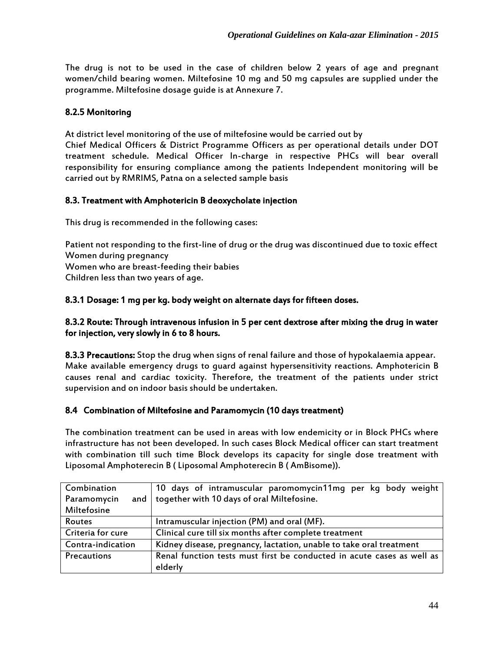The drug is not to be used in the case of children below 2 years of age and pregnant women/child bearing women. Miltefosine 10 mg and 50 mg capsules are supplied under the programme. Miltefosine dosage guide is at Annexure 7.

## 8.2.5 Monitoring

At district level monitoring of the use of miltefosine would be carried out by

Chief Medical Officers & District Programme Officers as per operational details under DOT treatment schedule. Medical Officer In-charge in respective PHCs will bear overall responsibility for ensuring compliance among the patients Independent monitoring will be carried out by RMRIMS, Patna on a selected sample basis

## 8.3. Treatment with Amphotericin B deoxycholate injection

This drug is recommended in the following cases:

Patient not responding to the first-line of drug or the drug was discontinued due to toxic effect Women during pregnancy

Women who are breast-feeding their babies

Children less than two years of age.

#### 8.3.1 Dosage: 1 mg per kg. body weight on alternate days for fifteen doses.

#### 8.3.2 Route: Through intravenous infusion in 5 per cent dextrose after mixing the drug in water for injection, very slowly in 6 to 8 hours.

8.3.3 Precautions: Stop the drug when signs of renal failure and those of hypokalaemia appear. Make available emergency drugs to guard against hypersensitivity reactions. Amphotericin B causes renal and cardiac toxicity. Therefore, the treatment of the patients under strict supervision and on indoor basis should be undertaken.

#### 8.4 Combination of Miltefosine and Paramomycin (10 days treatment)

The combination treatment can be used in areas with low endemicity or in Block PHCs where infrastructure has not been developed. In such cases Block Medical officer can start treatment with combination till such time Block develops its capacity for single dose treatment with Liposomal Amphoterecin B ( Liposomal Amphoterecin B ( AmBisome)).

| Combination          | 10 days of intramuscular paromomycin11mg per kg body weight            |
|----------------------|------------------------------------------------------------------------|
| Paramomycin<br>and I | together with 10 days of oral Miltefosine.                             |
| Miltefosine          |                                                                        |
| Routes               | Intramuscular injection (PM) and oral (MF).                            |
| Criteria for cure    | Clinical cure till six months after complete treatment                 |
| Contra-indication    | Kidney disease, pregnancy, lactation, unable to take oral treatment    |
| Precautions          | Renal function tests must first be conducted in acute cases as well as |
|                      | elderly                                                                |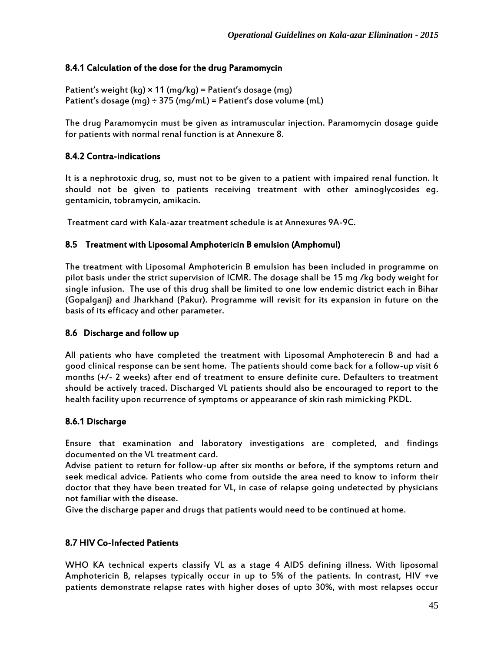### 8.4.1 Calculation of the dose for the drug Paramomycin

Patient's weight (kg)  $\times$  11 (mg/kg) = Patient's dosage (mg) Patient's dosage (mg)  $\div$  375 (mg/mL) = Patient's dose volume (mL)

The drug Paramomycin must be given as intramuscular injection. Paramomycin dosage guide for patients with normal renal function is at Annexure 8.

#### 8.4.2 Contra-indications

It is a nephrotoxic drug, so, must not to be given to a patient with impaired renal function. It should not be given to patients receiving treatment with other aminoglycosides eg. gentamicin, tobramycin, amikacin.

Treatment card with Kala-azar treatment schedule is at Annexures 9A-9C.

#### 8.5 Treatment with Liposomal Amphotericin B emulsion (Amphomul)

The treatment with Liposomal Amphotericin B emulsion has been included in programme on pilot basis under the strict supervision of ICMR. The dosage shall be 15 mg /kg body weight for single infusion. The use of this drug shall be limited to one low endemic district each in Bihar (Gopalganj) and Jharkhand (Pakur). Programme will revisit for its expansion in future on the basis of its efficacy and other parameter.

#### 8.6 Discharge and follow up

All patients who have completed the treatment with Liposomal Amphoterecin B and had a good clinical response can be sent home. The patients should come back for a follow-up visit 6 months (+/- 2 weeks) after end of treatment to ensure definite cure. Defaulters to treatment should be actively traced. Discharged VL patients should also be encouraged to report to the health facility upon recurrence of symptoms or appearance of skin rash mimicking PKDL.

#### 8.6.1 Discharge

Ensure that examination and laboratory investigations are completed, and findings documented on the VL treatment card.

Advise patient to return for follow-up after six months or before, if the symptoms return and seek medical advice. Patients who come from outside the area need to know to inform their doctor that they have been treated for VL, in case of relapse going undetected by physicians not familiar with the disease.

Give the discharge paper and drugs that patients would need to be continued at home.

#### 8.7 HIV Co-Infected Patients

WHO KA technical experts classify VL as a stage 4 AIDS defining illness. With liposomal Amphotericin B, relapses typically occur in up to 5% of the patients. In contrast, HIV +ve patients demonstrate relapse rates with higher doses of upto 30%, with most relapses occur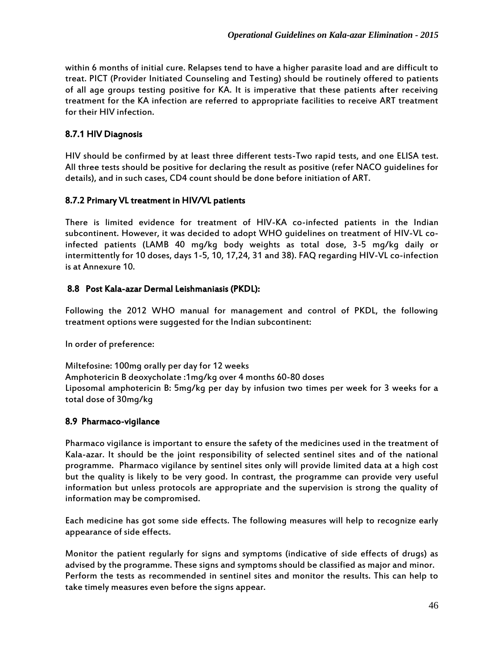within 6 months of initial cure. Relapses tend to have a higher parasite load and are difficult to treat. PICT (Provider Initiated Counseling and Testing) should be routinely offered to patients of all age groups testing positive for KA. It is imperative that these patients after receiving treatment for the KA infection are referred to appropriate facilities to receive ART treatment for their HIV infection.

## 8.7.1 HIV Diagnosis

HIV should be confirmed by at least three different tests-Two rapid tests, and one ELISA test. All three tests should be positive for declaring the result as positive (refer NACO guidelines for details), and in such cases, CD4 count should be done before initiation of ART.

#### 8.7.2 Primary VL treatment in HIV/VL patients

There is limited evidence for treatment of HIV-KA co-infected patients in the Indian subcontinent. However, it was decided to adopt WHO guidelines on treatment of HIV-VL coinfected patients (LAMB 40 mg/kg body weights as total dose, 3-5 mg/kg daily or intermittently for 10 doses, days 1-5, 10, 17,24, 31 and 38). FAQ regarding HIV-VL co-infection is at Annexure 10.

## 8.8 Post Kala-azar Dermal Leishmaniasis (PKDL):

Following the 2012 WHO manual for management and control of PKDL, the following treatment options were suggested for the Indian subcontinent:

In order of preference:

Miltefosine: 100mg orally per day for 12 weeks Amphotericin B deoxycholate :1mg/kg over 4 months 60-80 doses Liposomal amphotericin B: 5mg/kg per day by infusion two times per week for 3 weeks for a total dose of 30mg/kg

#### 8.9 Pharmaco-vigilance

Pharmaco vigilance is important to ensure the safety of the medicines used in the treatment of Kala-azar. It should be the joint responsibility of selected sentinel sites and of the national programme. Pharmaco vigilance by sentinel sites only will provide limited data at a high cost but the quality is likely to be very good. In contrast, the programme can provide very useful information but unless protocols are appropriate and the supervision is strong the quality of information may be compromised.

Each medicine has got some side effects. The following measures will help to recognize early appearance of side effects.

Monitor the patient regularly for signs and symptoms (indicative of side effects of drugs) as advised by the programme. These signs and symptoms should be classified as major and minor. Perform the tests as recommended in sentinel sites and monitor the results. This can help to take timely measures even before the signs appear.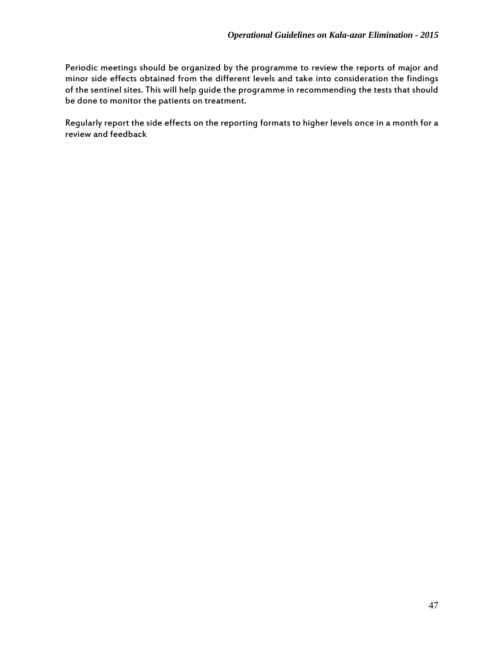Periodic meetings should be organized by the programme to review the reports of major and minor side effects obtained from the different levels and take into consideration the findings of the sentinel sites. This will help guide the programme in recommending the tests that should be done to monitor the patients on treatment.

Regularly report the side effects on the reporting formats to higher levels once in a month for a review and feedback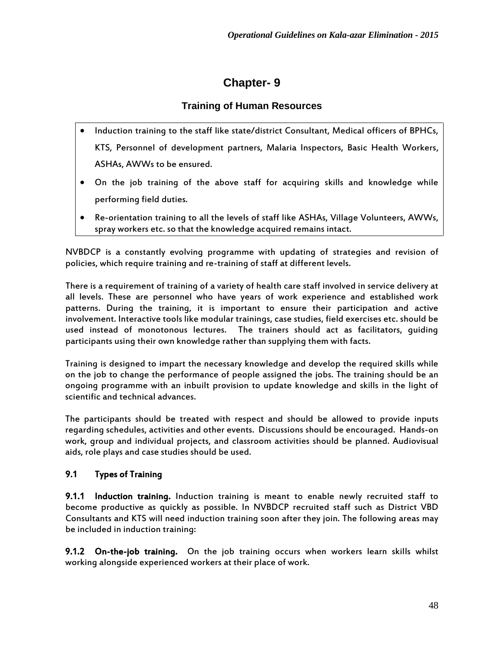# **Chapter- 9**

# **Training of Human Resources**

- Induction training to the staff like state/district Consultant, Medical officers of BPHCs, KTS, Personnel of development partners, Malaria Inspectors, Basic Health Workers, ASHAs, AWWs to be ensured.
- On the job training of the above staff for acquiring skills and knowledge while performing field duties.
- Re-orientation training to all the levels of staff like ASHAs, Village Volunteers, AWWs, spray workers etc. so that the knowledge acquired remains intact.

NVBDCP is a constantly evolving programme with updating of strategies and revision of policies, which require training and re-training of staff at different levels.

There is a requirement of training of a variety of health care staff involved in service delivery at all levels. These are personnel who have years of work experience and established work patterns. During the training, it is important to ensure their participation and active involvement. Interactive tools like modular trainings, case studies, field exercises etc. should be used instead of monotonous lectures. The trainers should act as facilitators, guiding participants using their own knowledge rather than supplying them with facts.

Training is designed to impart the necessary knowledge and develop the required skills while on the job to change the performance of people assigned the jobs. The training should be an ongoing programme with an inbuilt provision to update knowledge and skills in the light of scientific and technical advances.

The participants should be treated with respect and should be allowed to provide inputs regarding schedules, activities and other events. Discussions should be encouraged. Hands-on work, group and individual projects, and classroom activities should be planned. Audiovisual aids, role plays and case studies should be used.

# 9.1 Types of Training

9.1.1 Induction training. Induction training is meant to enable newly recruited staff to become productive as quickly as possible. In NVBDCP recruited staff such as District VBD Consultants and KTS will need induction training soon after they join. The following areas may be included in induction training:

9.1.2 On-the-job training. On the job training occurs when workers learn skills whilst working alongside experienced workers at their place of work.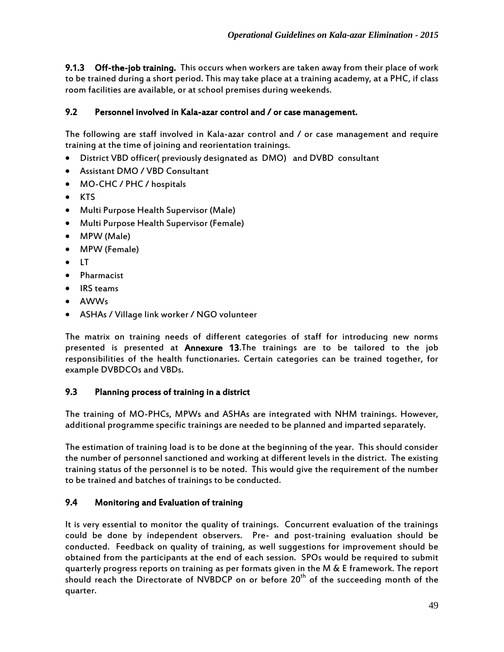9.1.3 Off-the-job training. This occurs when workers are taken away from their place of work to be trained during a short period. This may take place at a training academy, at a PHC, if class room facilities are available, or at school premises during weekends.

## 9.2 Personnel involved in Kala-azar control and / or case management.

The following are staff involved in Kala-azar control and / or case management and require training at the time of joining and reorientation trainings.

- District VBD officer( previously designated as DMO) and DVBD consultant
- Assistant DMO / VBD Consultant
- MO-CHC / PHC / hospitals
- KTS
- Multi Purpose Health Supervisor (Male)
- Multi Purpose Health Supervisor (Female)
- MPW (Male)
- MPW (Female)
- $\bullet$  LT
- Pharmacist
- IRS teams
- AWWs
- ASHAs / Village link worker / NGO volunteer

The matrix on training needs of different categories of staff for introducing new norms presented is presented at Annexure 13.The trainings are to be tailored to the job responsibilities of the health functionaries. Certain categories can be trained together, for example DVBDCOs and VBDs.

## 9.3 Planning process of training in a district

The training of MO-PHCs, MPWs and ASHAs are integrated with NHM trainings. However, additional programme specific trainings are needed to be planned and imparted separately.

The estimation of training load is to be done at the beginning of the year. This should consider the number of personnel sanctioned and working at different levels in the district. The existing training status of the personnel is to be noted. This would give the requirement of the number to be trained and batches of trainings to be conducted.

## 9.4 Monitoring and Evaluation of training

It is very essential to monitor the quality of trainings. Concurrent evaluation of the trainings could be done by independent observers. Pre- and post-training evaluation should be conducted. Feedback on quality of training, as well suggestions for improvement should be obtained from the participants at the end of each session. SPOs would be required to submit quarterly progress reports on training as per formats given in the M & E framework. The report should reach the Directorate of NVBDCP on or before  $20<sup>th</sup>$  of the succeeding month of the quarter.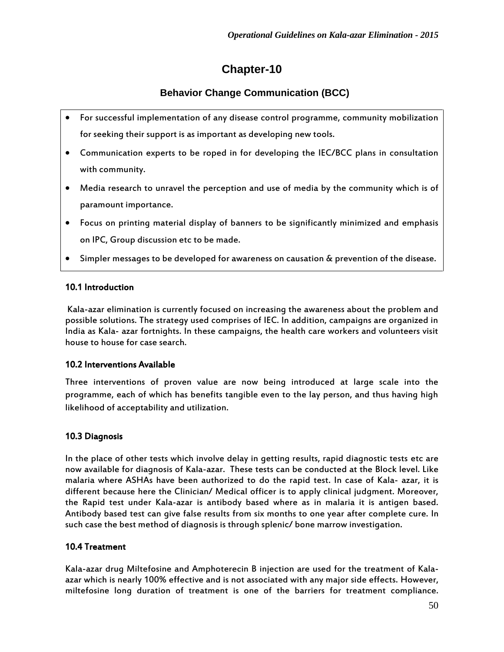# **Chapter-10**

# **Behavior Change Communication (BCC)**

- For successful implementation of any disease control programme, community mobilization for seeking their support is as important as developing new tools.
- Communication experts to be roped in for developing the IEC/BCC plans in consultation with community.
- Media research to unravel the perception and use of media by the community which is of paramount importance.
- Focus on printing material display of banners to be significantly minimized and emphasis on IPC, Group discussion etc to be made.
- Simpler messages to be developed for awareness on causation & prevention of the disease.

## 10.1 Introduction

Kala-azar elimination is currently focused on increasing the awareness about the problem and possible solutions. The strategy used comprises of IEC. In addition, campaigns are organized in India as Kala- azar fortnights. In these campaigns, the health care workers and volunteers visit house to house for case search.

#### 10.2 Interventions Available

Three interventions of proven value are now being introduced at large scale into the programme, each of which has benefits tangible even to the lay person, and thus having high likelihood of acceptability and utilization.

## 10.3 Diagnosis

In the place of other tests which involve delay in getting results, rapid diagnostic tests etc are now available for diagnosis of Kala-azar. These tests can be conducted at the Block level. Like malaria where ASHAs have been authorized to do the rapid test. In case of Kala- azar, it is different because here the Clinician/ Medical officer is to apply clinical judgment. Moreover, the Rapid test under Kala-azar is antibody based where as in malaria it is antigen based. Antibody based test can give false results from six months to one year after complete cure. In such case the best method of diagnosis is through splenic/ bone marrow investigation.

## 10.4 Treatment

Kala-azar drug Miltefosine and Amphoterecin B injection are used for the treatment of Kalaazar which is nearly 100% effective and is not associated with any major side effects. However, miltefosine long duration of treatment is one of the barriers for treatment compliance.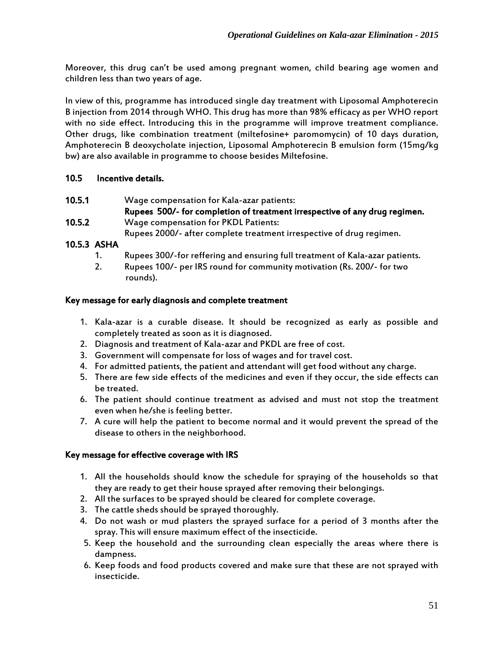Moreover, this drug can't be used among pregnant women, child bearing age women and children less than two years of age.

In view of this, programme has introduced single day treatment with Liposomal Amphoterecin B injection from 2014 through WHO. This drug has more than 98% efficacy as per WHO report with no side effect. Introducing this in the programme will improve treatment compliance. Other drugs, like combination treatment (miltefosine+ paromomycin) of 10 days duration, Amphoterecin B deoxycholate injection, Liposomal Amphoterecin B emulsion form (15mg/kg bw) are also available in programme to choose besides Miltefosine.

#### 10.5 Incentive details.

- 10.5.1 Wage compensation for Kala-azar patients: Rupees 500/- for completion of treatment irrespective of any drug regimen.
- 10.5.2 Wage compensation for PKDL Patients:
	- Rupees 2000/- after complete treatment irrespective of drug regimen.
- 10.5.3 ASHA
	- 1. Rupees 300/-for reffering and ensuring full treatment of Kala-azar patients.
	- 2. Rupees 100/- per IRS round for community motivation (Rs. 200/- for two rounds).

#### Key message for early diagnosis and complete treatment

- 1. Kala-azar is a curable disease. It should be recognized as early as possible and completely treated as soon as it is diagnosed.
- 2. Diagnosis and treatment of Kala-azar and PKDL are free of cost.
- 3. Government will compensate for loss of wages and for travel cost.
- 4. For admitted patients, the patient and attendant will get food without any charge.
- 5. There are few side effects of the medicines and even if they occur, the side effects can be treated.
- 6. The patient should continue treatment as advised and must not stop the treatment even when he/she is feeling better.
- 7. A cure will help the patient to become normal and it would prevent the spread of the disease to others in the neighborhood.

#### Key message for effective coverage with IRS

- 1. All the households should know the schedule for spraying of the households so that they are ready to get their house sprayed after removing their belongings.
- 2. All the surfaces to be sprayed should be cleared for complete coverage.
- 3. The cattle sheds should be sprayed thoroughly.
- 4. Do not wash or mud plasters the sprayed surface for a period of 3 months after the spray. This will ensure maximum effect of the insecticide.
- 5. Keep the household and the surrounding clean especially the areas where there is dampness.
- 6. Keep foods and food products covered and make sure that these are not sprayed with insecticide.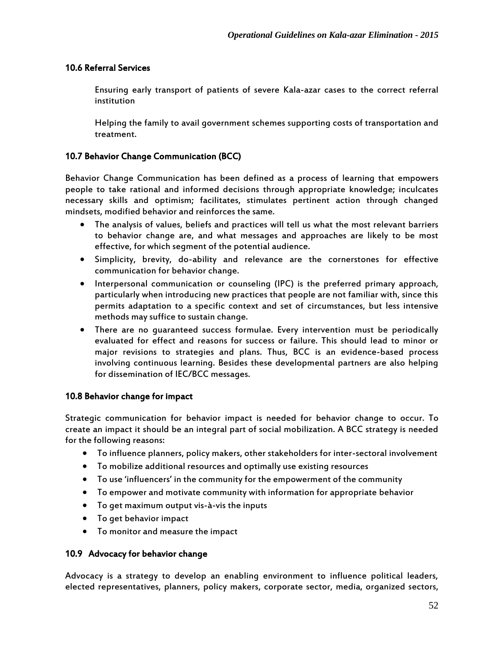#### 10.6 Referral Services

Ensuring early transport of patients of severe Kala-azar cases to the correct referral institution

Helping the family to avail government schemes supporting costs of transportation and treatment.

#### 10.7 Behavior Change Communication (BCC)

Behavior Change Communication has been defined as a process of learning that empowers people to take rational and informed decisions through appropriate knowledge; inculcates necessary skills and optimism; facilitates, stimulates pertinent action through changed mindsets, modified behavior and reinforces the same.

- The analysis of values, beliefs and practices will tell us what the most relevant barriers to behavior change are, and what messages and approaches are likely to be most effective, for which segment of the potential audience.
- Simplicity, brevity, do-ability and relevance are the cornerstones for effective communication for behavior change.
- Interpersonal communication or counseling (IPC) is the preferred primary approach, particularly when introducing new practices that people are not familiar with, since this permits adaptation to a specific context and set of circumstances, but less intensive methods may suffice to sustain change.
- There are no guaranteed success formulae. Every intervention must be periodically evaluated for effect and reasons for success or failure. This should lead to minor or major revisions to strategies and plans. Thus, BCC is an evidence-based process involving continuous learning. Besides these developmental partners are also helping for dissemination of IEC/BCC messages.

#### 10.8 Behavior change for impact

Strategic communication for behavior impact is needed for behavior change to occur. To create an impact it should be an integral part of social mobilization. A BCC strategy is needed for the following reasons:

- To influence planners, policy makers, other stakeholders for inter-sectoral involvement
- To mobilize additional resources and optimally use existing resources
- To use 'influencers' in the community for the empowerment of the community
- To empower and motivate community with information for appropriate behavior
- To get maximum output vis-à-vis the inputs
- To get behavior impact
- To monitor and measure the impact

#### 10.9 Advocacy for behavior change

Advocacy is a strategy to develop an enabling environment to influence political leaders, elected representatives, planners, policy makers, corporate sector, media, organized sectors,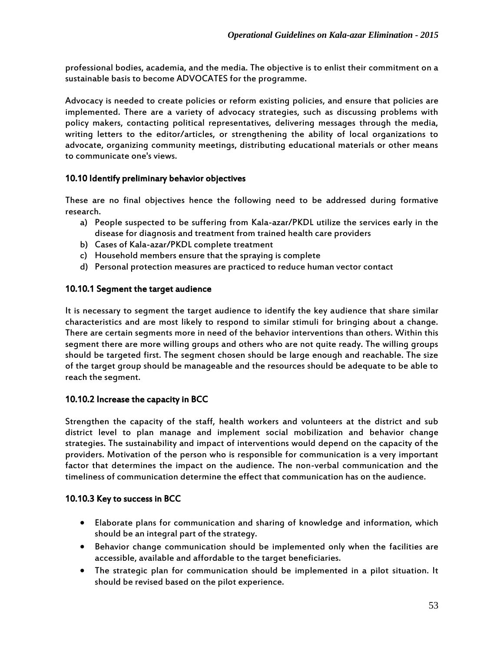professional bodies, academia, and the media. The objective is to enlist their commitment on a sustainable basis to become ADVOCATES for the programme.

Advocacy is needed to create policies or reform existing policies, and ensure that policies are implemented. There are a variety of advocacy strategies, such as discussing problems with policy makers, contacting political representatives, delivering messages through the media, writing letters to the editor/articles, or strengthening the ability of local organizations to advocate, organizing community meetings, distributing educational materials or other means to communicate one's views.

## 10.10 Identify preliminary behavior objectives

These are no final objectives hence the following need to be addressed during formative research.

- a) People suspected to be suffering from Kala-azar/PKDL utilize the services early in the disease for diagnosis and treatment from trained health care providers
- b) Cases of Kala-azar/PKDL complete treatment
- c) Household members ensure that the spraying is complete
- d) Personal protection measures are practiced to reduce human vector contact

#### 10.10.1 Segment the target audience

It is necessary to segment the target audience to identify the key audience that share similar characteristics and are most likely to respond to similar stimuli for bringing about a change. There are certain segments more in need of the behavior interventions than others. Within this segment there are more willing groups and others who are not quite ready. The willing groups should be targeted first. The segment chosen should be large enough and reachable. The size of the target group should be manageable and the resources should be adequate to be able to reach the segment.

#### 10.10.2 Increase the capacity in BCC

Strengthen the capacity of the staff, health workers and volunteers at the district and sub district level to plan manage and implement social mobilization and behavior change strategies. The sustainability and impact of interventions would depend on the capacity of the providers. Motivation of the person who is responsible for communication is a very important factor that determines the impact on the audience. The non-verbal communication and the timeliness of communication determine the effect that communication has on the audience.

#### 10.10.3 Key to success in BCC

- Elaborate plans for communication and sharing of knowledge and information, which should be an integral part of the strategy.
- Behavior change communication should be implemented only when the facilities are accessible, available and affordable to the target beneficiaries.
- The strategic plan for communication should be implemented in a pilot situation. It should be revised based on the pilot experience.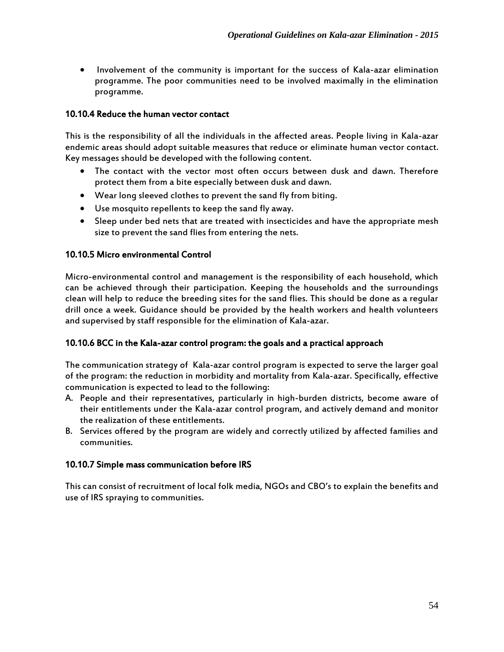• Involvement of the community is important for the success of Kala-azar elimination programme. The poor communities need to be involved maximally in the elimination programme.

#### 10.10.4 Reduce the human vector contact

This is the responsibility of all the individuals in the affected areas. People living in Kala-azar endemic areas should adopt suitable measures that reduce or eliminate human vector contact. Key messages should be developed with the following content.

- The contact with the vector most often occurs between dusk and dawn. Therefore protect them from a bite especially between dusk and dawn.
- Wear long sleeved clothes to prevent the sand fly from biting.
- Use mosquito repellents to keep the sand fly away.
- Sleep under bed nets that are treated with insecticides and have the appropriate mesh size to prevent the sand flies from entering the nets.

#### 10.10.5 Micro environmental Control

Micro-environmental control and management is the responsibility of each household, which can be achieved through their participation. Keeping the households and the surroundings clean will help to reduce the breeding sites for the sand flies. This should be done as a regular drill once a week. Guidance should be provided by the health workers and health volunteers and supervised by staff responsible for the elimination of Kala-azar.

#### 10.10.6 BCC in the Kala-azar control program: the goals and a practical approach

The communication strategy of Kala-azar control program is expected to serve the larger goal of the program: the reduction in morbidity and mortality from Kala-azar. Specifically, effective communication is expected to lead to the following:

- A. People and their representatives, particularly in high-burden districts, become aware of their entitlements under the Kala-azar control program, and actively demand and monitor the realization of these entitlements.
- B. Services offered by the program are widely and correctly utilized by affected families and communities.

#### 10.10.7 Simple mass communication before IRS

This can consist of recruitment of local folk media, NGOs and CBO's to explain the benefits and use of IRS spraying to communities.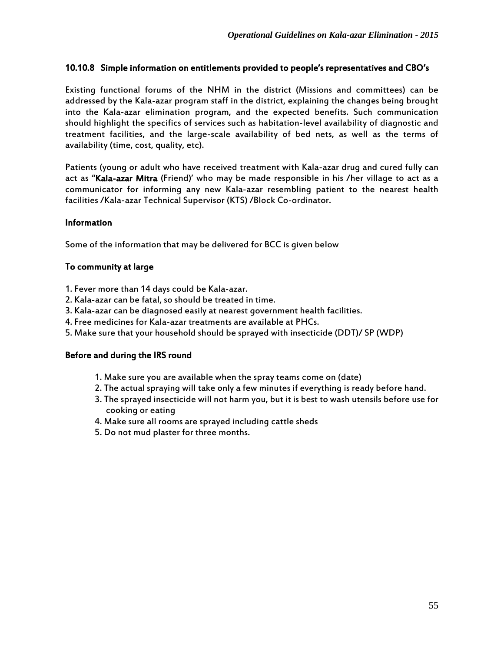#### 10.10.8 Simple information on entitlements provided to people's representatives and CBO's

Existing functional forums of the NHM in the district (Missions and committees) can be addressed by the Kala-azar program staff in the district, explaining the changes being brought into the Kala-azar elimination program, and the expected benefits. Such communication should highlight the specifics of services such as habitation-level availability of diagnostic and treatment facilities, and the large-scale availability of bed nets, as well as the terms of availability (time, cost, quality, etc).

Patients (young or adult who have received treatment with Kala-azar drug and cured fully can act as "Kala-azar Mitra (Friend)' who may be made responsible in his /her village to act as a communicator for informing any new Kala-azar resembling patient to the nearest health facilities /Kala-azar Technical Supervisor (KTS) /Block Co-ordinator.

#### Information

Some of the information that may be delivered for BCC is given below

#### To community at large

- 1. Fever more than 14 days could be Kala-azar.
- 2. Kala-azar can be fatal, so should be treated in time.
- 3. Kala-azar can be diagnosed easily at nearest government health facilities.
- 4. Free medicines for Kala-azar treatments are available at PHCs.
- 5. Make sure that your household should be sprayed with insecticide (DDT)/ SP (WDP)

#### Before and during the IRS round

- 1. Make sure you are available when the spray teams come on (date)
- 2. The actual spraying will take only a few minutes if everything is ready before hand.
- 3. The sprayed insecticide will not harm you, but it is best to wash utensils before use for cooking or eating
- 4. Make sure all rooms are sprayed including cattle sheds
- 5. Do not mud plaster for three months.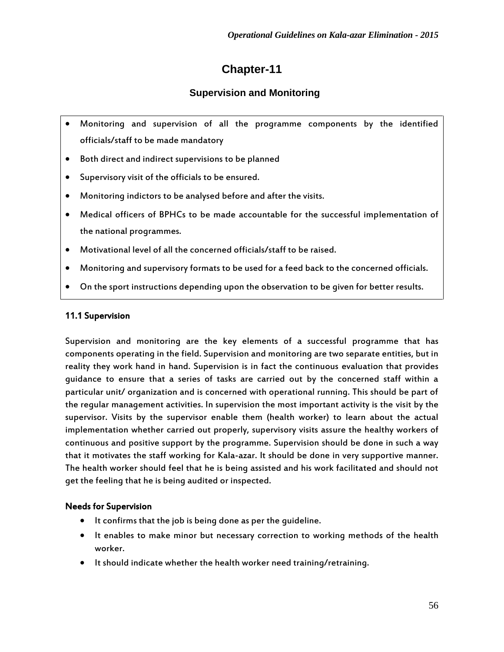# **Chapter-11**

# **Supervision and Monitoring**

- Monitoring and supervision of all the programme components by the identified officials/staff to be made mandatory
- Both direct and indirect supervisions to be planned
- Supervisory visit of the officials to be ensured.
- Monitoring indictors to be analysed before and after the visits.
- Medical officers of BPHCs to be made accountable for the successful implementation of the national programmes.
- Motivational level of all the concerned officials/staff to be raised.
- Monitoring and supervisory formats to be used for a feed back to the concerned officials.
- On the sport instructions depending upon the observation to be given for better results.

## 11.1 Supervision

Supervision and monitoring are the key elements of a successful programme that has components operating in the field. Supervision and monitoring are two separate entities, but in reality they work hand in hand. Supervision is in fact the continuous evaluation that provides guidance to ensure that a series of tasks are carried out by the concerned staff within a particular unit/ organization and is concerned with operational running. This should be part of the regular management activities. In supervision the most important activity is the visit by the supervisor. Visits by the supervisor enable them (health worker) to learn about the actual implementation whether carried out properly, supervisory visits assure the healthy workers of continuous and positive support by the programme. Supervision should be done in such a way that it motivates the staff working for Kala-azar. It should be done in very supportive manner. The health worker should feel that he is being assisted and his work facilitated and should not get the feeling that he is being audited or inspected.

## Needs for Supervision

- $\bullet$  It confirms that the job is being done as per the quideline.
- It enables to make minor but necessary correction to working methods of the health worker.
- It should indicate whether the health worker need training/retraining.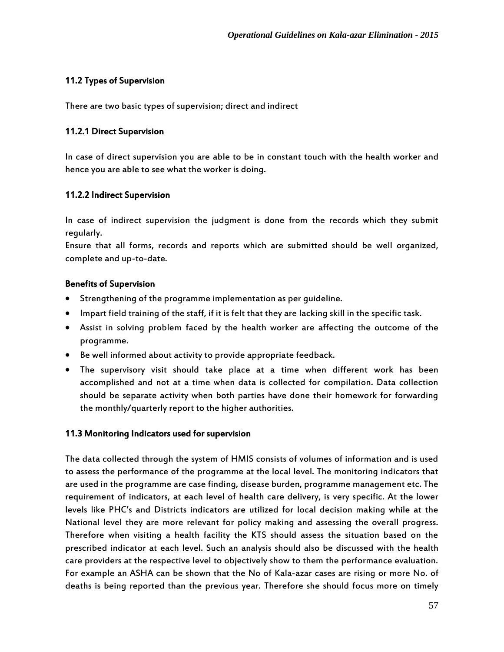## 11.2 Types of Supervision

There are two basic types of supervision; direct and indirect

#### 11.2.1 Direct Supervision

In case of direct supervision you are able to be in constant touch with the health worker and hence you are able to see what the worker is doing.

#### 11.2.2 Indirect Supervision

In case of indirect supervision the judgment is done from the records which they submit regularly.

Ensure that all forms, records and reports which are submitted should be well organized, complete and up-to-date.

#### Benefits of Supervision

- Strengthening of the programme implementation as per guideline.
- Impart field training of the staff, if it is felt that they are lacking skill in the specific task.
- Assist in solving problem faced by the health worker are affecting the outcome of the programme.
- Be well informed about activity to provide appropriate feedback.
- The supervisory visit should take place at a time when different work has been accomplished and not at a time when data is collected for compilation. Data collection should be separate activity when both parties have done their homework for forwarding the monthly/quarterly report to the higher authorities.

#### 11.3 Monitoring Indicators used for supervision

The data collected through the system of HMIS consists of volumes of information and is used to assess the performance of the programme at the local level. The monitoring indicators that are used in the programme are case finding, disease burden, programme management etc. The requirement of indicators, at each level of health care delivery, is very specific. At the lower levels like PHC's and Districts indicators are utilized for local decision making while at the National level they are more relevant for policy making and assessing the overall progress. Therefore when visiting a health facility the KTS should assess the situation based on the prescribed indicator at each level. Such an analysis should also be discussed with the health care providers at the respective level to objectively show to them the performance evaluation. For example an ASHA can be shown that the No of Kala-azar cases are rising or more No. of deaths is being reported than the previous year. Therefore she should focus more on timely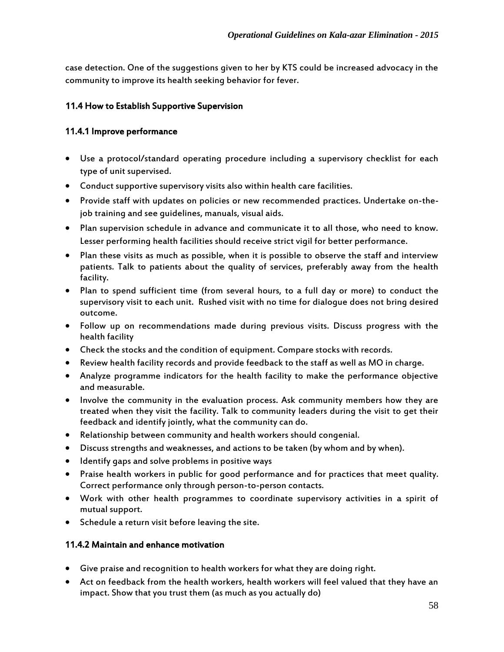case detection. One of the suggestions given to her by KTS could be increased advocacy in the community to improve its health seeking behavior for fever.

## 11.4 How to Establish Supportive Supervision

## 11.4.1 Improve performance

- Use a protocol/standard operating procedure including a supervisory checklist for each type of unit supervised.
- Conduct supportive supervisory visits also within health care facilities.
- Provide staff with updates on policies or new recommended practices. Undertake on-thejob training and see guidelines, manuals, visual aids.
- Plan supervision schedule in advance and communicate it to all those, who need to know. Lesser performing health facilities should receive strict vigil for better performance.
- Plan these visits as much as possible, when it is possible to observe the staff and interview patients. Talk to patients about the quality of services, preferably away from the health facility.
- Plan to spend sufficient time (from several hours, to a full day or more) to conduct the supervisory visit to each unit. Rushed visit with no time for dialogue does not bring desired outcome.
- Follow up on recommendations made during previous visits. Discuss progress with the health facility
- Check the stocks and the condition of equipment. Compare stocks with records.
- Review health facility records and provide feedback to the staff as well as MO in charge.
- Analyze programme indicators for the health facility to make the performance objective and measurable.
- Involve the community in the evaluation process. Ask community members how they are treated when they visit the facility. Talk to community leaders during the visit to get their feedback and identify jointly, what the community can do.
- Relationship between community and health workers should congenial.
- Discuss strengths and weaknesses, and actions to be taken (by whom and by when).
- Identify gaps and solve problems in positive ways
- Praise health workers in public for good performance and for practices that meet quality. Correct performance only through person-to-person contacts.
- Work with other health programmes to coordinate supervisory activities in a spirit of mutual support.
- Schedule a return visit before leaving the site.

#### 11.4.2 Maintain and enhance motivation

- Give praise and recognition to health workers for what they are doing right.
- Act on feedback from the health workers, health workers will feel valued that they have an impact. Show that you trust them (as much as you actually do)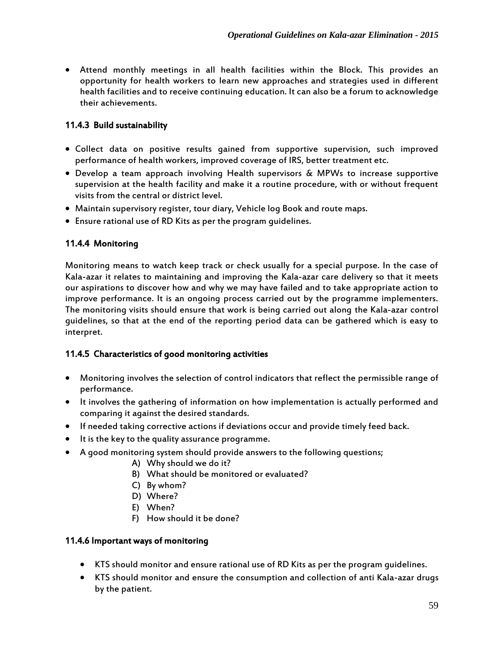Attend monthly meetings in all health facilities within the Block. This provides an opportunity for health workers to learn new approaches and strategies used in different health facilities and to receive continuing education. It can also be a forum to acknowledge their achievements.

## 11.4.3 Build sustainability

- Collect data on positive results gained from supportive supervision, such improved performance of health workers, improved coverage of IRS, better treatment etc.
- Develop a team approach involving Health supervisors & MPWs to increase supportive supervision at the health facility and make it a routine procedure, with or without frequent visits from the central or district level.
- Maintain supervisory register, tour diary, Vehicle log Book and route maps.
- Ensure rational use of RD Kits as per the program guidelines.

## 11.4.4 Monitoring

Monitoring means to watch keep track or check usually for a special purpose. In the case of Kala-azar it relates to maintaining and improving the Kala-azar care delivery so that it meets our aspirations to discover how and why we may have failed and to take appropriate action to improve performance. It is an ongoing process carried out by the programme implementers. The monitoring visits should ensure that work is being carried out along the Kala-azar control guidelines, so that at the end of the reporting period data can be gathered which is easy to interpret.

## 11.4.5 Characteristics of good monitoring activities

- Monitoring involves the selection of control indicators that reflect the permissible range of performance.
- It involves the gathering of information on how implementation is actually performed and comparing it against the desired standards.
- If needed taking corrective actions if deviations occur and provide timely feed back.
- It is the key to the quality assurance programme.
- A good monitoring system should provide answers to the following questions;
	- A) Why should we do it?
	- B) What should be monitored or evaluated?
	- C) By whom?
	- D) Where?
	- E) When?
	- F) How should it be done?

#### 11.4.6 Important ways of monitoring

- KTS should monitor and ensure rational use of RD Kits as per the program guidelines.
- KTS should monitor and ensure the consumption and collection of anti Kala-azar drugs by the patient.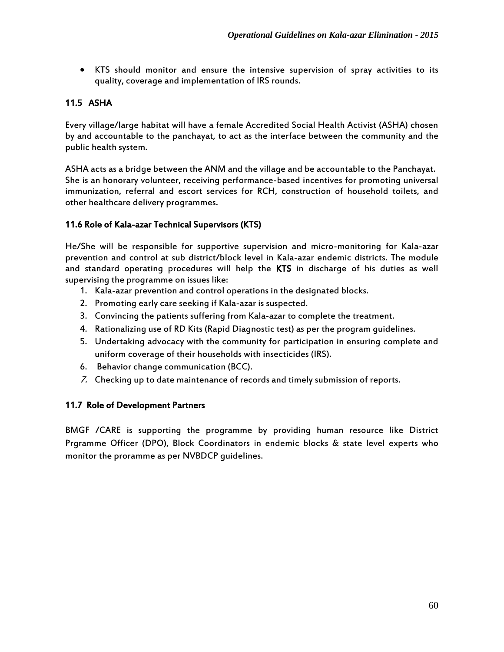KTS should monitor and ensure the intensive supervision of spray activities to its quality, coverage and implementation of IRS rounds.

## 11.5 ASHA

Every village/large habitat will have a female Accredited Social Health Activist (ASHA) chosen by and accountable to the panchayat, to act as the interface between the community and the public health system.

ASHA acts as a bridge between the ANM and the village and be accountable to the Panchayat. She is an honorary volunteer, receiving performance-based incentives for promoting universal immunization, referral and escort services for RCH, construction of household toilets, and other healthcare delivery programmes.

## 11.6 Role of Kala-azar Technical Supervisors (KTS)

He/She will be responsible for supportive supervision and micro-monitoring for Kala-azar prevention and control at sub district/block level in Kala-azar endemic districts. The module and standard operating procedures will help the KTS in discharge of his duties as well supervising the programme on issues like:

- 1. Kala-azar prevention and control operations in the designated blocks.
- 2. Promoting early care seeking if Kala-azar is suspected.
- 3. Convincing the patients suffering from Kala-azar to complete the treatment.
- 4. Rationalizing use of RD Kits (Rapid Diagnostic test) as per the program guidelines.
- 5. Undertaking advocacy with the community for participation in ensuring complete and uniform coverage of their households with insecticides (IRS).
- 6. Behavior change communication (BCC).
- 7. Checking up to date maintenance of records and timely submission of reports.

#### 11.7 Role of Development Partners

BMGF /CARE is supporting the programme by providing human resource like District Prgramme Officer (DPO), Block Coordinators in endemic blocks & state level experts who monitor the proramme as per NVBDCP guidelines.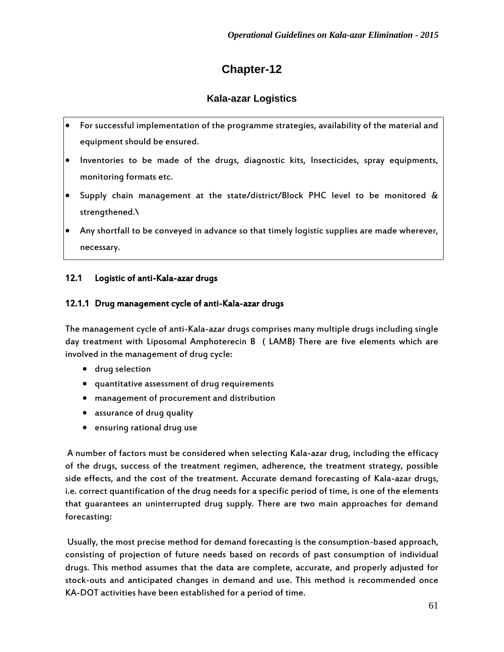# **Chapter-12**

# **Kala-azar Logistics**

- For successful implementation of the programme strategies, availability of the material and equipment should be ensured.
- Inventories to be made of the drugs, diagnostic kits, Insecticides, spray equipments, monitoring formats etc.
- Supply chain management at the state/district/Block PHC level to be monitored & strengthened.\
- Any shortfall to be conveyed in advance so that timely logistic supplies are made wherever, necessary.

## 12.1 Logistic of anti-Kala-azar drugs

## 12.1.1 Drug management cycle of anti-Kala-azar drugs

The management cycle of anti-Kala-azar drugs comprises many multiple drugs including single day treatment with Liposomal Amphoterecin B ( LAMB) There are five elements which are involved in the management of drug cycle:

- drug selection
- quantitative assessment of drug requirements
- management of procurement and distribution
- assurance of drug quality
- ensuring rational drug use

A number of factors must be considered when selecting Kala-azar drug, including the efficacy of the drugs, success of the treatment regimen, adherence, the treatment strategy, possible side effects, and the cost of the treatment. Accurate demand forecasting of Kala-azar drugs, i.e. correct quantification of the drug needs for a specific period of time, is one of the elements that guarantees an uninterrupted drug supply. There are two main approaches for demand forecasting:

Usually, the most precise method for demand forecasting is the consumption-based approach, consisting of projection of future needs based on records of past consumption of individual drugs. This method assumes that the data are complete, accurate, and properly adjusted for stock-outs and anticipated changes in demand and use. This method is recommended once KA-DOT activities have been established for a period of time.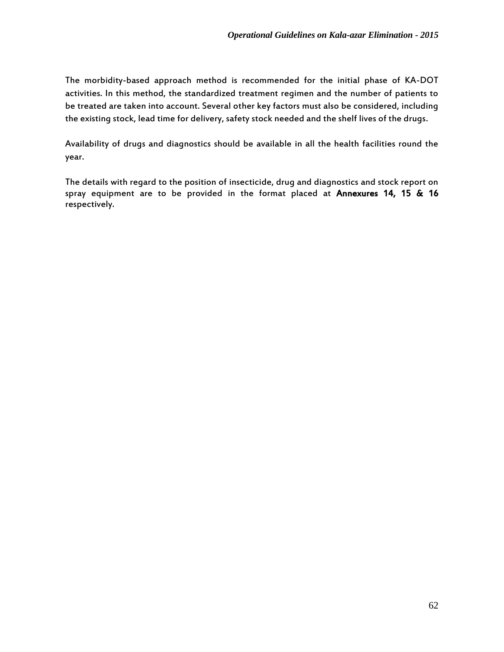The morbidity-based approach method is recommended for the initial phase of KA-DOT activities. In this method, the standardized treatment regimen and the number of patients to be treated are taken into account. Several other key factors must also be considered, including the existing stock, lead time for delivery, safety stock needed and the shelf lives of the drugs.

Availability of drugs and diagnostics should be available in all the health facilities round the year.

The details with regard to the position of insecticide, drug and diagnostics and stock report on spray equipment are to be provided in the format placed at Annexures 14, 15 & 16 respectively.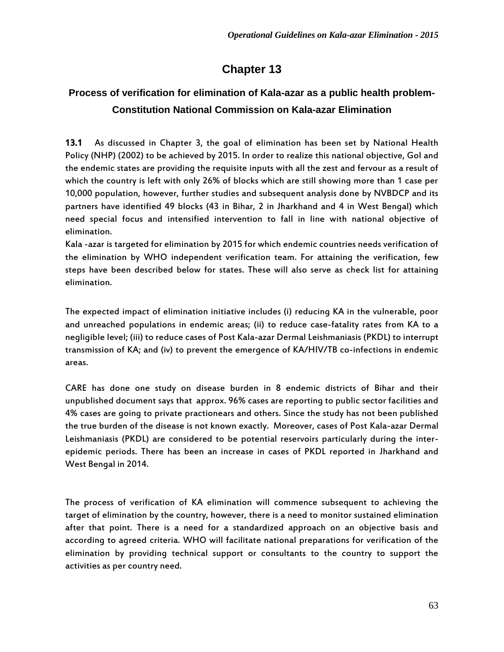# **Chapter 13**

# **Process of verification for elimination of Kala-azar as a public health problem-Constitution National Commission on Kala-azar Elimination**

13.1 As discussed in Chapter 3, the goal of elimination has been set by National Health Policy (NHP) (2002) to be achieved by 2015. In order to realize this national objective, GoI and the endemic states are providing the requisite inputs with all the zest and fervour as a result of which the country is left with only 26% of blocks which are still showing more than 1 case per 10,000 population, however, further studies and subsequent analysis done by NVBDCP and its partners have identified 49 blocks (43 in Bihar, 2 in Jharkhand and 4 in West Bengal) which need special focus and intensified intervention to fall in line with national objective of elimination.

Kala -azar is targeted for elimination by 2015 for which endemic countries needs verification of the elimination by WHO independent verification team. For attaining the verification, few steps have been described below for states. These will also serve as check list for attaining elimination.

The expected impact of elimination initiative includes (i) reducing KA in the vulnerable, poor and unreached populations in endemic areas; (ii) to reduce case-fatality rates from KA to a negligible level; (iii) to reduce cases of Post Kala-azar Dermal Leishmaniasis (PKDL) to interrupt transmission of KA; and (iv) to prevent the emergence of KA/HIV/TB co-infections in endemic areas.

CARE has done one study on disease burden in 8 endemic districts of Bihar and their unpublished document says that approx. 96% cases are reporting to public sector facilities and 4% cases are going to private practionears and others. Since the study has not been published the true burden of the disease is not known exactly. Moreover, cases of Post Kala-azar Dermal Leishmaniasis (PKDL) are considered to be potential reservoirs particularly during the interepidemic periods. There has been an increase in cases of PKDL reported in Jharkhand and West Bengal in 2014.

The process of verification of KA elimination will commence subsequent to achieving the target of elimination by the country, however, there is a need to monitor sustained elimination after that point. There is a need for a standardized approach on an objective basis and according to agreed criteria. WHO will facilitate national preparations for verification of the elimination by providing technical support or consultants to the country to support the activities as per country need.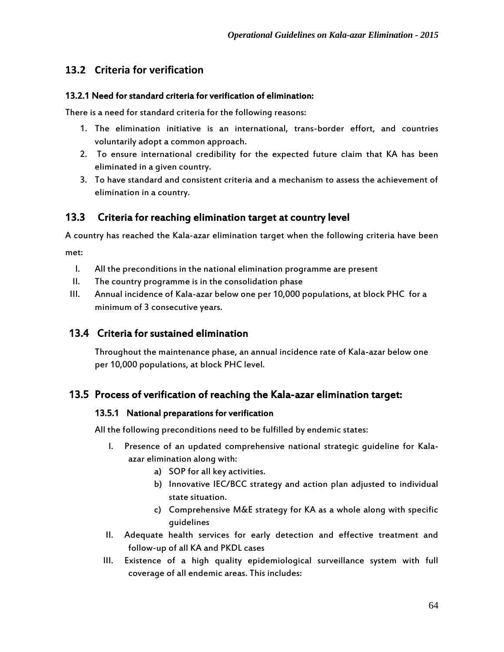# **13.2 Criteria for verification**

#### 13.2.1 Need for standard criteria for verification of elimination:

There is a need for standard criteria for the following reasons:

- 1. The elimination initiative is an international, trans-border effort, and countries voluntarily adopt a common approach.
- 2. To ensure international credibility for the expected future claim that KA has been eliminated in a given country.
- 3. To have standard and consistent criteria and a mechanism to assess the achievement of elimination in a country.

## 13.3 Criteria for reaching elimination target at country level

A country has reached the Kala-azar elimination target when the following criteria have been

met:

- I. All the preconditions in the national elimination programme are present
- II. The country programme is in the consolidation phase
- III. Annual incidence of Kala-azar below one per 10,000 populations, at block PHC for a minimum of 3 consecutive years.

## 13.4 Criteria for sustained elimination

Throughout the maintenance phase, an annual incidence rate of Kala-azar below one per 10,000 populations, at block PHC level.

## 13.5 Process of verification of reaching the Kala-azar elimination target:

#### 13.5.1 National preparations for verification

All the following preconditions need to be fulfilled by endemic states:

- I. Presence of an updated comprehensive national strategic guideline for Kalaazar elimination along with:
	- a) SOP for all key activities.
	- b) Innovative IEC/BCC strategy and action plan adjusted to individual state situation.
	- c) Comprehensive M&E strategy for KA as a whole along with specific guidelines
- II. Adequate health services for early detection and effective treatment and follow-up of all KA and PKDL cases
- III. Existence of a high quality epidemiological surveillance system with full coverage of all endemic areas. This includes: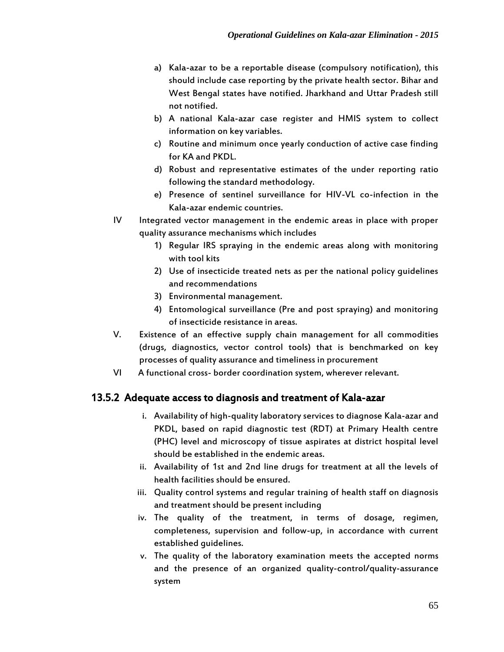- a) Kala-azar to be a reportable disease (compulsory notification), this should include case reporting by the private health sector. Bihar and West Bengal states have notified. Jharkhand and Uttar Pradesh still not notified.
- b) A national Kala-azar case register and HMIS system to collect information on key variables.
- c) Routine and minimum once yearly conduction of active case finding for KA and PKDL.
- d) Robust and representative estimates of the under reporting ratio following the standard methodology.
- e) Presence of sentinel surveillance for HIV-VL co-infection in the Kala-azar endemic countries.
- IV Integrated vector management in the endemic areas in place with proper quality assurance mechanisms which includes
	- 1) Regular IRS spraying in the endemic areas along with monitoring with tool kits
	- 2) Use of insecticide treated nets as per the national policy guidelines and recommendations
	- 3) Environmental management.
	- 4) Entomological surveillance (Pre and post spraying) and monitoring of insecticide resistance in areas.
- V. Existence of an effective supply chain management for all commodities (drugs, diagnostics, vector control tools) that is benchmarked on key processes of quality assurance and timeliness in procurement
- VI A functional cross- border coordination system, wherever relevant.

# 13.5.2 Adequate access to diagnosis and treatment of Kala-azar

- i. Availability of high-quality laboratory services to diagnose Kala-azar and PKDL, based on rapid diagnostic test (RDT) at Primary Health centre (PHC) level and microscopy of tissue aspirates at district hospital level should be established in the endemic areas.
- ii. Availability of 1st and 2nd line drugs for treatment at all the levels of health facilities should be ensured.
- iii. Quality control systems and regular training of health staff on diagnosis and treatment should be present including
- iv. The quality of the treatment, in terms of dosage, regimen, completeness, supervision and follow-up, in accordance with current established guidelines.
- v. The quality of the laboratory examination meets the accepted norms and the presence of an organized quality-control/quality-assurance system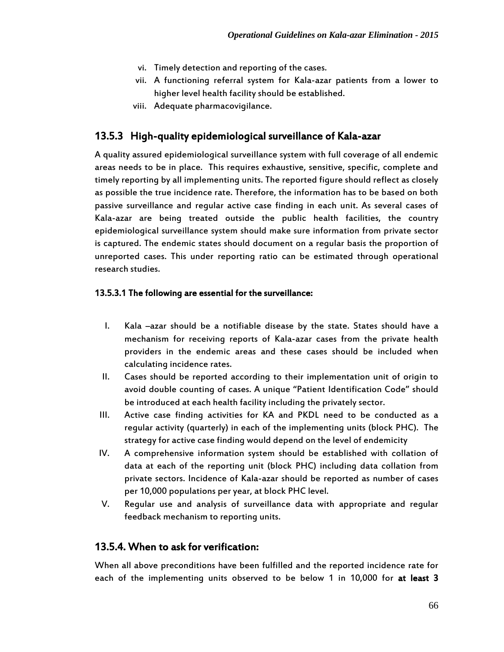- vi. Timely detection and reporting of the cases.
- vii. A functioning referral system for Kala-azar patients from a lower to higher level health facility should be established.
- viii. Adequate pharmacovigilance.

### 13.5.3 High-quality epidemiological surveillance of Kala-azar

A quality assured epidemiological surveillance system with full coverage of all endemic areas needs to be in place. This requires exhaustive, sensitive, specific, complete and timely reporting by all implementing units. The reported figure should reflect as closely as possible the true incidence rate. Therefore, the information has to be based on both passive surveillance and regular active case finding in each unit. As several cases of Kala-azar are being treated outside the public health facilities, the country epidemiological surveillance system should make sure information from private sector is captured. The endemic states should document on a regular basis the proportion of unreported cases. This under reporting ratio can be estimated through operational research studies.

#### 13.5.3.1 The following are essential for the surveillance:

- I. Kala –azar should be a notifiable disease by the state. States should have a mechanism for receiving reports of Kala-azar cases from the private health providers in the endemic areas and these cases should be included when calculating incidence rates.
- II. Cases should be reported according to their implementation unit of origin to avoid double counting of cases. A unique "Patient Identification Code" should be introduced at each health facility including the privately sector.
- III. Active case finding activities for KA and PKDL need to be conducted as a regular activity (quarterly) in each of the implementing units (block PHC). The strategy for active case finding would depend on the level of endemicity
- IV. A comprehensive information system should be established with collation of data at each of the reporting unit (block PHC) including data collation from private sectors. Incidence of Kala-azar should be reported as number of cases per 10,000 populations per year, at block PHC level.
- V. Regular use and analysis of surveillance data with appropriate and regular feedback mechanism to reporting units.

### 13.5.4. When to ask for verification:

When all above preconditions have been fulfilled and the reported incidence rate for each of the implementing units observed to be below 1 in 10,000 for at least 3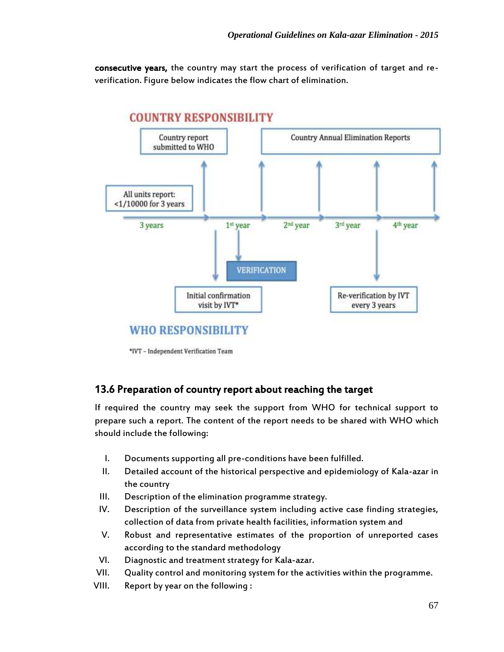consecutive years, the country may start the process of verification of target and reverification. Figure below indicates the flow chart of elimination.



\*IVT - Independent Verification Team

### 13.6 Preparation of country report about reaching the target

If required the country may seek the support from WHO for technical support to prepare such a report. The content of the report needs to be shared with WHO which should include the following:

- I. Documents supporting all pre-conditions have been fulfilled.
- II. Detailed account of the historical perspective and epidemiology of Kala-azar in the country
- III. Description of the elimination programme strategy.
- IV. Description of the surveillance system including active case finding strategies, collection of data from private health facilities, information system and
- V. Robust and representative estimates of the proportion of unreported cases according to the standard methodology
- VI. Diagnostic and treatment strategy for Kala-azar.
- VII. Quality control and monitoring system for the activities within the programme.
- VIII. Report by year on the following :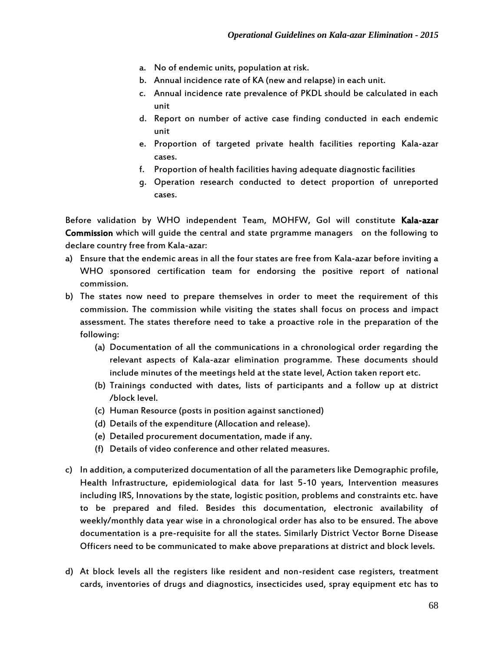- a. No of endemic units, population at risk.
- b. Annual incidence rate of KA (new and relapse) in each unit.
- c. Annual incidence rate prevalence of PKDL should be calculated in each unit
- d. Report on number of active case finding conducted in each endemic unit
- e. Proportion of targeted private health facilities reporting Kala-azar cases.
- f. Proportion of health facilities having adequate diagnostic facilities
- g. Operation research conducted to detect proportion of unreported cases.

Before validation by WHO independent Team, MOHFW, Gol will constitute Kala-azar Commission which will guide the central and state prgramme managers on the following to declare country free from Kala-azar:

- a) Ensure that the endemic areas in all the four states are free from Kala-azar before inviting a WHO sponsored certification team for endorsing the positive report of national commission.
- b) The states now need to prepare themselves in order to meet the requirement of this commission. The commission while visiting the states shall focus on process and impact assessment. The states therefore need to take a proactive role in the preparation of the following:
	- (a) Documentation of all the communications in a chronological order regarding the relevant aspects of Kala-azar elimination programme. These documents should include minutes of the meetings held at the state level, Action taken report etc.
	- (b) Trainings conducted with dates, lists of participants and a follow up at district /block level.
	- (c) Human Resource (posts in position against sanctioned)
	- (d) Details of the expenditure (Allocation and release).
	- (e) Detailed procurement documentation, made if any.
	- (f) Details of video conference and other related measures.
- c) In addition, a computerized documentation of all the parameters like Demographic profile, Health Infrastructure, epidemiological data for last 5-10 years, Intervention measures including IRS, Innovations by the state, logistic position, problems and constraints etc. have to be prepared and filed. Besides this documentation, electronic availability of weekly/monthly data year wise in a chronological order has also to be ensured. The above documentation is a pre-requisite for all the states. Similarly District Vector Borne Disease Officers need to be communicated to make above preparations at district and block levels.
- d) At block levels all the registers like resident and non-resident case registers, treatment cards, inventories of drugs and diagnostics, insecticides used, spray equipment etc has to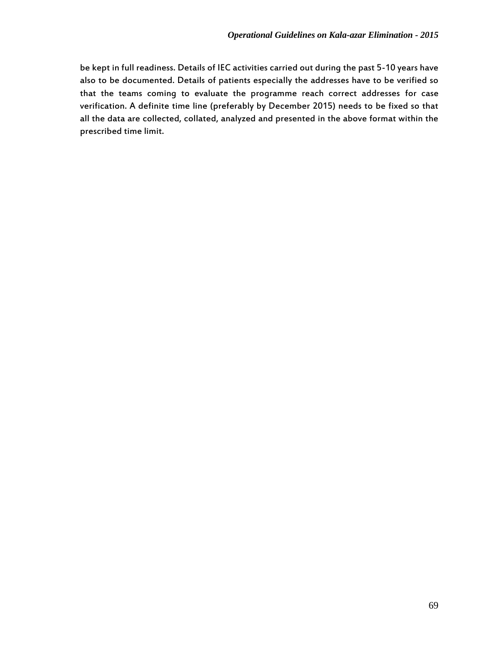be kept in full readiness. Details of IEC activities carried out during the past 5-10 years have also to be documented. Details of patients especially the addresses have to be verified so that the teams coming to evaluate the programme reach correct addresses for case verification. A definite time line (preferably by December 2015) needs to be fixed so that all the data are collected, collated, analyzed and presented in the above format within the prescribed time limit.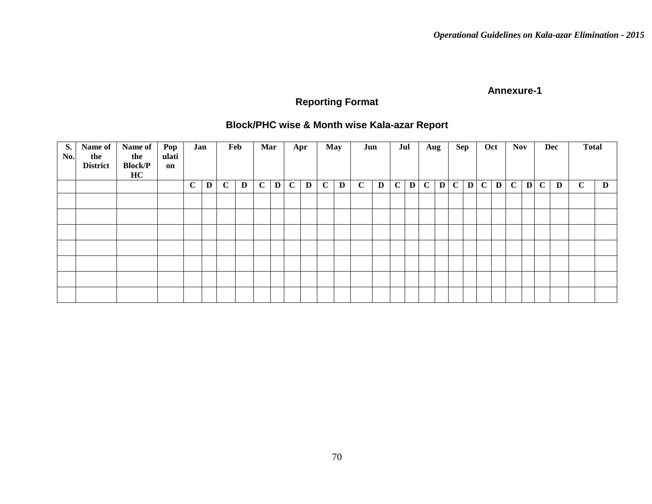# **Reporting Format**

## **Block/PHC wise & Month wise Kala-azar Report**

| <b>S.</b><br>No. | Name of<br>the<br><b>District</b> | Name of<br>the<br><b>Block/P</b><br>HC | Pop<br>ulati<br>on | Jan          |             |             | Feb | Mar         |   |             | Apr | <b>May</b>   |   | Jun         |   | Jul |           | Aug          |              | Sep          |   | Oct          |   | <b>Nov</b>   |              |             | Dec | <b>Total</b> |   |
|------------------|-----------------------------------|----------------------------------------|--------------------|--------------|-------------|-------------|-----|-------------|---|-------------|-----|--------------|---|-------------|---|-----|-----------|--------------|--------------|--------------|---|--------------|---|--------------|--------------|-------------|-----|--------------|---|
|                  |                                   |                                        |                    | $\mathbf{C}$ | $\mathbf D$ | $\mathbf C$ | D   | $\mathbf C$ | D | $\mathbf C$ | D   | $\mathbf{C}$ | D | $\mathbf C$ | D |     | $C$   $D$ | $\mathbf{C}$ | $\mathbf{D}$ | $\mathbf{C}$ | D | $\mathbf{C}$ | D | $\mathbf{C}$ | $\mathbf{D}$ | $\mathbf C$ | D   | $\mathbf C$  | D |
|                  |                                   |                                        |                    |              |             |             |     |             |   |             |     |              |   |             |   |     |           |              |              |              |   |              |   |              |              |             |     |              |   |
|                  |                                   |                                        |                    |              |             |             |     |             |   |             |     |              |   |             |   |     |           |              |              |              |   |              |   |              |              |             |     |              |   |
|                  |                                   |                                        |                    |              |             |             |     |             |   |             |     |              |   |             |   |     |           |              |              |              |   |              |   |              |              |             |     |              |   |
|                  |                                   |                                        |                    |              |             |             |     |             |   |             |     |              |   |             |   |     |           |              |              |              |   |              |   |              |              |             |     |              |   |
|                  |                                   |                                        |                    |              |             |             |     |             |   |             |     |              |   |             |   |     |           |              |              |              |   |              |   |              |              |             |     |              |   |
|                  |                                   |                                        |                    |              |             |             |     |             |   |             |     |              |   |             |   |     |           |              |              |              |   |              |   |              |              |             |     |              |   |
|                  |                                   |                                        |                    |              |             |             |     |             |   |             |     |              |   |             |   |     |           |              |              |              |   |              |   |              |              |             |     |              |   |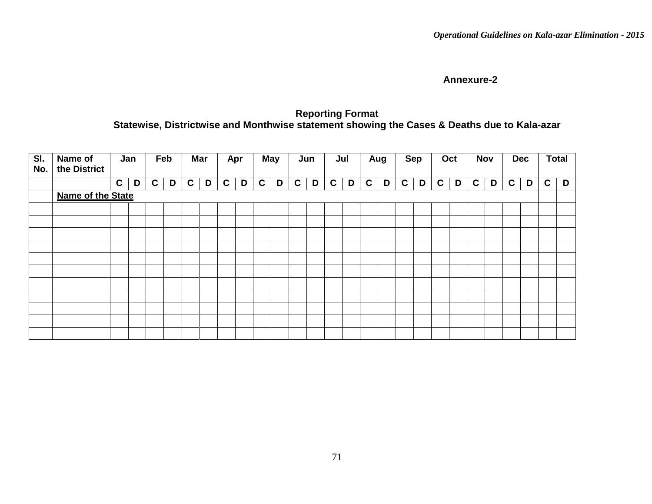### **Reporting Format Statewise, Districtwise and Monthwise statement showing the Cases & Deaths due to Kala-azar**

| SI.<br>No. | Name of<br>the District |              | Jan |   | Feb |             | Mar |   | Apr | <b>May</b> |   |             | Jun | Jul |   |   | Aug | <b>Sep</b>   |   |             | Oct |   | <b>Nov</b> | <b>Dec</b>   |   |             | <b>Total</b> |
|------------|-------------------------|--------------|-----|---|-----|-------------|-----|---|-----|------------|---|-------------|-----|-----|---|---|-----|--------------|---|-------------|-----|---|------------|--------------|---|-------------|--------------|
|            |                         | $\mathbf{C}$ | D   | C | D   | $\mathbf c$ | D   | C | D   | C          | D | $\mathbf c$ | D   | C   | D | C | D   | $\mathbf{C}$ | D | $\mathbf c$ | D   | C | D          | $\mathbf{C}$ | D | $\mathbf c$ | D            |
|            | Name of the State       |              |     |   |     |             |     |   |     |            |   |             |     |     |   |   |     |              |   |             |     |   |            |              |   |             |              |
|            |                         |              |     |   |     |             |     |   |     |            |   |             |     |     |   |   |     |              |   |             |     |   |            |              |   |             |              |
|            |                         |              |     |   |     |             |     |   |     |            |   |             |     |     |   |   |     |              |   |             |     |   |            |              |   |             |              |
|            |                         |              |     |   |     |             |     |   |     |            |   |             |     |     |   |   |     |              |   |             |     |   |            |              |   |             |              |
|            |                         |              |     |   |     |             |     |   |     |            |   |             |     |     |   |   |     |              |   |             |     |   |            |              |   |             |              |
|            |                         |              |     |   |     |             |     |   |     |            |   |             |     |     |   |   |     |              |   |             |     |   |            |              |   |             |              |
|            |                         |              |     |   |     |             |     |   |     |            |   |             |     |     |   |   |     |              |   |             |     |   |            |              |   |             |              |
|            |                         |              |     |   |     |             |     |   |     |            |   |             |     |     |   |   |     |              |   |             |     |   |            |              |   |             |              |
|            |                         |              |     |   |     |             |     |   |     |            |   |             |     |     |   |   |     |              |   |             |     |   |            |              |   |             |              |
|            |                         |              |     |   |     |             |     |   |     |            |   |             |     |     |   |   |     |              |   |             |     |   |            |              |   |             |              |
|            |                         |              |     |   |     |             |     |   |     |            |   |             |     |     |   |   |     |              |   |             |     |   |            |              |   |             |              |
|            |                         |              |     |   |     |             |     |   |     |            |   |             |     |     |   |   |     |              |   |             |     |   |            |              |   |             |              |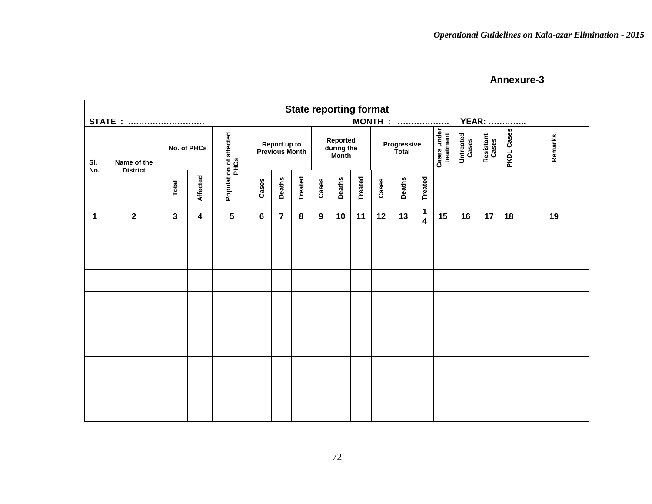|            |                                |              |                 |                                |                |                                       |                |       |                                 | <b>State reporting format</b> |       |                             |                              |                          |                    |                    |            |         |
|------------|--------------------------------|--------------|-----------------|--------------------------------|----------------|---------------------------------------|----------------|-------|---------------------------------|-------------------------------|-------|-----------------------------|------------------------------|--------------------------|--------------------|--------------------|------------|---------|
|            | <b>STATE</b> :                 |              |                 |                                |                |                                       |                |       |                                 |                               |       | <b>MONTH : </b>             |                              |                          |                    | <b>YEAR: </b>      |            |         |
| SI.<br>No. | Name of the<br><b>District</b> |              | No. of PHCs     | Population of affected<br>PHCs |                | Report up to<br><b>Previous Month</b> |                |       | Reported<br>during the<br>Month |                               |       | Progressive<br><b>Total</b> |                              | Cases under<br>treatment | Untreated<br>Cases | Resistant<br>Cases | PKDL Cases | Remarks |
|            |                                | Total        | <b>Affected</b> |                                | Cases          | <b>Deaths</b>                         | <b>Treated</b> | Cases | <b>Deaths</b>                   | Treated                       | Cases | <b>Deaths</b>               | <b>Treated</b>               |                          |                    |                    |            |         |
| 1          | $\overline{2}$                 | $\mathbf{3}$ | 4               | 5                              | $6\phantom{1}$ | $\overline{7}$                        | 8              | 9     | 10                              | 11                            | 12    | 13                          | 1<br>$\overline{\mathbf{4}}$ | 15                       | 16                 | 17                 | 18         | 19      |
|            |                                |              |                 |                                |                |                                       |                |       |                                 |                               |       |                             |                              |                          |                    |                    |            |         |
|            |                                |              |                 |                                |                |                                       |                |       |                                 |                               |       |                             |                              |                          |                    |                    |            |         |
|            |                                |              |                 |                                |                |                                       |                |       |                                 |                               |       |                             |                              |                          |                    |                    |            |         |
|            |                                |              |                 |                                |                |                                       |                |       |                                 |                               |       |                             |                              |                          |                    |                    |            |         |
|            |                                |              |                 |                                |                |                                       |                |       |                                 |                               |       |                             |                              |                          |                    |                    |            |         |
|            |                                |              |                 |                                |                |                                       |                |       |                                 |                               |       |                             |                              |                          |                    |                    |            |         |
|            |                                |              |                 |                                |                |                                       |                |       |                                 |                               |       |                             |                              |                          |                    |                    |            |         |
|            |                                |              |                 |                                |                |                                       |                |       |                                 |                               |       |                             |                              |                          |                    |                    |            |         |
|            |                                |              |                 |                                |                |                                       |                |       |                                 |                               |       |                             |                              |                          |                    |                    |            |         |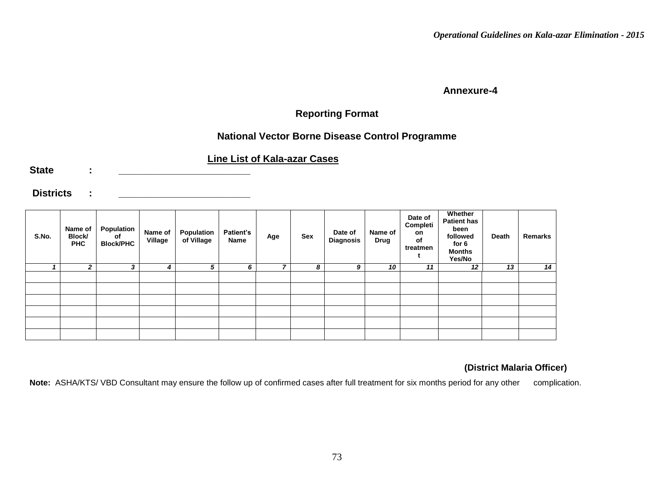### **Reporting Format**

### **National Vector Borne Disease Control Programme**

### **Line List of Kala-azar Cases**

State :

**Districts : \_\_\_\_\_\_\_\_\_\_\_\_\_\_\_\_\_\_\_\_\_\_\_\_**

| S.No. | Name of<br>Block/<br><b>PHC</b> | Population<br>of<br><b>Block/PHC</b> | Name of<br>Village | Population<br>of Village | <b>Patient's</b><br>Name | Age | <b>Sex</b> | Date of<br><b>Diagnosis</b> | Name of<br>Drug | Date of<br>Completi<br>on<br>of<br>treatmen | Whether<br><b>Patient has</b><br>been<br>followed<br>for 6<br><b>Months</b><br>Yes/No | Death | Remarks |
|-------|---------------------------------|--------------------------------------|--------------------|--------------------------|--------------------------|-----|------------|-----------------------------|-----------------|---------------------------------------------|---------------------------------------------------------------------------------------|-------|---------|
|       | 2                               | 3                                    | 4                  | 5                        | 6                        | -   | 8          | 9                           | 10              | 11                                          | 12                                                                                    | 13    | 14      |
|       |                                 |                                      |                    |                          |                          |     |            |                             |                 |                                             |                                                                                       |       |         |
|       |                                 |                                      |                    |                          |                          |     |            |                             |                 |                                             |                                                                                       |       |         |
|       |                                 |                                      |                    |                          |                          |     |            |                             |                 |                                             |                                                                                       |       |         |
|       |                                 |                                      |                    |                          |                          |     |            |                             |                 |                                             |                                                                                       |       |         |
|       |                                 |                                      |                    |                          |                          |     |            |                             |                 |                                             |                                                                                       |       |         |
|       |                                 |                                      |                    |                          |                          |     |            |                             |                 |                                             |                                                                                       |       |         |

#### **(District Malaria Officer)**

Note: ASHA/KTS/ VBD Consultant may ensure the follow up of confirmed cases after full treatment for six months period for any other complication.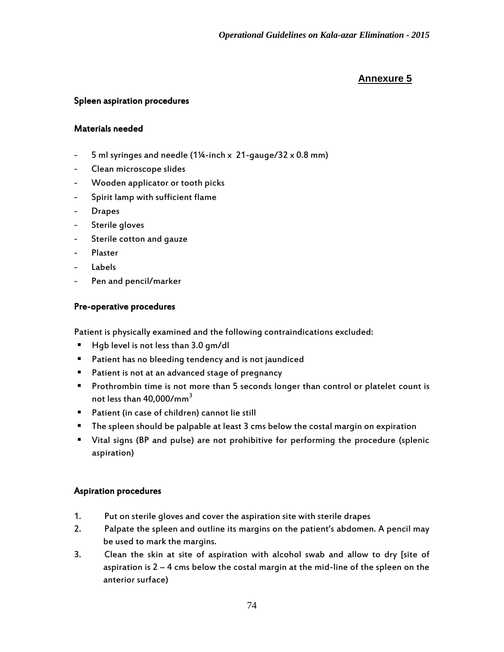#### Spleen aspiration procedures

#### Materials needed

- 5 ml syringes and needle (1¼-inch x 21-gauge/32 x 0.8 mm)
- Clean microscope slides
- Wooden applicator or tooth picks
- Spirit lamp with sufficient flame
- Drapes
- Sterile gloves
- Sterile cotton and gauze
- Plaster
- Labels
- Pen and pencil/marker

#### Pre-operative procedures

Patient is physically examined and the following contraindications excluded:

- Hqb level is not less than 3.0 qm/dl
- **Patient has no bleeding tendency and is not jaundiced**
- **Patient is not at an advanced stage of pregnancy**
- **Prothrombin time is not more than 5 seconds longer than control or platelet count is** not less than 40,000/mm<sup>3</sup>
- Patient (in case of children) cannot lie still
- The spleen should be palpable at least 3 cms below the costal margin on expiration
- Vital signs (BP and pulse) are not prohibitive for performing the procedure (splenic aspiration)

#### Aspiration procedures

- 1. Put on sterile gloves and cover the aspiration site with sterile drapes
- 2. Palpate the spleen and outline its margins on the patient's abdomen. A pencil may be used to mark the margins.
- 3. Clean the skin at site of aspiration with alcohol swab and allow to dry [site of aspiration is  $2 - 4$  cms below the costal margin at the mid-line of the spleen on the anterior surface)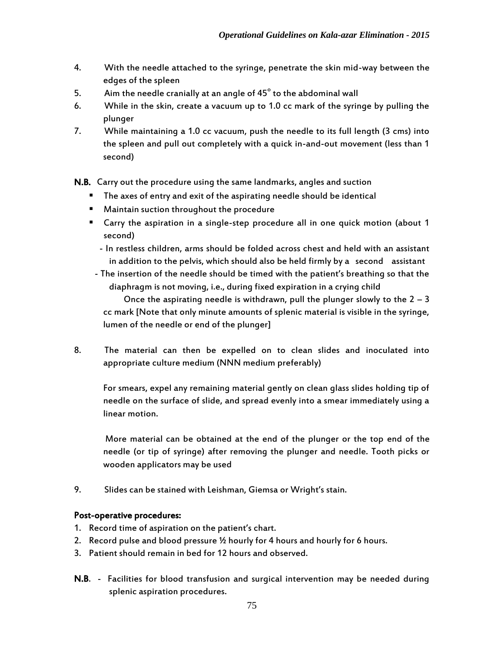- 4. With the needle attached to the syringe, penetrate the skin mid-way between the edges of the spleen
- 5. Aim the needle cranially at an angle of 45 $^{\circ}$  to the abdominal wall
- 6. While in the skin, create a vacuum up to 1.0 cc mark of the syringe by pulling the plunger
- 7. While maintaining a 1.0 cc vacuum, push the needle to its full length (3 cms) into the spleen and pull out completely with a quick in-and-out movement (less than 1 second)

N.B. Carry out the procedure using the same landmarks, angles and suction

- **The axes of entry and exit of the aspirating needle should be identical**
- Maintain suction throughout the procedure
- Carry the aspiration in a single-step procedure all in one quick motion (about 1 second)
	- In restless children, arms should be folded across chest and held with an assistant in addition to the pelvis, which should also be held firmly by a second assistant
- The insertion of the needle should be timed with the patient's breathing so that the diaphragm is not moving, i.e., during fixed expiration in a crying child

Once the aspirating needle is withdrawn, pull the plunger slowly to the  $2 - 3$ cc mark [Note that only minute amounts of splenic material is visible in the syringe, lumen of the needle or end of the plunger]

8. The material can then be expelled on to clean slides and inoculated into appropriate culture medium (NNN medium preferably)

For smears, expel any remaining material gently on clean glass slides holding tip of needle on the surface of slide, and spread evenly into a smear immediately using a linear motion.

More material can be obtained at the end of the plunger or the top end of the needle (or tip of syringe) after removing the plunger and needle. Tooth picks or wooden applicators may be used

9. Slides can be stained with Leishman, Giemsa or Wright's stain.

### Post-operative procedures:

- 1. Record time of aspiration on the patient's chart.
- 2. Record pulse and blood pressure ½ hourly for 4 hours and hourly for 6 hours.
- 3. Patient should remain in bed for 12 hours and observed.
- N.B. Facilities for blood transfusion and surgical intervention may be needed during splenic aspiration procedures.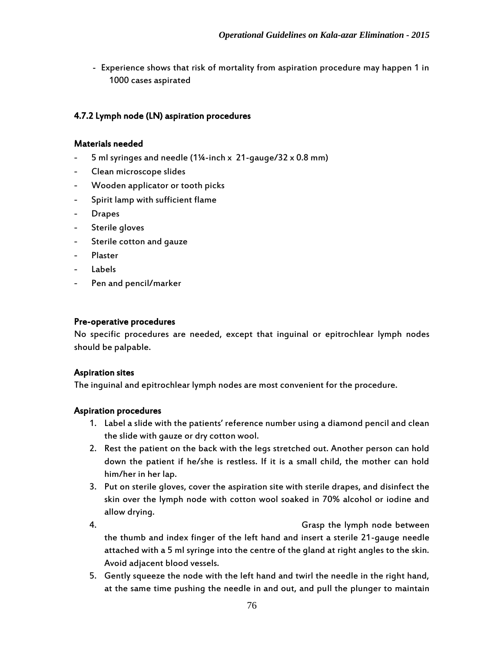- Experience shows that risk of mortality from aspiration procedure may happen 1 in 1000 cases aspirated

#### 4.7.2 Lymph node (LN) aspiration procedures

#### Materials needed

- 5 ml syringes and needle (1¼-inch x 21-gauge/32 x 0.8 mm)
- Clean microscope slides
- Wooden applicator or tooth picks
- Spirit lamp with sufficient flame
- Drapes
- Sterile gloves
- Sterile cotton and gauze
- Plaster
- Labels
- Pen and pencil/marker

#### Pre-operative procedures

No specific procedures are needed, except that inguinal or epitrochlear lymph nodes should be palpable.

#### Aspiration sites

The inguinal and epitrochlear lymph nodes are most convenient for the procedure.

#### Aspiration procedures

- 1. Label a slide with the patients' reference number using a diamond pencil and clean the slide with gauze or dry cotton wool.
- 2. Rest the patient on the back with the legs stretched out. Another person can hold down the patient if he/she is restless. If it is a small child, the mother can hold him/her in her lap.
- 3. Put on sterile gloves, cover the aspiration site with sterile drapes, and disinfect the skin over the lymph node with cotton wool soaked in 70% alcohol or iodine and allow drying.
- 4. Grasp the lymph node between the thumb and index finger of the left hand and insert a sterile 21-gauge needle attached with a 5 ml syringe into the centre of the gland at right angles to the skin. Avoid adjacent blood vessels.
- 5. Gently squeeze the node with the left hand and twirl the needle in the right hand, at the same time pushing the needle in and out, and pull the plunger to maintain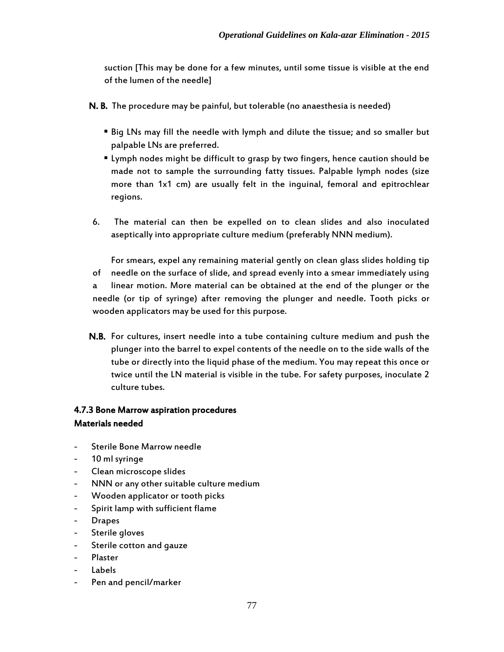suction [This may be done for a few minutes, until some tissue is visible at the end of the lumen of the needle]

- N. B. The procedure may be painful, but tolerable (no anaesthesia is needed)
	- Big LNs may fill the needle with lymph and dilute the tissue; and so smaller but palpable LNs are preferred.
	- Lymph nodes might be difficult to grasp by two fingers, hence caution should be made not to sample the surrounding fatty tissues. Palpable lymph nodes (size more than 1x1 cm) are usually felt in the inguinal, femoral and epitrochlear regions.
- 6. The material can then be expelled on to clean slides and also inoculated aseptically into appropriate culture medium (preferably NNN medium).

For smears, expel any remaining material gently on clean glass slides holding tip of needle on the surface of slide, and spread evenly into a smear immediately using a linear motion. More material can be obtained at the end of the plunger or the needle (or tip of syringe) after removing the plunger and needle. Tooth picks or wooden applicators may be used for this purpose.

N.B. For cultures, insert needle into a tube containing culture medium and push the plunger into the barrel to expel contents of the needle on to the side walls of the tube or directly into the liquid phase of the medium. You may repeat this once or twice until the LN material is visible in the tube. For safety purposes, inoculate 2 culture tubes.

### 4.7.3 Bone Marrow aspiration procedures Materials needed

- Sterile Bone Marrow needle
- 10 ml syringe
- Clean microscope slides
- NNN or any other suitable culture medium
- Wooden applicator or tooth picks
- Spirit lamp with sufficient flame
- **Drapes**
- Sterile gloves
- Sterile cotton and gauze
- Plaster
- **Labels**
- Pen and pencil/marker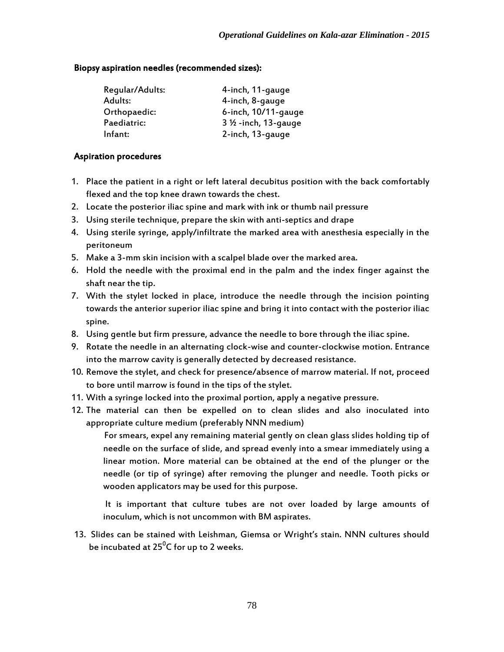#### Biopsy aspiration needles (recommended sizes):

| Regular/Adults: | 4-inch, 11-gauge               |
|-----------------|--------------------------------|
| Adults:         | 4-inch, 8-gauge                |
| Orthopaedic:    | 6-inch, 10/11-gauge            |
| Paediatric:     | $3\frac{1}{2}$ -inch, 13-gauge |
| Infant:         | 2-inch, 13-gauge               |

#### Aspiration procedures

- 1. Place the patient in a right or left lateral decubitus position with the back comfortably flexed and the top knee drawn towards the chest.
- 2. Locate the posterior iliac spine and mark with ink or thumb nail pressure
- 3. Using sterile technique, prepare the skin with anti-septics and drape
- 4. Using sterile syringe, apply/infiltrate the marked area with anesthesia especially in the peritoneum
- 5. Make a 3-mm skin incision with a scalpel blade over the marked area.
- 6. Hold the needle with the proximal end in the palm and the index finger against the shaft near the tip.
- 7. With the stylet locked in place, introduce the needle through the incision pointing towards the anterior superior iliac spine and bring it into contact with the posterior iliac spine.
- 8. Using gentle but firm pressure, advance the needle to bore through the iliac spine.
- 9. Rotate the needle in an alternating clock-wise and counter-clockwise motion. Entrance into the marrow cavity is generally detected by decreased resistance.
- 10. Remove the stylet, and check for presence/absence of marrow material. If not, proceed to bore until marrow is found in the tips of the stylet.
- 11. With a syringe locked into the proximal portion, apply a negative pressure.
- 12. The material can then be expelled on to clean slides and also inoculated into appropriate culture medium (preferably NNN medium)

For smears, expel any remaining material gently on clean glass slides holding tip of needle on the surface of slide, and spread evenly into a smear immediately using a linear motion. More material can be obtained at the end of the plunger or the needle (or tip of syringe) after removing the plunger and needle. Tooth picks or wooden applicators may be used for this purpose.

 It is important that culture tubes are not over loaded by large amounts of inoculum, which is not uncommon with BM aspirates.

13. Slides can be stained with Leishman, Giemsa or Wright's stain. NNN cultures should be incubated at 25 $^{\rm 0}$ C for up to 2 weeks.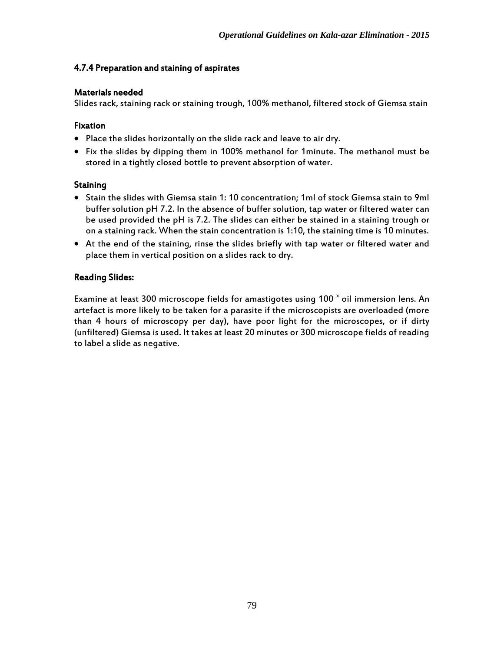#### 4.7.4 Preparation and staining of aspirates

#### Materials needed

Slides rack, staining rack or staining trough, 100% methanol, filtered stock of Giemsa stain

#### Fixation

- Place the slides horizontally on the slide rack and leave to air dry.
- Fix the slides by dipping them in 100% methanol for 1minute. The methanol must be stored in a tightly closed bottle to prevent absorption of water.

#### **Staining**

- Stain the slides with Giemsa stain 1: 10 concentration; 1ml of stock Giemsa stain to 9ml buffer solution pH 7.2. In the absence of buffer solution, tap water or filtered water can be used provided the pH is 7.2. The slides can either be stained in a staining trough or on a staining rack. When the stain concentration is 1:10, the staining time is 10 minutes.
- At the end of the staining, rinse the slides briefly with tap water or filtered water and place them in vertical position on a slides rack to dry.

#### Reading Slides:

Examine at least 300 microscope fields for amastigotes using 100  $^{\texttt{x}}$  oil immersion lens. An artefact is more likely to be taken for a parasite if the microscopists are overloaded (more than 4 hours of microscopy per day), have poor light for the microscopes, or if dirty (unfiltered) Giemsa is used. It takes at least 20 minutes or 300 microscope fields of reading to label a slide as negative.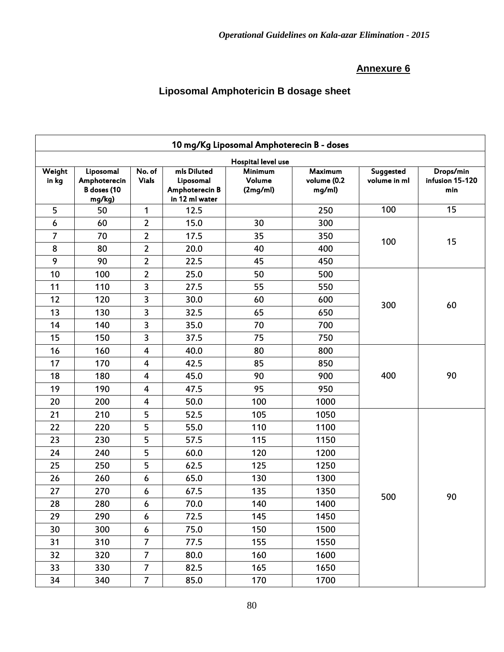## **Liposomal Amphotericin B dosage sheet**

|                 | 10 mg/Kg Liposomal Amphoterecin B - doses          |                         |                                                              |                                      |                                         |                                  |                                     |  |  |
|-----------------|----------------------------------------------------|-------------------------|--------------------------------------------------------------|--------------------------------------|-----------------------------------------|----------------------------------|-------------------------------------|--|--|
|                 |                                                    |                         |                                                              | Hospital level use                   |                                         |                                  |                                     |  |  |
| Weight<br>in kg | Liposomal<br>Amphoterecin<br>B doses (10<br>mg/kg) | No. of<br><b>Vials</b>  | mls Diluted<br>Liposomal<br>Amphoterecin B<br>in 12 ml water | <b>Minimum</b><br>Volume<br>(2mg/ml) | <b>Maximum</b><br>volume (0.2<br>mg/ml) | <b>Suggested</b><br>volume in ml | Drops/min<br>infusion 15-120<br>min |  |  |
| 5               | 50                                                 | $\mathbf{1}$            | 12.5                                                         |                                      | 250                                     | 100                              | 15                                  |  |  |
| 6               | 60                                                 | $\overline{2}$          | 15.0                                                         | 30                                   | 300                                     |                                  |                                     |  |  |
| 7               | 70                                                 | $\overline{2}$          | 17.5                                                         | 35                                   | 350                                     | 100                              | 15                                  |  |  |
| 8               | 80                                                 | $\mathbf{2}$            | 20.0                                                         | 40                                   | 400                                     |                                  |                                     |  |  |
| 9               | 90                                                 | $\overline{2}$          | 22.5                                                         | 45                                   | 450                                     |                                  |                                     |  |  |
| 10              | 100                                                | $\overline{2}$          | 25.0                                                         | 50                                   | 500                                     |                                  |                                     |  |  |
| 11              | 110                                                | 3                       | 27.5                                                         | 55                                   | 550                                     |                                  |                                     |  |  |
| 12              | 120                                                | 3                       | 30.0                                                         | 60                                   | 600                                     | 300                              | 60                                  |  |  |
| 13              | 130                                                | 3                       | 32.5                                                         | 65                                   | 650                                     |                                  |                                     |  |  |
| 14              | 140                                                | 3                       | 35.0                                                         | 70                                   | 700                                     |                                  |                                     |  |  |
| 15              | 150                                                | 3                       | 37.5                                                         | 75                                   | 750                                     |                                  |                                     |  |  |
| 16              | 160                                                | $\overline{\mathbf{4}}$ | 40.0                                                         | 80                                   | 800                                     |                                  |                                     |  |  |
| 17              | 170                                                | $\overline{\mathbf{4}}$ | 42.5                                                         | 85                                   | 850                                     |                                  |                                     |  |  |
| 18              | 180                                                | $\overline{4}$          | 45.0                                                         | 90                                   | 900                                     | 400                              | 90                                  |  |  |
| 19              | 190                                                | $\overline{\mathbf{4}}$ | 47.5                                                         | 95                                   | 950                                     |                                  |                                     |  |  |
| 20              | 200                                                | $\overline{\mathbf{4}}$ | 50.0                                                         | 100                                  | 1000                                    |                                  |                                     |  |  |
| 21              | 210                                                | 5                       | 52.5                                                         | 105                                  | 1050                                    |                                  |                                     |  |  |
| 22              | 220                                                | 5                       | 55.0                                                         | 110                                  | 1100                                    |                                  |                                     |  |  |
| 23              | 230                                                | 5                       | 57.5                                                         | 115                                  | 1150                                    |                                  |                                     |  |  |
| 24              | 240                                                | 5                       | 60.0                                                         | 120                                  | 1200                                    |                                  |                                     |  |  |
| 25              | 250                                                | 5                       | 62.5                                                         | 125                                  | 1250                                    |                                  |                                     |  |  |
| 26              | 260                                                | $\boldsymbol{6}$        | 65.0                                                         | 130                                  | 1300                                    |                                  |                                     |  |  |
| 27              | 270                                                | 6                       | 67.5                                                         | 135                                  | 1350                                    | 500                              | 90                                  |  |  |
| 28              | 280                                                | $\boldsymbol{6}$        | 70.0                                                         | 140                                  | 1400                                    |                                  |                                     |  |  |
| 29              | 290                                                | 6                       | 72.5                                                         | 145                                  | 1450                                    |                                  |                                     |  |  |
| 30              | 300                                                | $\boldsymbol{6}$        | 75.0                                                         | 150                                  | 1500                                    |                                  |                                     |  |  |
| 31              | 310                                                | $\overline{7}$          | 77.5                                                         | 155                                  | 1550                                    |                                  |                                     |  |  |
| 32              | 320                                                | $\overline{7}$          | 80.0                                                         | 160                                  | 1600                                    |                                  |                                     |  |  |
| 33              | 330                                                | $\overline{7}$          | 82.5                                                         | 165                                  | 1650                                    |                                  |                                     |  |  |
| 34              | 340                                                | $\overline{7}$          | 85.0                                                         | 170                                  | 1700                                    |                                  |                                     |  |  |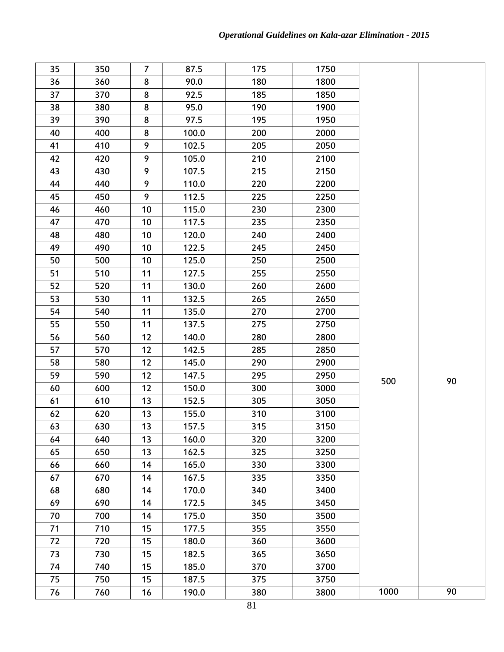| 35 | 350 | $\overline{7}$ | 87.5  | 175 | 1750 |      |    |
|----|-----|----------------|-------|-----|------|------|----|
| 36 | 360 | 8              | 90.0  | 180 | 1800 |      |    |
| 37 | 370 | 8              | 92.5  | 185 | 1850 |      |    |
| 38 | 380 | 8              | 95.0  | 190 | 1900 |      |    |
| 39 | 390 | 8              | 97.5  | 195 | 1950 |      |    |
| 40 | 400 | 8              | 100.0 | 200 | 2000 |      |    |
| 41 | 410 | 9              | 102.5 | 205 | 2050 |      |    |
| 42 | 420 | 9              | 105.0 | 210 | 2100 |      |    |
| 43 | 430 | 9              | 107.5 | 215 | 2150 |      |    |
| 44 | 440 | 9              | 110.0 | 220 | 2200 |      |    |
| 45 | 450 | 9              | 112.5 | 225 | 2250 |      |    |
| 46 | 460 | 10             | 115.0 | 230 | 2300 |      |    |
| 47 | 470 | 10             | 117.5 | 235 | 2350 |      |    |
| 48 | 480 | 10             | 120.0 | 240 | 2400 |      |    |
| 49 | 490 | 10             | 122.5 | 245 | 2450 |      |    |
| 50 | 500 | 10             | 125.0 | 250 | 2500 |      |    |
| 51 | 510 | 11             | 127.5 | 255 | 2550 |      |    |
| 52 | 520 | 11             | 130.0 | 260 | 2600 |      |    |
| 53 | 530 | 11             | 132.5 | 265 | 2650 |      |    |
| 54 | 540 | 11             | 135.0 | 270 | 2700 |      |    |
| 55 | 550 | 11             | 137.5 | 275 | 2750 |      |    |
| 56 | 560 | 12             | 140.0 | 280 | 2800 |      |    |
| 57 | 570 | 12             | 142.5 | 285 | 2850 |      |    |
| 58 | 580 | 12             | 145.0 | 290 | 2900 |      |    |
| 59 | 590 | 12             | 147.5 | 295 | 2950 | 500  | 90 |
| 60 | 600 | 12             | 150.0 | 300 | 3000 |      |    |
| 61 | 610 | 13             | 152.5 | 305 | 3050 |      |    |
| 62 | 620 | 13             | 155.0 | 310 | 3100 |      |    |
| 63 | 630 | 13             | 157.5 | 315 | 3150 |      |    |
| 64 | 640 | 13             | 160.0 | 320 | 3200 |      |    |
| 65 | 650 | 13             | 162.5 | 325 | 3250 |      |    |
| 66 | 660 | 14             | 165.0 | 330 | 3300 |      |    |
| 67 | 670 | 14             | 167.5 | 335 | 3350 |      |    |
| 68 | 680 | 14             | 170.0 | 340 | 3400 |      |    |
| 69 | 690 | 14             | 172.5 | 345 | 3450 |      |    |
| 70 | 700 | 14             | 175.0 | 350 | 3500 |      |    |
| 71 | 710 | 15             | 177.5 | 355 | 3550 |      |    |
| 72 | 720 | 15             | 180.0 | 360 | 3600 |      |    |
| 73 | 730 | 15             | 182.5 | 365 | 3650 |      |    |
| 74 | 740 | 15             | 185.0 | 370 | 3700 |      |    |
| 75 | 750 | 15             | 187.5 | 375 | 3750 |      |    |
| 76 | 760 | 16             | 190.0 | 380 | 3800 | 1000 | 90 |
|    |     |                |       |     |      |      |    |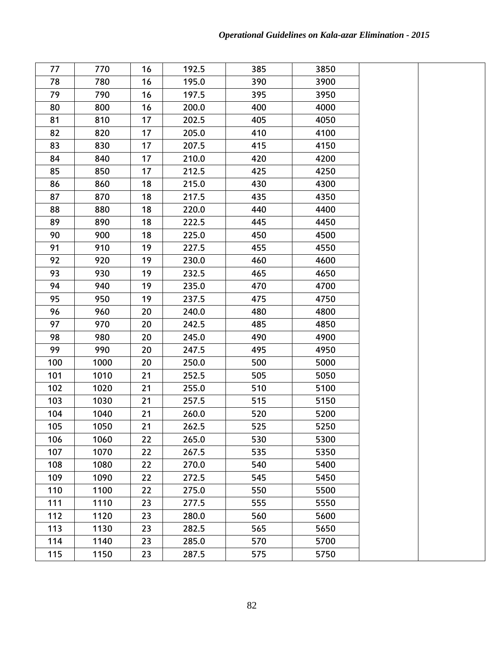| 77  | 770  | 16 | 192.5 | 385 | 3850 |  |
|-----|------|----|-------|-----|------|--|
| 78  | 780  | 16 | 195.0 | 390 | 3900 |  |
| 79  | 790  | 16 | 197.5 | 395 | 3950 |  |
| 80  | 800  | 16 | 200.0 | 400 | 4000 |  |
| 81  | 810  | 17 | 202.5 | 405 | 4050 |  |
| 82  | 820  | 17 | 205.0 | 410 | 4100 |  |
| 83  | 830  | 17 | 207.5 | 415 | 4150 |  |
| 84  | 840  | 17 | 210.0 | 420 | 4200 |  |
| 85  | 850  | 17 | 212.5 | 425 | 4250 |  |
| 86  | 860  | 18 | 215.0 | 430 | 4300 |  |
| 87  | 870  | 18 | 217.5 | 435 | 4350 |  |
| 88  | 880  | 18 | 220.0 | 440 | 4400 |  |
| 89  | 890  | 18 | 222.5 | 445 | 4450 |  |
| 90  | 900  | 18 | 225.0 | 450 | 4500 |  |
| 91  | 910  | 19 | 227.5 | 455 | 4550 |  |
| 92  | 920  | 19 | 230.0 | 460 | 4600 |  |
| 93  | 930  | 19 | 232.5 | 465 | 4650 |  |
| 94  | 940  | 19 | 235.0 | 470 | 4700 |  |
| 95  | 950  | 19 | 237.5 | 475 | 4750 |  |
| 96  | 960  | 20 | 240.0 | 480 | 4800 |  |
| 97  | 970  | 20 | 242.5 | 485 | 4850 |  |
| 98  | 980  | 20 | 245.0 | 490 | 4900 |  |
| 99  | 990  | 20 | 247.5 | 495 | 4950 |  |
| 100 | 1000 | 20 | 250.0 | 500 | 5000 |  |
| 101 | 1010 | 21 | 252.5 | 505 | 5050 |  |
| 102 | 1020 | 21 | 255.0 | 510 | 5100 |  |
| 103 | 1030 | 21 | 257.5 | 515 | 5150 |  |
| 104 | 1040 | 21 | 260.0 | 520 | 5200 |  |
| 105 | 1050 | 21 | 262.5 | 525 | 5250 |  |
| 106 | 1060 | 22 | 265.0 | 530 | 5300 |  |
| 107 | 1070 | 22 | 267.5 | 535 | 5350 |  |
| 108 | 1080 | 22 | 270.0 | 540 | 5400 |  |
| 109 | 1090 | 22 | 272.5 | 545 | 5450 |  |
| 110 | 1100 | 22 | 275.0 | 550 | 5500 |  |
| 111 | 1110 | 23 | 277.5 | 555 | 5550 |  |
| 112 | 1120 | 23 | 280.0 | 560 | 5600 |  |
| 113 | 1130 | 23 | 282.5 | 565 | 5650 |  |
| 114 | 1140 | 23 | 285.0 | 570 | 5700 |  |
| 115 | 1150 | 23 | 287.5 | 575 | 5750 |  |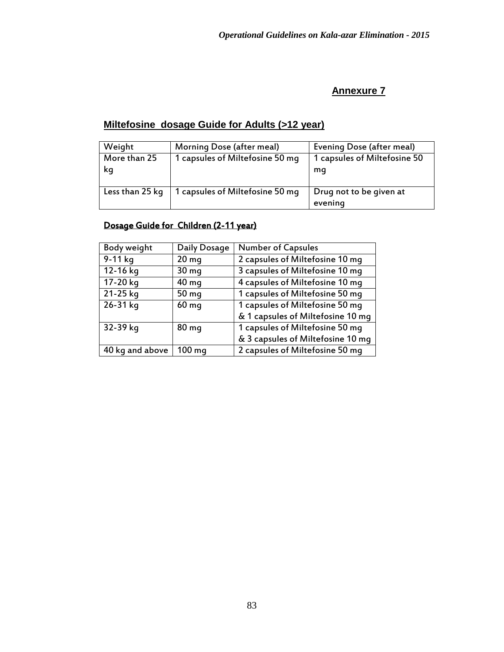## **Miltefosine dosage Guide for Adults (>12 year)**

| Weight             | Morning Dose (after meal)       | Evening Dose (after meal)          |
|--------------------|---------------------------------|------------------------------------|
| More than 25<br>kg | 1 capsules of Miltefosine 50 mq | 1 capsules of Miltefosine 50<br>mq |
| Less than 25 kg    | 1 capsules of Miltefosine 50 mq | Drug not to be given at<br>evening |

### Dosage Guide for Children (2-11 year)

| Body weight     | Daily Dosage     | <b>Number of Capsules</b>         |
|-----------------|------------------|-----------------------------------|
| 9-11 kg         | 20 <sub>mg</sub> | 2 capsules of Miltefosine 10 mq   |
| 12-16 kg        | 30 <sub>mg</sub> | 3 capsules of Miltefosine 10 mg   |
| 17-20 kg        | 40 mg            | 4 capsules of Miltefosine 10 mg   |
| 21-25 kg        | 50 <sub>mg</sub> | 1 capsules of Miltefosine 50 mq   |
| 26-31 kg        | 60 mg            | 1 capsules of Miltefosine 50 mg   |
|                 |                  | & 1 capsules of Miltefosine 10 mg |
| 32-39 kg        | 80 <sub>mg</sub> | 1 capsules of Miltefosine 50 mq   |
|                 |                  | & 3 capsules of Miltefosine 10 mg |
| 40 kg and above | $100 \text{ mg}$ | 2 capsules of Miltefosine 50 mg   |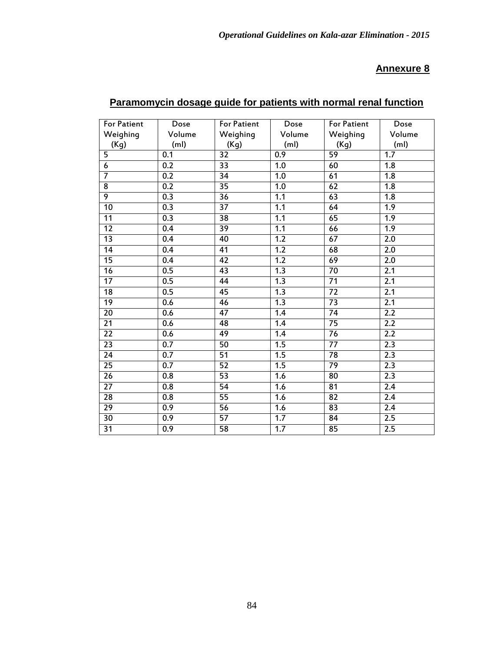| <b>For Patient</b>      | Dose              | <b>For Patient</b> | Dose              | <b>For Patient</b> | Dose              |
|-------------------------|-------------------|--------------------|-------------------|--------------------|-------------------|
| Weighing                | Volume            | Weighing           | Volume            | Weighing           | Volume            |
| (Kg)                    | (m <sub>l</sub> ) | (Kg)               | (m <sub>l</sub> ) | (Kg)               | (m <sub>l</sub> ) |
| $\overline{5}$          | 0.1               | $\overline{32}$    | 0.9               | 59                 | 1.7               |
| $\overline{6}$          | $\overline{0.2}$  | $\overline{33}$    | 1.0               | 60                 | 1.8               |
| $\overline{7}$          | 0.2               | $\overline{34}$    | 1.0               | 61                 | $\overline{1.8}$  |
| $\overline{\mathbf{8}}$ | $\overline{0.2}$  | $\overline{35}$    | 1.0               | $\overline{62}$    | 1.8               |
| 9                       | 0.3               | $\overline{36}$    | 1.1               | 63                 | $\overline{1.8}$  |
| $\overline{10}$         | 0.3               | 37                 | 1.1               | 64                 | 1.9               |
| 11                      | 0.3               | $\overline{38}$    | 1.1               | 65                 | $\overline{1.9}$  |
| $\overline{12}$         | 0.4               | $\overline{39}$    | 1.1               | 66                 | $\overline{1.9}$  |
| $\overline{13}$         | $\overline{0.4}$  | 40                 | $\overline{1.2}$  | 67                 | $\overline{2.0}$  |
| 14                      | 0.4               | 41                 | 1.2               | 68                 | 2.0               |
| $\overline{15}$         | 0.4               | $\overline{42}$    | 1.2               | 69                 | $\overline{2.0}$  |
| 16                      | 0.5               | 43                 | 1.3               | 70                 | 2.1               |
| 17                      | 0.5               | $\overline{44}$    | 1.3               | $\overline{71}$    | 2.1               |
| 18                      | 0.5               | 45                 | 1.3               | 72                 | 2.1               |
| 19                      | 0.6               | 46                 | 1.3               | 73                 | 2.1               |
| 20                      | 0.6               | 47                 | 1.4               | 74                 | 2.2               |
| $\overline{21}$         | 0.6               | 48                 | 1.4               | 75                 | 2.2               |
| 22                      | 0.6               | 49                 | 1.4               | 76                 | 2.2               |
| $\overline{23}$         | 0.7               | 50                 | 1.5               | $\overline{77}$    | 2.3               |
| 24                      | 0.7               | 51                 | 1.5               | 78                 | 2.3               |
| $\overline{25}$         | 0.7               | 52                 | 1.5               | 79                 | 2.3               |
| 26                      | 0.8               | $\overline{53}$    | 1.6               | 80                 | 2.3               |
| $\overline{27}$         | $\overline{0.8}$  | $\overline{54}$    | 1.6               | 81                 | $\overline{2.4}$  |
| 28                      | 0.8               | $\overline{55}$    | 1.6               | 82                 | 2.4               |
| $\overline{29}$         | $\overline{0.9}$  | $\overline{56}$    | 1.6               | $\overline{83}$    | $\overline{2.4}$  |
| $\overline{30}$         | 0.9               | $\overline{57}$    | 1.7               | 84                 | 2.5               |
| $\overline{31}$         | 0.9               | 58                 | 1.7               | 85                 | 2.5               |

### **Paramomycin dosage guide for patients with normal renal function**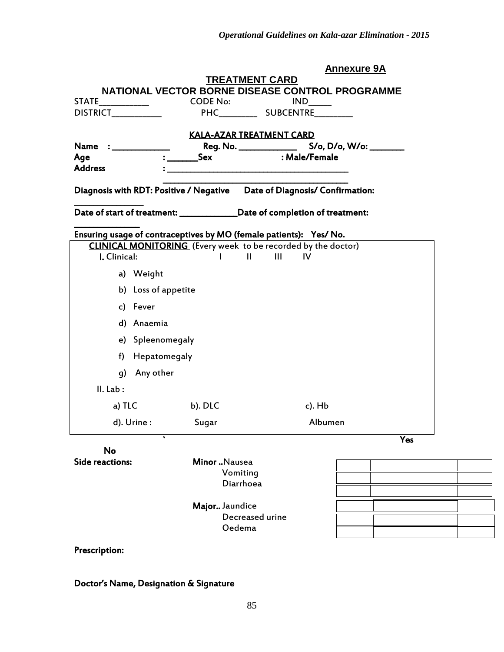|                              |                                                                      | <u>Annexure 9A</u>                                                          |     |
|------------------------------|----------------------------------------------------------------------|-----------------------------------------------------------------------------|-----|
|                              | <b>TREATMENT CARD</b>                                                |                                                                             |     |
|                              |                                                                      | NATIONAL VECTOR BORNE DISEASE CONTROL PROGRAMME                             |     |
|                              |                                                                      |                                                                             |     |
|                              |                                                                      |                                                                             |     |
|                              | <b>KALA-AZAR TREATMENT CARD</b>                                      |                                                                             |     |
| Name : _________             |                                                                      |                                                                             |     |
| Age                          | <b>Sex</b>                                                           | : Male/Female                                                               |     |
| <b>Address</b>               |                                                                      |                                                                             |     |
|                              |                                                                      | Diagnosis with RDT: Positive / Negative  Date of Diagnosis/ Confirmation:   |     |
|                              |                                                                      | Date of start of treatment: _______________Date of completion of treatment: |     |
|                              | Ensuring usage of contraceptives by MO (female patients): Yes/ No.   |                                                                             |     |
|                              | <b>CLINICAL MONITORING</b> (Every week to be recorded by the doctor) |                                                                             |     |
| I. Clinical:                 | <b><i>Communication</i> Communication</b>                            | $\sim$ 111<br><b>IV</b>                                                     |     |
| a) Weight                    |                                                                      |                                                                             |     |
| b) Loss of appetite          |                                                                      |                                                                             |     |
| c) Fever                     |                                                                      |                                                                             |     |
| d) Anaemia                   |                                                                      |                                                                             |     |
| e) Spleenomegaly             |                                                                      |                                                                             |     |
| f) Hepatomegaly              |                                                                      |                                                                             |     |
| Any other<br>q)              |                                                                      |                                                                             |     |
| II. Lab:                     |                                                                      |                                                                             |     |
| a) TLC                       | b). DLC                                                              | $c)$ . Hb                                                                   |     |
| d). Urine :                  | Sugar                                                                | Albumen                                                                     |     |
| $\cdot$                      |                                                                      |                                                                             | Yes |
| No<br><b>Side reactions:</b> |                                                                      |                                                                             |     |
|                              | Minor Nausea<br>Vomiting                                             |                                                                             |     |
|                              | Diarrhoea                                                            |                                                                             |     |
|                              |                                                                      |                                                                             |     |
|                              |                                                                      |                                                                             |     |

 Major.. Jaundice Decreased urine Oedema

#### Prescription:

#### Doctor's Name, Designation & Signature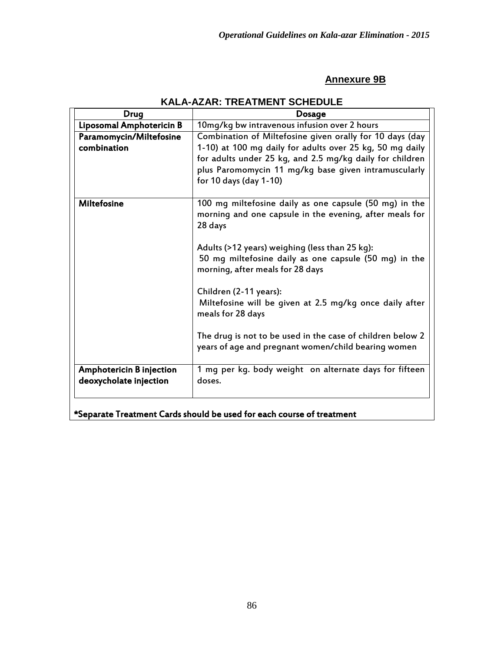### **Annexure 9B**

| Drug                                                      | <b>Dosage</b>                                                                                                                                                                                                                                                                                                                                                                                                                                                                                              |
|-----------------------------------------------------------|------------------------------------------------------------------------------------------------------------------------------------------------------------------------------------------------------------------------------------------------------------------------------------------------------------------------------------------------------------------------------------------------------------------------------------------------------------------------------------------------------------|
| Liposomal Amphotericin B                                  | 10mg/kg bw intravenous infusion over 2 hours                                                                                                                                                                                                                                                                                                                                                                                                                                                               |
| Paramomycin/Miltefosine<br>combination                    | Combination of Miltefosine given orally for 10 days (day<br>1-10) at 100 mg daily for adults over 25 kg, 50 mg daily<br>for adults under 25 kg, and 2.5 mg/kg daily for children<br>plus Paromomycin 11 mg/kg base given intramuscularly<br>for 10 days (day 1-10)                                                                                                                                                                                                                                         |
| <b>Miltefosine</b>                                        | 100 mg miltefosine daily as one capsule (50 mg) in the<br>morning and one capsule in the evening, after meals for<br>28 days<br>Adults (>12 years) weighing (less than 25 kg):<br>50 mg miltefosine daily as one capsule (50 mg) in the<br>morning, after meals for 28 days<br>Children (2-11 years):<br>Miltefosine will be given at 2.5 mg/kg once daily after<br>meals for 28 days<br>The drug is not to be used in the case of children below 2<br>years of age and pregnant women/child bearing women |
| <b>Amphotericin B injection</b><br>deoxycholate injection | 1 mg per kg. body weight on alternate days for fifteen<br>doses.                                                                                                                                                                                                                                                                                                                                                                                                                                           |

## **KALA-AZAR: TREATMENT SCHEDULE**

\*Separate Treatment Cards should be used for each course of treatment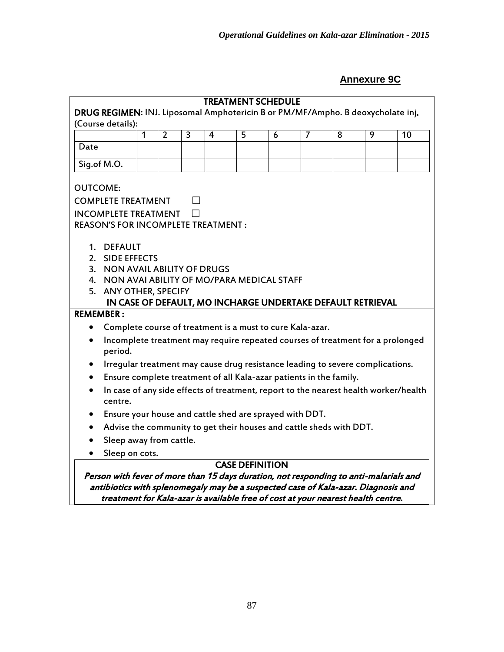# **Annexure 9C**

|                  |                                                                                                      |   |                |                | <b>TREATMENT SCHEDULE</b> |                        |   |                |   |                                                             |                                                                                      |
|------------------|------------------------------------------------------------------------------------------------------|---|----------------|----------------|---------------------------|------------------------|---|----------------|---|-------------------------------------------------------------|--------------------------------------------------------------------------------------|
|                  | DRUG REGIMEN: INJ. Liposomal Amphotericin B or PM/MF/Ampho. B deoxycholate inj.<br>(Course details): |   |                |                |                           |                        |   |                |   |                                                             |                                                                                      |
|                  |                                                                                                      | 1 | $\overline{2}$ | $\overline{3}$ | $\overline{4}$            | 5                      | 6 | $\overline{7}$ | 8 | 9                                                           | 10                                                                                   |
| Date             |                                                                                                      |   |                |                |                           |                        |   |                |   |                                                             |                                                                                      |
|                  | Sig.of M.O.                                                                                          |   |                |                |                           |                        |   |                |   |                                                             |                                                                                      |
|                  |                                                                                                      |   |                |                |                           |                        |   |                |   |                                                             |                                                                                      |
| <b>OUTCOME:</b>  |                                                                                                      |   |                |                |                           |                        |   |                |   |                                                             |                                                                                      |
|                  | <b>COMPLETE TREATMENT</b>                                                                            |   |                |                |                           |                        |   |                |   |                                                             |                                                                                      |
|                  | <b>INCOMPLETE TREATMENT</b>                                                                          |   |                |                |                           |                        |   |                |   |                                                             |                                                                                      |
|                  | <b>REASON'S FOR INCOMPLETE TREATMENT:</b>                                                            |   |                |                |                           |                        |   |                |   |                                                             |                                                                                      |
|                  |                                                                                                      |   |                |                |                           |                        |   |                |   |                                                             |                                                                                      |
|                  | 1. DEFAULT<br>2. SIDE EFFECTS                                                                        |   |                |                |                           |                        |   |                |   |                                                             |                                                                                      |
|                  |                                                                                                      |   |                |                |                           |                        |   |                |   |                                                             |                                                                                      |
|                  | 3. NON AVAIL ABILITY OF DRUGS<br>4. NON AVAI ABILITY OF MO/PARA MEDICAL STAFF                        |   |                |                |                           |                        |   |                |   |                                                             |                                                                                      |
| 5.               | <b>ANY OTHER, SPECIFY</b>                                                                            |   |                |                |                           |                        |   |                |   |                                                             |                                                                                      |
|                  |                                                                                                      |   |                |                |                           |                        |   |                |   | IN CASE OF DEFAULT, MO INCHARGE UNDERTAKE DEFAULT RETRIEVAL |                                                                                      |
| <b>REMEMBER:</b> |                                                                                                      |   |                |                |                           |                        |   |                |   |                                                             |                                                                                      |
| $\bullet$        | Complete course of treatment is a must to cure Kala-azar.                                            |   |                |                |                           |                        |   |                |   |                                                             |                                                                                      |
| $\bullet$        | period.                                                                                              |   |                |                |                           |                        |   |                |   |                                                             | Incomplete treatment may require repeated courses of treatment for a prolonged       |
|                  | Irregular treatment may cause drug resistance leading to severe complications.                       |   |                |                |                           |                        |   |                |   |                                                             |                                                                                      |
| $\bullet$        | Ensure complete treatment of all Kala-azar patients in the family.                                   |   |                |                |                           |                        |   |                |   |                                                             |                                                                                      |
| $\bullet$        | centre.                                                                                              |   |                |                |                           |                        |   |                |   |                                                             | In case of any side effects of treatment, report to the nearest health worker/health |
| $\bullet$        | Ensure your house and cattle shed are sprayed with DDT.                                              |   |                |                |                           |                        |   |                |   |                                                             |                                                                                      |
| $\bullet$        | Advise the community to get their houses and cattle sheds with DDT.                                  |   |                |                |                           |                        |   |                |   |                                                             |                                                                                      |
|                  | Sleep away from cattle.                                                                              |   |                |                |                           |                        |   |                |   |                                                             |                                                                                      |
| $\bullet$        | Sleep on cots.                                                                                       |   |                |                |                           |                        |   |                |   |                                                             |                                                                                      |
|                  |                                                                                                      |   |                |                |                           | <b>CASE DEFINITION</b> |   |                |   |                                                             |                                                                                      |
|                  | Person with fever of more than 15 days duration, not responding to anti-malarials and                |   |                |                |                           |                        |   |                |   |                                                             |                                                                                      |
|                  | antibiotics with splenomegaly may be a suspected case of Kala-azar. Diagnosis and                    |   |                |                |                           |                        |   |                |   |                                                             |                                                                                      |

treatment for Kala-azar is available free of cost at your nearest health centre.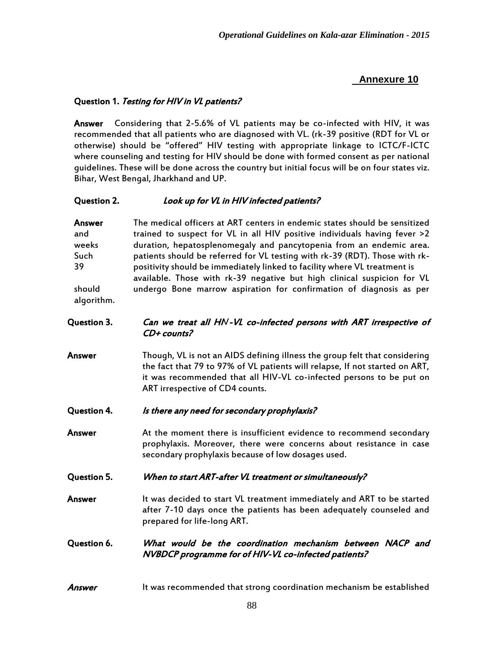#### Question 1. Testing for HIV in VL patients?

Answer Considering that 2-5.6% of VL patients may be co-infected with HIV, it was recommended that all patients who are diagnosed with VL. (rk-39 positive (RDT for VL or otherwise) should be "offered" HIV testing with appropriate linkage to ICTC/F-ICTC where counseling and testing for HIV should be done with formed consent as per national guidelines. These will be done across the country but initial focus will be on four states viz. Bihar, West Bengal, Jharkhand and UP.

#### Question 2. *Look up for VL in HIV infected patients?*

Answer The medical officers at ART centers in endemic states should be sensitized and trained to suspect for VL in all HIV positive individuals having fever >2 weeks duration, hepatosplenomegaly and pancytopenia from an endemic area. Such patients should be referred for VL testing with rk-39 (RDT). Those with rk-39 positivity should be immediately linked to facility where VL treatment is available. Those with rk-39 negative but high clinical suspicion for VL should undergo Bone marrow aspiration for confirmation of diagnosis as per algorithm.

#### Question 3. Can we treat all HN-VL co-infected persons with ART irrespective of CD+ counts?

- Answer Though, VL is not an AIDS defining illness the group felt that considering the fact that 79 to 97% of VL patients will relapse, If not started on ART, it was recommended that all HIV-VL co-infected persons to be put on ART irrespective of CD4 counts.
- Question 4. *Is there any need for secondary prophylaxis?*
- Answer **At the moment there is insufficient evidence to recommend secondary** prophylaxis. Moreover, there were concerns about resistance in case secondary prophylaxis because of low dosages used.
- Question 5. When to start ART-after VL treatment or simultaneously?
- Answer **It was decided to start VL treatment immediately and ART to be started** after 7-10 days once the patients has been adequately counseled and prepared for life-long ART.
- Question 6. What would be the coordination mechanism between NACP and NVBDCP programme for of HIV-VL co-infected patients?
- Answer It was recommended that strong coordination mechanism be established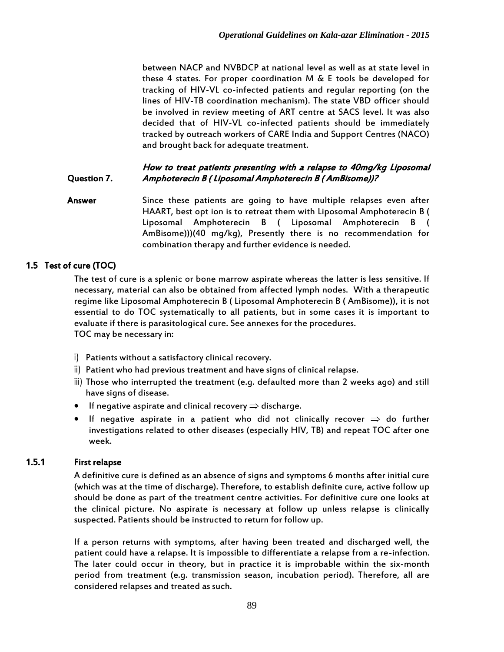between NACP and NVBDCP at national level as well as at state level in these 4 states. For proper coordination M  $\&$  E tools be developed for tracking of HIV-VL co-infected patients and regular reporting (on the lines of HIV-TB coordination mechanism). The state VBD officer should be involved in review meeting of ART centre at SACS level. It was also decided that of HIV-VL co-infected patients should be immediately tracked by outreach workers of CARE India and Support Centres (NACO) and brought back for adequate treatment.

#### Question 7. How to treat patients presenting with a relapse to 40mg/kg Liposomal Amphoterecin B ( Liposomal Amphoterecin B ( AmBisome))?

Answer Since these patients are going to have multiple relapses even after HAART, best opt ion is to retreat them with Liposomal Amphoterecin B ( Liposomal Amphoterecin B ( Liposomal Amphoterecin B ( AmBisome)))(40 mg/kg), Presently there is no recommendation for combination therapy and further evidence is needed.

### 1.5 Test of cure (TOC)

The test of cure is a splenic or bone marrow aspirate whereas the latter is less sensitive. If necessary, material can also be obtained from affected lymph nodes. With a therapeutic regime like Liposomal Amphoterecin B ( Liposomal Amphoterecin B ( AmBisome)), it is not essential to do TOC systematically to all patients, but in some cases it is important to evaluate if there is parasitological cure. See annexes for the procedures. TOC may be necessary in:

- i) Patients without a satisfactory clinical recovery.
- ii) Patient who had previous treatment and have signs of clinical relapse.
- iii) Those who interrupted the treatment (e.g. defaulted more than 2 weeks ago) and still have signs of disease.
- **If negative aspirate and clinical recovery**  $\Rightarrow$  **discharge.**
- If negative aspirate in a patient who did not clinically recover  $\Rightarrow$  do further investigations related to other diseases (especially HIV, TB) and repeat TOC after one week.

### 1.5.1 First relapse

A definitive cure is defined as an absence of signs and symptoms 6 months after initial cure (which was at the time of discharge). Therefore, to establish definite cure, active follow up should be done as part of the treatment centre activities. For definitive cure one looks at the clinical picture. No aspirate is necessary at follow up unless relapse is clinically suspected. Patients should be instructed to return for follow up.

If a person returns with symptoms, after having been treated and discharged well, the patient could have a relapse. It is impossible to differentiate a relapse from a re-infection. The later could occur in theory, but in practice it is improbable within the six-month period from treatment (e.g. transmission season, incubation period). Therefore, all are considered relapses and treated as such.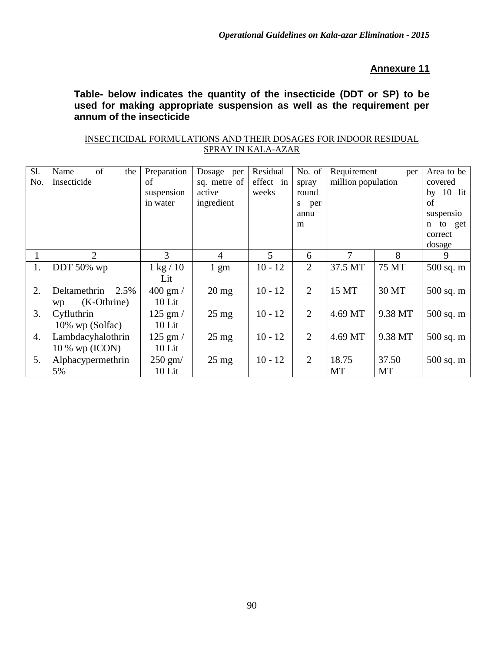**Table- below indicates the quantity of the insecticide (DDT or SP) to be used for making appropriate suspension as well as the requirement per annum of the insecticide**

| INSECTICIDAL FORMULATIONS AND THEIR DOSAGES FOR INDOOR RESIDUAL |                           |  |  |
|-----------------------------------------------------------------|---------------------------|--|--|
|                                                                 | <b>SPRAY IN KALA-AZAR</b> |  |  |

| S1.<br>No.       | of<br>Name<br>the<br>Insecticide          | Preparation<br>of<br>suspension<br>in water | Dosage<br>per<br>sq. metre of<br>active<br>ingredient | Residual<br>effect in<br>weeks | No. of<br>spray<br>round<br>per<br>S.<br>annu |             | Requirement<br>per<br>million population |                               |
|------------------|-------------------------------------------|---------------------------------------------|-------------------------------------------------------|--------------------------------|-----------------------------------------------|-------------|------------------------------------------|-------------------------------|
|                  |                                           |                                             |                                                       |                                | m                                             |             |                                          | n to get<br>correct<br>dosage |
| $\mathbf 1$      | 2                                         | 3                                           | 4                                                     | 5                              | 6                                             | 7           | 8                                        | 9                             |
| 1.               | DDT 50% wp                                | $1 \text{ kg} / 10$<br>Lit                  | $1 \text{ gm}$                                        | $10 - 12$                      | $\overline{2}$                                | 37.5 MT     | 75 MT                                    | 500 sq. m                     |
| 2.               | Deltamethrin<br>2.5%<br>(K-Othrine)<br>wp | $400 \text{ gm}$ /<br>$10$ Lit              | $20 \text{ mg}$                                       | $10 - 12$                      | $\overline{2}$                                | 15 MT       | 30 MT                                    | 500 sq. m                     |
| 3.               | Cyfluthrin<br>10% wp (Solfac)             | $125$ gm $/$<br>$10$ Lit                    | $25 \text{ mg}$                                       | $10 - 12$                      | 2                                             | 4.69 MT     | 9.38 MT                                  | $500$ sq. m                   |
| $\overline{4}$ . | Lambdacyhalothrin<br>$10\%$ wp (ICON)     | $125$ gm $/$<br>$10$ Lit                    | $25 \text{ mg}$                                       | $10 - 12$                      | 2                                             | 4.69 MT     | 9.38 MT                                  | $500$ sq. m                   |
| 5.               | Alphacypermethrin<br>5%                   | $250$ gm/<br>10 Lit                         | $25 \text{ mg}$                                       | $10 - 12$                      | 2                                             | 18.75<br>MT | 37.50<br>MT                              | $500$ sq. m                   |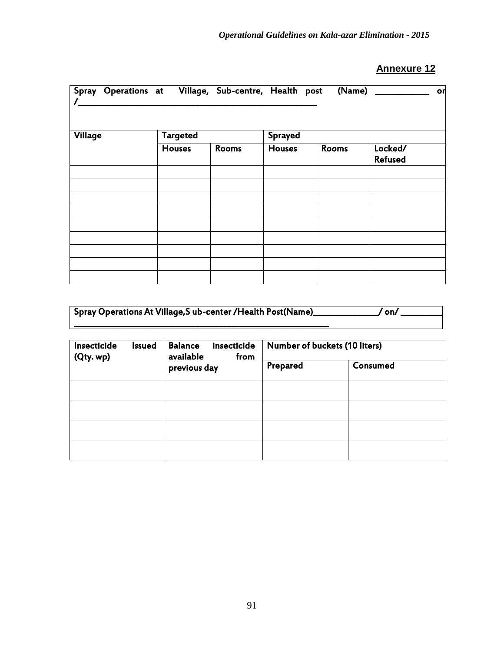| Spray Operations at Village, Sub-centre, Health post |                 |       |               | (Name) | or                        |  |  |  |
|------------------------------------------------------|-----------------|-------|---------------|--------|---------------------------|--|--|--|
|                                                      |                 |       |               |        |                           |  |  |  |
| Village                                              | <b>Targeted</b> |       | Sprayed       |        |                           |  |  |  |
|                                                      | <b>Houses</b>   | Rooms | <b>Houses</b> | Rooms  | Locked/<br><b>Refused</b> |  |  |  |
|                                                      |                 |       |               |        |                           |  |  |  |
|                                                      |                 |       |               |        |                           |  |  |  |
|                                                      |                 |       |               |        |                           |  |  |  |
|                                                      |                 |       |               |        |                           |  |  |  |
|                                                      |                 |       |               |        |                           |  |  |  |
|                                                      |                 |       |               |        |                           |  |  |  |
|                                                      |                 |       |               |        |                           |  |  |  |

| Spray Operations At Village, Sub-center / Health Post (Name)<br>on, |
|---------------------------------------------------------------------|
|                                                                     |

| Insecticide<br>Issued<br>(Qty. wp) | <b>Balance</b><br>insecticide<br>available<br>from | Number of buckets (10 liters) |          |  |  |
|------------------------------------|----------------------------------------------------|-------------------------------|----------|--|--|
|                                    | previous day                                       | Prepared                      | Consumed |  |  |
|                                    |                                                    |                               |          |  |  |
|                                    |                                                    |                               |          |  |  |
|                                    |                                                    |                               |          |  |  |
|                                    |                                                    |                               |          |  |  |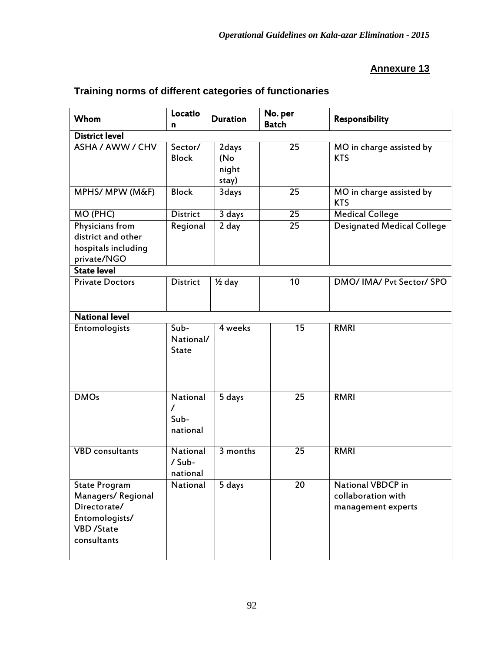| Whom                                                                                                            | Locatio<br>n                             | <b>Duration</b>                | No. per<br><b>Batch</b> | Responsibility                                                       |
|-----------------------------------------------------------------------------------------------------------------|------------------------------------------|--------------------------------|-------------------------|----------------------------------------------------------------------|
| <b>District level</b>                                                                                           |                                          |                                |                         |                                                                      |
| ASHA / AWW / CHV                                                                                                | Sector/<br><b>Block</b>                  | 2days<br>(No<br>night<br>stay) | 25                      | MO in charge assisted by<br><b>KTS</b>                               |
| MPHS/ MPW (M&F)                                                                                                 | <b>Block</b>                             | 3days                          | 25                      | MO in charge assisted by<br><b>KTS</b>                               |
| MO (PHC)                                                                                                        | <b>District</b>                          | 3 days                         | 25                      | <b>Medical College</b>                                               |
| Physicians from<br>district and other<br>hospitals including<br>private/NGO                                     | Regional                                 | $\overline{2}$ day             | $\overline{25}$         | <b>Designated Medical College</b>                                    |
| <b>State level</b>                                                                                              |                                          |                                |                         |                                                                      |
| <b>Private Doctors</b>                                                                                          | <b>District</b>                          | $\frac{1}{2}$ day              | 10                      | DMO/ IMA/ Pvt Sector/ SPO                                            |
| <b>National level</b>                                                                                           |                                          |                                |                         |                                                                      |
| Entomologists                                                                                                   | Sub-<br>National/<br><b>State</b>        | 4 weeks                        | 15                      | <b>RMRI</b>                                                          |
| <b>DMOs</b>                                                                                                     | National<br>$\prime$<br>Sub-<br>national | 5 days                         | $\overline{2}5$         | <b>RMRI</b>                                                          |
| <b>VBD</b> consultants                                                                                          | National<br>/ Sub-<br>national           | 3 months                       | $\overline{25}$         | <b>RMRI</b>                                                          |
| <b>State Program</b><br>Managers/Regional<br>Directorate/<br>Entomologists/<br><b>VBD</b> /State<br>consultants | National                                 | 5 days                         | 20                      | <b>National VBDCP</b> in<br>collaboration with<br>management experts |

## **Training norms of different categories of functionaries**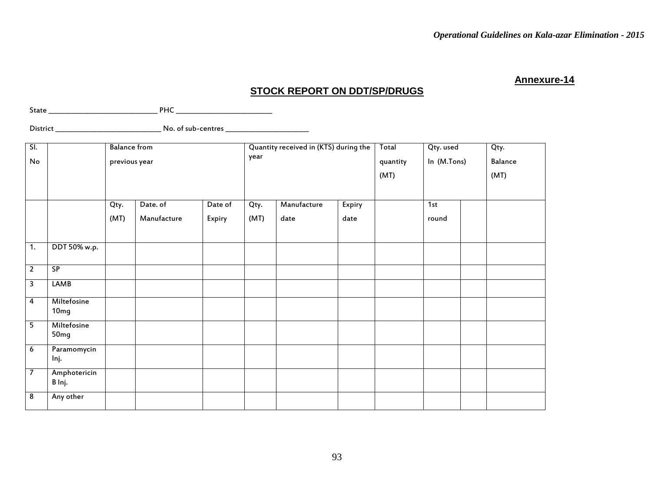### **STOCK REPORT ON DDT/SP/DRUGS**

State \_\_\_\_\_\_\_\_\_\_\_\_\_\_\_\_\_\_\_\_\_\_\_\_\_\_\_\_\_\_\_\_\_\_ PHC \_\_\_\_\_\_\_\_\_\_\_\_\_\_\_\_\_\_\_\_\_\_\_\_\_\_\_\_\_\_

District \_\_\_\_\_\_\_\_\_\_\_\_\_\_\_\_\_\_\_\_\_\_\_\_\_\_\_\_\_\_\_\_\_ No. of sub-centres \_\_\_\_\_\_\_\_\_\_\_\_\_\_\_\_\_\_\_\_\_\_\_\_\_\_

| $\overline{\mathsf{SL}}$<br>No |                        | <b>Balance from</b><br>previous year |             |         | year | Quantity received in (KTS) during the |        | Total<br>Qty. used<br>In (M.Tons)<br>quantity<br>(MT) |       |  | Qty.<br>Balance<br>(MT) |
|--------------------------------|------------------------|--------------------------------------|-------------|---------|------|---------------------------------------|--------|-------------------------------------------------------|-------|--|-------------------------|
|                                |                        | Qty.                                 | Date. of    | Date of | Qty. | Manufacture                           | Expiry |                                                       | 1st   |  |                         |
|                                |                        | (MT)                                 | Manufacture | Expiry  | (MT) | date                                  | date   |                                                       | round |  |                         |
| $\overline{1}$ .               | DDT 50% w.p.           |                                      |             |         |      |                                       |        |                                                       |       |  |                         |
| $\overline{2}$                 | SP                     |                                      |             |         |      |                                       |        |                                                       |       |  |                         |
| $\overline{\mathbf{3}}$        | <b>LAMB</b>            |                                      |             |         |      |                                       |        |                                                       |       |  |                         |
| 4                              | Miltefosine<br>10mg    |                                      |             |         |      |                                       |        |                                                       |       |  |                         |
| $\overline{5}$                 | Miltefosine<br>50mg    |                                      |             |         |      |                                       |        |                                                       |       |  |                         |
| 6                              | Paramomycin<br>Inj.    |                                      |             |         |      |                                       |        |                                                       |       |  |                         |
| $\overline{7}$                 | Amphotericin<br>B Inj. |                                      |             |         |      |                                       |        |                                                       |       |  |                         |
| $\overline{\mathbf{8}}$        | Any other              |                                      |             |         |      |                                       |        |                                                       |       |  |                         |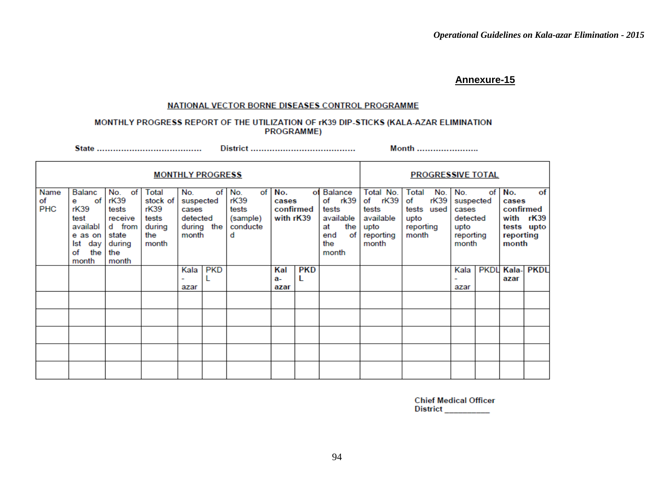#### NATIONAL VECTOR BORNE DISEASES CONTROL PROGRAMME

#### MONTHLY PROGRESS REPORT OF THE UTILIZATION OF rK39 DIP-STICKS (KALA-AZAR ELIMINATION **PROGRAMME)**

Month ........................

|                          | <b>MONTHLY PROGRESS</b>                                                                      |                                                                                    |                                                              |                                                |                    |                                                         |                           |                 |                                                                                       |                                                                          | <b>PROGRESSIVE TOTAL</b>                                               |                                                                     |    |                                                 |                               |
|--------------------------|----------------------------------------------------------------------------------------------|------------------------------------------------------------------------------------|--------------------------------------------------------------|------------------------------------------------|--------------------|---------------------------------------------------------|---------------------------|-----------------|---------------------------------------------------------------------------------------|--------------------------------------------------------------------------|------------------------------------------------------------------------|---------------------------------------------------------------------|----|-------------------------------------------------|-------------------------------|
| Name<br>of<br><b>PHC</b> | Balanc<br>of<br>e<br>rK39<br>test<br>availabl<br>e as on<br>day<br>lst<br>the<br>of<br>month | No.<br>of<br>rK39<br>tests<br>receive<br>d from<br>state<br>during<br>the<br>month | Total<br>stock of<br>rK39<br>tests<br>during<br>the<br>month | No.<br>suspected<br>cases<br>detected<br>month | of I<br>during the | of<br>No.<br>rK39<br>tests<br>(sample)<br>conducte<br>d | No.<br>cases<br>with rK39 | оf<br>confirmed | Balance<br>rk39<br>of<br>tests<br>available<br>the<br>at<br>of<br>end<br>the<br>month | Total No.<br>of rK39<br>tests<br>available<br>upto<br>reporting<br>month | Total<br>No.<br>rK39<br>of<br>tests used<br>upto<br>reporting<br>month | No.<br>suspected<br>cases<br>detected<br>upto<br>reporting<br>month | of | No.<br>cases<br>confirmed<br>reporting<br>month | of<br>with rK39<br>tests upto |
|                          |                                                                                              |                                                                                    |                                                              | Kala<br>۰<br>azar                              | <b>PKD</b>         |                                                         | Kal<br>a-<br>azar         | <b>PKD</b><br>L |                                                                                       |                                                                          |                                                                        | Kala<br>azar                                                        |    | <b>PKDL Kala-</b><br>azar                       | <b>PKDL</b>                   |
|                          |                                                                                              |                                                                                    |                                                              |                                                |                    |                                                         |                           |                 |                                                                                       |                                                                          |                                                                        |                                                                     |    |                                                 |                               |
|                          |                                                                                              |                                                                                    |                                                              |                                                |                    |                                                         |                           |                 |                                                                                       |                                                                          |                                                                        |                                                                     |    |                                                 |                               |
|                          |                                                                                              |                                                                                    |                                                              |                                                |                    |                                                         |                           |                 |                                                                                       |                                                                          |                                                                        |                                                                     |    |                                                 |                               |
|                          |                                                                                              |                                                                                    |                                                              |                                                |                    |                                                         |                           |                 |                                                                                       |                                                                          |                                                                        |                                                                     |    |                                                 |                               |
|                          |                                                                                              |                                                                                    |                                                              |                                                |                    |                                                         |                           |                 |                                                                                       |                                                                          |                                                                        |                                                                     |    |                                                 |                               |

**Chief Medical Officer** District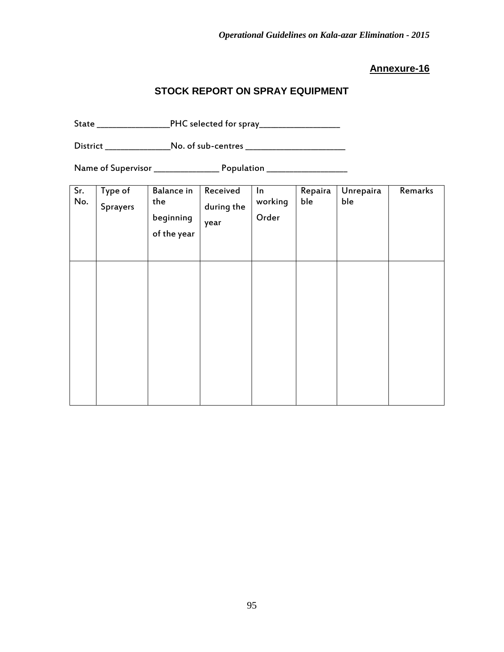## **STOCK REPORT ON SPRAY EQUIPMENT**

State \_\_\_\_\_\_\_\_\_\_\_\_\_\_\_\_\_\_\_PHC selected for spray\_\_\_\_\_\_\_\_\_\_\_\_\_\_\_\_\_\_\_\_\_

District \_\_\_\_\_\_\_\_\_\_\_\_\_\_\_\_\_\_No. of sub-centres \_\_\_\_\_\_\_\_\_\_\_\_\_\_\_\_\_\_\_\_\_\_\_\_\_\_\_\_\_\_\_\_\_\_

Name of Supervisor \_\_\_\_\_\_\_\_\_\_\_\_\_\_\_\_\_ Population \_\_\_\_\_\_\_\_\_\_\_\_\_\_\_\_\_\_\_\_\_

| Sr.<br>No. | Type of<br>Sprayers | <b>Balance in</b><br>the<br>beginning<br>of the year | Received<br>during the<br>year | In<br>working<br>Order | Repaira<br>ble | Unrepaira<br>ble | Remarks |
|------------|---------------------|------------------------------------------------------|--------------------------------|------------------------|----------------|------------------|---------|
|            |                     |                                                      |                                |                        |                |                  |         |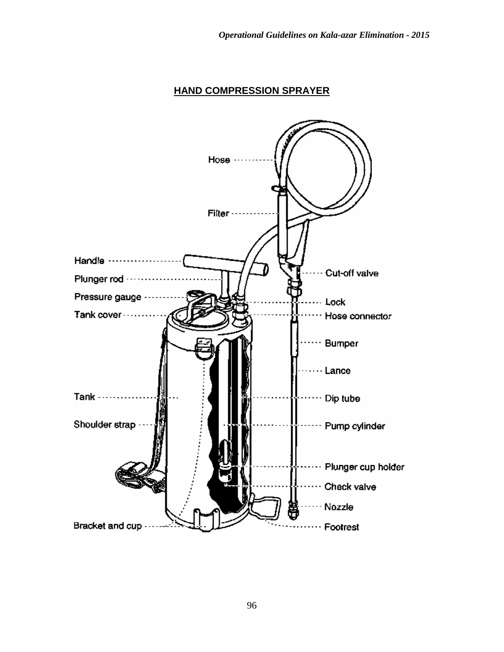### **HAND COMPRESSION SPRAYER**

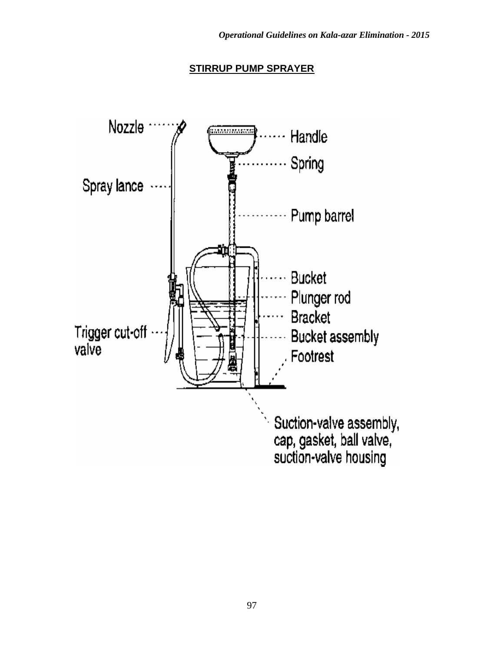### **STIRRUP PUMP SPRAYER**

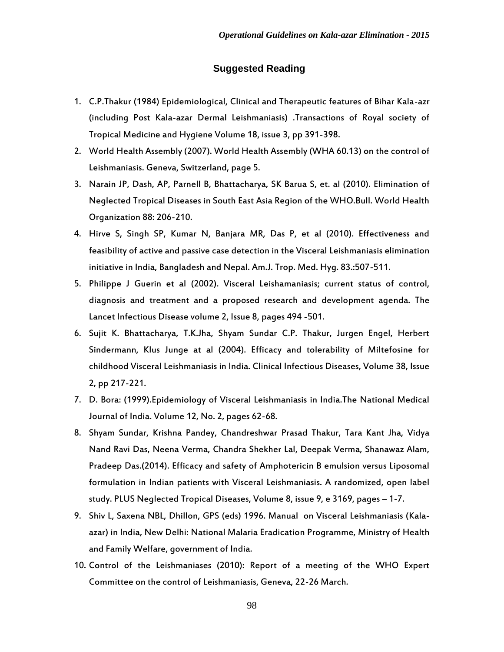#### **Suggested Reading**

- 1. C.P.Thakur (1984) Epidemiological, Clinical and Therapeutic features of Bihar Kala-azr (including Post Kala-azar Dermal Leishmaniasis) .Transactions of Royal society of Tropical Medicine and Hygiene Volume 18, issue 3, pp 391-398.
- 2. World Health Assembly (2007). World Health Assembly (WHA 60.13) on the control of Leishmaniasis. Geneva, Switzerland, page 5.
- 3. Narain JP, Dash, AP, Parnell B, Bhattacharya, SK Barua S, et. al (2010). Elimination of Neglected Tropical Diseases in South East Asia Region of the WHO.Bull. World Health Organization 88: 206-210.
- 4. Hirve S, Singh SP, Kumar N, Banjara MR, Das P, et al (2010). Effectiveness and feasibility of active and passive case detection in the Visceral Leishmaniasis elimination initiative in India, Bangladesh and Nepal. Am.J. Trop. Med. Hyg. 83.:507-511.
- 5. Philippe J Guerin et al (2002). Visceral Leishamaniasis; current status of control, diagnosis and treatment and a proposed research and development agenda. The Lancet Infectious Disease volume 2, Issue 8, pages 494 -501.
- 6. Sujit K. Bhattacharya, T.K.Jha, Shyam Sundar C.P. Thakur, Jurgen Engel, Herbert Sindermann, Klus Junge at al (2004). Efficacy and tolerability of Miltefosine for childhood Visceral Leishmaniasis in India. Clinical Infectious Diseases, Volume 38, Issue 2, pp 217-221.
- 7. D. Bora: (1999).Epidemiology of Visceral Leishmaniasis in India.The National Medical Journal of India. Volume 12, No. 2, pages 62-68.
- 8. Shyam Sundar, Krishna Pandey, Chandreshwar Prasad Thakur, Tara Kant Jha, Vidya Nand Ravi Das, Neena Verma, Chandra Shekher Lal, Deepak Verma, Shanawaz Alam, Pradeep Das.(2014). Efficacy and safety of Amphotericin B emulsion versus Liposomal formulation in Indian patients with Visceral Leishmaniasis. A randomized, open label study. PLUS Neglected Tropical Diseases, Volume 8, issue 9, e 3169, pages – 1-7.
- 9. Shiv L, Saxena NBL, Dhillon, GPS (eds) 1996. Manual on Visceral Leishmaniasis (Kalaazar) in India, New Delhi: National Malaria Eradication Programme, Ministry of Health and Family Welfare, government of India.
- 10. Control of the Leishmaniases (2010): Report of a meeting of the WHO Expert Committee on the control of Leishmaniasis, Geneva, 22-26 March.